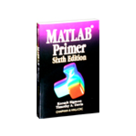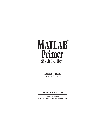# <span id="page-1-0"></span>**® MATLAB Primer Sixth Edition**

**Kermit Sigmon Timothy A. Davis**

### CHAPMAN & HALL/CRC

A CRC Press Company Boca Raton London New York Washington, D.C.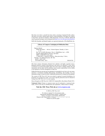<span id="page-2-0"></span>The front cover shows a smooth free-form surface consisting of trimmed bicubic splines. The back cover shows a Bezier patch with its control polyhedron. The figures are courtesy of Jörg Peters and David Lutterkort, CISE Department, University of Florida. MATLAB code to generate the figures can be obtained from [http://www.cise.ufl.edu/research/SurfLab.](http://www.cise.ufl.edu/research/)

MATLAB, Simulink, and Handle Graphics are registered trademarks of The MathWorks, Inc.

| Library of Congress Cataloging-in-Publication Data              |            |
|-----------------------------------------------------------------|------------|
| Sigmon, Kermit.                                                 |            |
| MATLAB primer. — 6th ed. / Kermit Sigmon, Timothy A. Davis.     |            |
| p. cm.                                                          |            |
| Rev. ed. of: MATLAB primer. 5th ed. / [MathWorks, Inc.]. c1998. |            |
| Includes bibliographical references and index.                  |            |
| ISBN 1-58488-294-8 (alk. paper)                                 |            |
| 1. MATLAB. 2. Numerical analysis—Data processing. I. Davis,     |            |
| Timothy A. II. MATLAB primer. III. Title.                       |            |
| OA297 .S4787 2001                                               |            |
| 519.4'0285'53042-dc21                                           | 2001047392 |

This book contains information obtained from authentic and highly regarded sources. Reprinted material is quoted with permission, and sources are indicated. A wide variety of references are listed. Reasonable efforts have been made to publish reliable data and information, but the author and the publisher cannot assume responsibility for the validity of all materials or for the consequences of their use.

Neither this book nor any part may be reproduced or transmitted in any form or by any means, electronic or mechanical, including photocopying, microfilming, and recording, or by any information storage or retrieval system, without prior permission in writing from the publisher.

The consent of CRC Press LLC does not extend to copying for general distribution, for promotion, for creating new works, or for resale. Specific permission must be obtained in writing from CRC Press LLC for such copying.

Direct all inquiries to CRC Press LLC, 2000 N.W. Corporate Blvd., Boca Raton, Florida 33431.

**Trademark Notice:** Product or corporate names may be trademarks or registered trademarks, and are used only for identification and explanation, without intent to infringe.

#### **Visit the CRC Press Web site at [www.crcpress.com](http://www.crcpress.com)**

© 2002 by CRC Press LLC

No claim to original U.S. Government works International Standard Book Number 1-58488-294-8 Library of Congress Card Number 2001047392 Printed in the United States of America 1 2 3 4 5 6 7 8 9 0 Printed on acid-free paper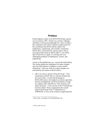### **Preface**

Kermit Sigmon, author of the MATLAB Primer, passed away in January 1997. Kermit was a friend, colleague, and fellow avid bicyclist (although I'm a mere 10-mile-aday commuter) with whom I shared an appreciation for the contribution that MATLAB has made to the mathematics, engineering, and scientific community. MATLAB is a powerful tool, and my hope is that in revising Kermit's book for MATLAB 6.1, you will be able to learn how to apply it to solving your own challenging problems in mathematics, science, and engineering.

A team at The MathWorks, Inc., revised the Fifth Edition. The current edition has undergone five major changes since the Fifth Edition, in addition to many smaller refinements. Only one of the five major changes was motivated by the release of MATLAB 6.1:

1. Life is too short to spend writing DO loops.<sup>1</sup> Overusing loops in MATLAB is a common mistake that new users make. To take full advantage of MATLAB's power, the emphasis on matrix operations has been strengthened, and the presentation of loops now appears after submatrices, colon notation, and matrix functions. A new section on the find function has been added. Many computations that would require nested loops with  $if$  statements in  $C$ , FORTRAN, or Java can be written as single loop-free

 1 John Little, co-founder of The MathWorks, Inc.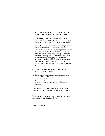MATLAB statements with find. Avoiding loops makes your code faster and often easier to read.

- 2. In the Fifth Edition, the reader was often asked to come up with an appropriate matrix with which to try the examples. All examples are now fully described.
- 3. MATLAB 6.1 has a new and extensive graphical user interface, the MATLAB Desktop Environment.<sup>2</sup> Chapter 2, new to this edition, gives you an overview of all but two of MATLAB's primary windows (the other two are discussed later). Managing files and directories, starting MATLAB demos, getting help, command editing, debugging, and the like are explained in the new graphical user interface. This book was written for Release R12.1 (MATLAB Version 6.1 and the Symbolic Math Toolbox Version 2.1.2).
- 4. A new chapter on how to call a C routine from MATLAB has been added.
- 5. Sparse matrix ordering and visualization has been added to Chapter 13. Large matrices that arise in practical applications often have many zero entries. Taking advantage of sparsity allows you to solve problems in MATLAB that would otherwise be intractable.

I would like to thank Bob Stern, executive editor in Mathematics and Engineering at CRC Press, for giving

<sup>&</sup>lt;sup>2</sup> Note that the Desktop Environment in Release R12.1 is not supported on HP and IBM Unix platforms.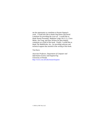me the opportunity to contribute to Kermit Sigmon's work. I would also like to thank Jörg Peters and David Lutterkort for providing the cover art. I would like to thank Naomi Fernandes, Madeline Leigh, Pei Li Li, Cleve Moler, Jim Tung, and Dave Wilson for their helpful comments on a draft of this book. Finally, I would like to thank The MathWorks, Inc., for providing software and technical support that assisted in the writing of this book.

Tim Davis

*Associate Professor, Department of Computer and Information Science and Engineering* University of Florida [http://www.cise.ufl.edu/research/sparse](http://www.cise.ufl.edu/research/sparse )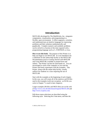### **Introduction**

<span id="page-6-0"></span>MATLAB, developed by The MathWorks, Inc., integrates computation, visualization, and programming in a flexible, open environment. It offers engineers, scientists, and mathematicians an intuitive language for expressing problems and their solutions mathematically and graphically. Complex numeric and symbolic problems can be solved in a fraction of the time required with a programming language such as C, FORTRAN, or Java.

**How to use this book:** The purpose of this Primer is to help you begin to use MATLAB. It is not intended to be a substitute for the online help facility or the MATLAB documentation (such as *Getting Started with MATLAB* and *Using MATLAB*, available in printed form and online). The Primer can best be used hands-on. You are encouraged to work at the computer as you read the Primer and freely experiment with the examples. This Primer, along with the online help facility, usually suffices for students in a class requiring the use of MATLAB.

Start with the examples at the beginning of each chapter. In this way, you will create all of the matrices and M-files used in the examples (with one exception: an M-file you write in Chapter 7 is used in later chapters).

Larger examples (M-files and MEX-files) are on the web at<http://www.cise.ufl.edu/research/sparse/MATLAB>and [http://www.crcpress.com.](http://www.crcpress.com)

Pull-down menu selections are described using the following style. Selecting the View menu, and then the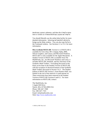<span id="page-7-0"></span>Desktop Layout submenu, and then the Simple menu item is written as  $V$ iew  $\blacktriangleright$  Desktop Layout  $\blacktriangleright$  Simple.

You should liberally use the online help facility for more detailed information. Selecting  $\text{He}$ ]  $p \blacktriangleright$  MATLAB  $\text{He}$ ]  $p$ brings up the Help window. You can also type help in the Command window. See Sections 2.1 or 15.1 for more information.

**How to obtain MATLAB:** Version 6.1 of MATLAB is available for Unix (Sun, HP, Compaq Alpha, IBM, Silicon Graphics, and Linux), and Microsoft Windows. MATLAB 5 is also available for the Apple Macintosh. A Student Version of MATLAB is available from The MathWorks, Inc., for Microsoft Windows and Linux; it includes MATLAB, Simulink, and key functions of the Symbolic Math Toolbox. Everything discussed in this book can be done in the Student Version of MATLAB, with the exception of advanced features of the Symbolic Math Toolbox discussed in Section 14.11. The Student Edition of MATLAB Version 5, from Prentice-Hall, was limited in the size of the matrices it could operate on. These restrictions have been removed in the Student Version of MATLAB Versions 6 and 6.1. For more information on MATLAB, contact:

The MathWorks, Inc. 3 Apple Hill Drive Natick, MA, 01760-2098 USA Phone: 508–647–7000 Fax: 508–647–7101 Email: info@mathworks.com Web: [http://www.mathworks.com](http://www.mathworks.com )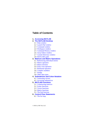### **Table of Contents**

#### **1. [Accessing MATLA](#page-0-0)B**

#### **2. The [MATLAB Desktop](#page-0-0)**

- 2.1 [Help window](#page-1-0)
- 2.2 Launch Pad [window](#page-2-0)
- 2.3 [Command](#page-2-0) window
- 2.4 [Workspace](#page-6-0) window
- 2.5 [Command History](#page-7-0) window
- 2.6 [Array Editor](#page-7-0) window
- 2.7 Current Directory window
- 2.8 [MATLAB's path](#page-9-0)

#### **3. Matrices and [Matrix Operations](#page-9-0)**

- 3.1 Referencing [individual entries](#page-9-0)
- 3.2 [Matrix operators](#page-10-0)
- 3.3 [Matrix division](#page-11-0)
- 3.4 [Entry-wise operators](#page-11-0)
- 3.5 [Relational operators](#page-12-0)
- 3.6 [Complex](#page-13-0) numbers
- 3.7 [Strings](#page-14-0)
- 3.8 [Other data types](#page-14-0)

#### **4. Submatrices [and Colon Notation](#page-15-0)**

- 4.1 [Generating](#page-16-0) vectors
- 4.2 Accessing [submatrices](#page-16-0)

#### **5. [MATLAB Functions](#page-18-0)**

- 5.1 [Constructing](#page-18-0) matrices
- 5.2 [Scalar functions](#page-19-0)
- 5.3 Vector [functions](#page-20-0)
- 5.4 Matrix [functions](#page-20-0)
- 5.5 [The find function](#page-22-0)

#### **6. [Control Flow](#page-24-0) Statements**

6.1 [The for loop](#page-24-0)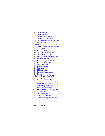- <span id="page-9-0"></span>6.2 [The while loop](#page-26-0)
- 6.3 The if [statement](#page-27-0)
- 6.4 [The switch](#page-27-0) statement
- 6.5 [The try/catch](#page-27-0) statement
- 6.6 [Matrix expressions \(if and](#page-28-0) while)
- 6.7 [Infinite loops](#page-29-0)

#### **7. [M-files](#page-30-0)**

- 7.1 [M-file Editor/Debugger](#page-30-0) window
- 7.2 [Script files](#page-31-0)
- 7.3 [Function](#page-34-0) files
- 7.4 [Multiple inputs and outputs](#page-36-0)
- 7.5 [Variable arguments](#page-36-0)
- 7.6 Comments [and documentation](#page-37-0)
- 7.7 [Entering large](#page-37-0) matrices

#### **8. Advanced [M-file features](#page-38-0)**

- 8.1 [Function references](#page-38-0)
- 8.2 [Name resolution](#page-40-0)
- 8.3 [Error messages](#page-41-0)
- 8.4 [User input](#page-41-0)
- 8.5 [Efficient code](#page-42-0)
- 8.6 [Performance](#page-43-0) measures
- 8.7 [Profile](#page-45-0)

#### **9. [Calling C from](#page-46-0) MATLAB**

- 9.1 A [simple example](#page-46-0)
- 9.2 C versus [MATLAB arrays](#page-47-0)
- 9.3 A [matrix computation](#page-48-0) in C
- 9.4 MATLAB mx and [mex routines](#page-51-0)
- 9.5 Online help [for MEX routines](#page-52-0)
- 9.6 [Larger examples on the](#page-53-0) web

#### **10. [Two-Dimensional Graphics](#page-53-0)**

- 10.1 [Planar plots](#page-53-0)
- 10.2 [Multiple figures](#page-54-0)
- 10.3 [Graph of a function](#page-55-0)
- 10.4 [Parametrically defined curves](#page-56-0)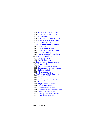- <span id="page-10-0"></span>10.5 [Titles, labels, text in a graph](#page-56-0)
- 10.6 [Control of axes and scaling](#page-57-0)
- 10.7 [Multiple plots](#page-58-0)
- 10.8 Line types, [marker types, colors](#page-59-0)
- 10.9 [Subplots and specialized plots](#page-60-0)
- 10.10 Graphics [hard copy](#page-60-0)

#### **11. [Three-Dimensional](#page-61-0) Graphics**

- 11.1 [Curve plots](#page-61-0)
- 11.2 [Mesh and surface plots](#page-62-0)
- 11.3 Color shading [and color profile](#page-63-0)
- 11.4 [Perspective of](#page-63-0) view
- 11.5 [Parametrically defined surfaces](#page-64-0)

#### **12. [Advanced Graphics](#page-65-0)**

- 12.1 [Handle Graphics](#page-65-0)
- 12.2 [Graphical user interface](#page-65-0)

#### **13. Sparse Matrix [Computations](#page-66-0)**

- 13.1 [Storage](#page-66-0) modes
- 13.2 [Generating](#page-67-0) sparse matrices
- 13.3 [Computation](#page-69-0) with sparse matrices
- 13.4 [Ordering](#page-70-0) methods
- 13.5 [Visualizing](#page-72-0) matrices

#### **14. The Symbolic [Math Toolbox](#page-73-0)**

- 14.1 [Symbolic](#page-73-0) variables
- 14.2 [Calculus](#page-74-0)
- 14.3 [Variable precision arithmetic](#page-79-0)
- 14.4 [Numeric evaluation](#page-81-0)
- 14.5 [Algebraic simplification](#page-81-0)
- 14.6 [Graphs of functions](#page-83-0)
- 14.7 Symbolic [matrix operations](#page-84-0)
- 14.8 [Symbolic linear algebraic functions](#page-86-0)
- 14.9 [Solving algebraic equations](#page-89-0)
- 14.10 [Solving differential equations](#page-91-0)
- 14.11 [Further Maple access](#page-92-0)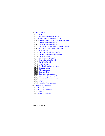#### <span id="page-11-0"></span>**15. [Help topics](#page-93-0)**

- 15.1 [General](#page-95-0)
- 15.2 [Operators and special characters](#page-98-0)
- 15.3 [Programming language constructs](#page-100-0)
- 15.4 Elementary matrices and matrix [manipulation](#page-103-0)
- 15.5 [Elementary](#page-105-0) math functions
- 15.6 [Specialized math](#page-107-0) functions
- 15.7 Matrix functions  [numerical linear algebra](#page-109-0)
- 15.8 Data analysis [and Fourier transforms](#page-111-0)
- 15.9 [Audio support](#page-112-0)
- 15.10 [Interpolation and polynomials](#page-114-0)
- 15.11 [Function functions and](#page-115-0) ODE solvers
- 15.12 [Sparse matrices](#page-118-0)
- 15.13 [Two-dimensional](#page-120-0) graphs
- 15.14 [Three-dimensional graphs](#page-121-0)
- 15.15 [Specialized graphs](#page-124-0)
- 15.16 [Handle Graphics](#page-128-0)
- 15.17 [Graphical user interface tools](#page-130-0)
- 15.18 [Character strings](#page-133-0)
- 15.19 [File input/output](#page-135-0)
- 15.20 [Time and dates](#page-138-0)
- 15.21 Data types [and structures](#page-139-0)
- 15.22 [Version control commands](#page-142-0)
- 15.23 [Microsoft Windows](#page-143-0) functions
- 15.24 [Demos](#page-143-0)
- 15.25 [Preferences](#page-143-0)
- 15.26 [Symbolic Math](#page-144-0) Toolbox

#### **16. [Additional Resources](#page-148-0)**

- 16.1 [MATLAB](#page-148-0)
- 16.2 [MATLAB toolboxes](#page-148-0)
- 16.3 [Simulink](#page-149-0)
- 16.4 [Simulink blocksets](#page-150-0)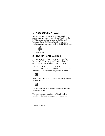### <span id="page-12-0"></span>**1. Accessing MATLAB**

On Unix systems you can enter MATLAB with the system command matlab and exit MATLAB with the MATLAB command quit or exit. In Microsoft Windows, the Apple Macintosh, and in some Unix window systems, just double-click on the MATLAB icon:



### **2. The MATLAB Desktop**

MATLAB has an extensive graphical user interface. When MATLAB starts, the MATLAB window will appear, with several subwindows and menu bars.

All of MATLAB's windows are docked, which means that they are tiled on the main MATLAB window. You can undock a window by clicking its undock button:

### $\vert$

Dock it with  $\forall$  i ew  $\blacktriangleright$  Dock. Close a window by clicking its close button:

Reshape the window tiling by clicking on and dragging the window edges.

The menu bar at the top of the MATLAB window contains a set of buttons and pull-down menus for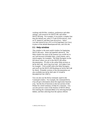<span id="page-13-0"></span>working with M-files, windows, preferences and other settings, web resources for MATLAB, and online MATLAB help. For example, if you prefer a simpler font than the default one, select  $\text{File} \rightarrow \text{Preferences}, \text{click}$ on  $\boxplus$  General and then Font & Colors. Select  $U$ ucida Console (on a PC) or DialogTnput (on  $U$ nix) in place of the default Monospaced font, and click OK.

### **2.1 Help window**

This window is the most useful window for beginning  $MATLAB$  users. Select  $Help$  MATLAB Help. The Help window has most of the features you would see in any web browser (clickable links, a back button, and a search engine, for example). The Help Navigator on the left shows where you are in the MATLAB online documentation. I'll refer to the online Help sections as Help: MATLAB: Getting Started: Introduction, for example. Click on MATLAB in the Help Navigator, and you'll see the MATLAB Roadmap (or Help: MATLAB for short). Printable versions of the documentation are also available (see Help: MATLAB: Printable Documentation (PDF)).

You can also use the help command, typed in the Command window. For example, the command help e i q will give information about the eigenvalue function eig. See the list of functions in the last section of this Primer for a brief summary of help for a function. You can also preview some of the features of MATLAB by first entering the command demo or by selecting  $He1p$ Demos, and then selecting from the options offered.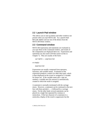### <span id="page-14-0"></span>**2.2 Launch Pad window**

This allows you to start up demos and other windows not present when you start MATLAB. Try Launch Pad:  $MATI AR: Demos and run one of the demos from the$ MATLAB Demo window.

### **2.3 Command window**

MATLAB expressions and statements are evaluated as you type them in the Command window, and results of the computation are displayed there too. Expressions and statements are also used in M-files (more on this in Chapter 7). They are usually of the form:

 $variable = expression$ 

or simply:

expression

Expressions are usually composed from operators, functions, and variable names. Evaluation of the expression produces a matrix (or other data type), which is then displayed on the screen or assigned to a variable for future use. If the variable name and  $=$  sign are omitted, a variable ans (for answer) is automatically created to which the result is assigned.

A statement is normally terminated with the carriage return. However, a statement can be continued to the next line with three periods  $(\ldots)$  followed by a carriage return. On the other hand, several statements can be placed on a single line separated by commas or semicolons. If the last character of a statement is a semicolon, display of the result is suppressed, but the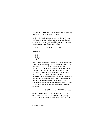<span id="page-15-0"></span>assignment is carried out. This is essential in suppressing unwanted display of intermediate results.

Click on the Workspace tab to bring up the Workspace window (it starts out underneath the Launch Pad window) so you can see a list of the variables you create, and type this command in the Command window:

 $A = [1 2 3 ; 4 5 6 ; -1 7 9]$ 

or this one:

$$
A = \n\begin{bmatrix}\n1 & 2 & 3 \\
4 & 5 & 6 \\
-1 & 7 & 9\n\end{bmatrix}
$$

in the Command window. Either one creates the obvious  $3$ -by-3 matrix and assigns it to a variable  $A$ . Try it. You will see the array A in your Workspace window. MATLAB is case-sensitive in the names of commands, functions, and variables, so A and a are two different variables. A comma or blank separates the elements within a row of a matrix (sometimes a comma is necessary to split the expressions, because a blank can be ambiguous). A semicolon ends a row. When listing a number in exponential form (e.g., 2.34e-9), blank spaces must be avoided. Matrices can also be constructed from other matrices. If  $A$  is the 3-by-3 matrix shown above, then:

C = [A, A' ; [12 13 14], (zeros  $(1,3))$ ]

creates a 4-by-6 matrix. Try it to see what  $\text{C}$  is. The quote mark in A' means the transpose of A. Be sure to use the correct single quote mark (just to the left of the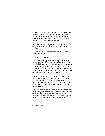<span id="page-16-0"></span>enter or return key on most keyboards). Parentheses are needed around expressions if they would otherwise be ambiguous. If you leave out the parentheses around  $(zeros(1, 3))$ , you will get an error message. The zeros function is described in Section  $5.1$ .

When you typed the last two commands, the matrices A and C were created and displayed in the Workspace window.

You can save the Command window dialog with the diary command:

diary filename

This causes what appears subsequently on the screen (except graphics) to be written to the named file (if the  $f$ *i* lename is omitted, it is written to a default file named  $diary$ ) until you type the command  $diary$  off; the command diary on causes writing to the file to resume. When finished, you can edit the file as desired and print it out. For hard copy of graphics, see Section 10.10.

The command line in MATLAB can be easily edited in the Command window. The cursor can be positioned with the left and right arrows and the Backspace (or Delete) key used to delete the character to the left of the cursor. Type  $he$ lp cedit to see more command-line editing features.

A convenient feature is use of the up and down arrows to scroll through the stack of previous commands. You can, therefore, recall a previous command line, edit it, and execute the revised line. Try this by first modifying the matrix A by adding one to each of its elements: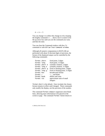$A = A + 1$ 

You can change C to reflect this change in A by retyping the lengthy command  $C = \ldots$  above, but it is easier to hit the up arrow key until you see the command you want, and then hit enter.

You can clear the Command window with the  $\epsilon$ ]  $\epsilon$ command or with  $F$ dit  $\triangleright$  Clear Command window.

Although all numeric computations in MATLAB are performed with about 16 decimal digits of precision, the format of the displayed output can be controlled by the following commands:

| format short  |                | fixed point, 5 digits              |
|---------------|----------------|------------------------------------|
| format long   |                | fixed point, 15 digits             |
|               | format short e | scientific notation, 5 digits      |
| format long e |                | scientific notation, 15 digits     |
|               | format short g | fixed or floating-point, 5 digits  |
| format long g |                | fixed or floating-point, 15 digits |
| format hex    |                | hexadecimal format                 |
| format $+$    |                | $+$ , $-$ , and blank              |
| format bank   |                | dollars and cents                  |
| format rat    |                | approximate ratio of small         |
|               |                | integers                           |

format short is the default. Once invoked, the chosen format remains in effect until changed. These commands only modify the display, not the precision of the number.

The command format compact suppresses most blank lines, allowing more information to be placed on the screen or page. The command format loose returns to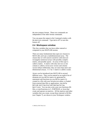<span id="page-18-0"></span>the non-compact format. These two commands are independent of the other format commands.

You can pause the output in the Command window with the more on command. Type more off to turn this feature off.

### **2.4 Workspace window**

This lists variables that you have either entered or computed in your MATLAB session.

There are many fundamental data types (or classes) in MATLAB, each one a multidimensional array. The classes that we will concern ourselves with most are rectangular numerical arrays with possibly complex entries, and possibly sparse. An array of this type is called a matrix. A matrix with only one row or one column is called a vector (row vectors and column vectors behave differently; they are more than mere onedimensional arrays). A 1–by–1 matrix is called a scalar.

Arrays can be introduced into MATLAB in several different ways. They can be entered as an explicit list of elements (as you did for matrix A), generated by statements and functions (as you did for matrix  $C$ ), created in a file with your favorite text editor, or loaded from external data files or applications (see  $He1p$ : MATLAB: Getting Started: Manipulating Matrices). You can also write your own functions (Mfiles, or mexFunctions in C, FORTRAN, or Java) that create and operate on matrices. All the matrices and other variables that you create, except those internal to M-files (see Chapter 7), are shown in your Workspace window.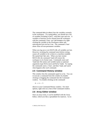<span id="page-19-0"></span>The command who (or whos) lists the variables currently in the workspace. Try typing whos; you should see a list of variables including A and C, with their type and size. A variable or function can be cleared from the workspace with the command clear  $variable$ name or by rightclicking the variable in the Workspace editor and selecting Delete Selection. The command clear alone clears all non-permanent variables.

When you log out or exit MATLAB, all variables are lost. However, invoking the command save before exiting causes all variables to be written to a machine-readable file named matlab.mat. When you later reenter MATLAB, the command load will restore the workspace to its former state. Commands save and load take file names and variable names as optional arguments (type help save and help load). Try typing the commands save, clear, and then load, and watch what happens after each command.

### **2.5 Command History window**

This window lists the commands typed in so far. You can re-execute a command from this window by doubleclicking or dragging the command into the Command window. Try double-clicking on the command:

 $A = A + 1$ 

shown in your Command History window. For more options, right-click on a line of the Command window.

### **2.6 Array Editor window**

Once an array exists, it can be modified with the Array Editor, which acts like a spreadsheet for matrices. Go to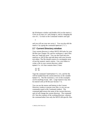<span id="page-20-0"></span>the Workspace window and double-click on the matrix C. Click on an entry in C and change it, and try changing the size of C. Go back to the Command window and type:

&

and you will see your new array C. You can also edit the matrix C by typing the command openvar  $('C')$ .

### **2.7 Current Directory window**

Your current directory is where MATLAB looks for your  $M$ -files (see Chapter 10), and for workspace (.mat) files that you load and save. You can also load and save matrices as ASCII files and edit them with your favorite text editor. The file should consist of a rectangular array of just the numeric matrix entries. Use a text editor to create a file in your current directory called  $mymatrix.txt$  that contains these 2 lines:

22 67 12 33

Type the command load mymatrix. txt, and the file will be loaded from the current directory to the variable  $mymatrix$ . The file extension (.txt in this example) can be anything except mat. Large matrices may also be entered with an M-file (see Section 7.7).

You can use the menus and buttons in the Current Directory window to peruse your files, or you can use commands typed in the Command window. The command pwd returns the name of the current directory, and cd will change the current directory. The command dir lists the contents of the working directory, whereas the command what lists only the MATLAB-specific files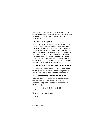in the directory, grouped by file type. The MATLAB commands de lete and type can be used to delete a file and display an M-file in the Command window, respectively.

### **2.8 MATLAB's path**

M-files must be in a directory accessible to MATLAB. M-files in the current directory are always accessible. The current list of directories in MATLAB's search path is obtained by the command path. This command can also be used to add or delete directories from the search path. See help path. The command which locates functions and files on the path. For example, type which hi 1b. You can modify your MATLAB path with the command path, or pathtool, which brings up another window. You can also select  $\text{File} \triangleright \text{Set}$  Path.

### **3. Matrices and Matrix Operations**

You have now seen most of MATLAB's windows and what they can do. Now take a look at how you can use MATLAB to work on matrices and other data types.

### **3.1 Referencing individual entries**

Individual matrix and vector entries can be referenced with indices inside parentheses. For example,  $A(2,3)$ denotes the entry in the second row, third column of matrix A. Try:

 $A = [1 2 3 ; 4 5 6 ; -1 7 9]$ A  $(2,3)$ 

Next, create a column vector,  $x$ , with:

 $x = [3 \ 2 \ 1]'$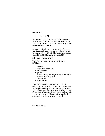<span id="page-22-0"></span>or equivalently:

 $x = [3 : 2 : 1]$ 

With this vector,  $x(3)$  denotes the third coordinate of vector x, with a value of 1. Higher dimensional arrays are similarly indexed. A matrix or a vector accepts only positive integers as indices.

A two-dimensional array can be indexed as if it were a one-dimensional vector. If A is  $m$ -by-n, then  $A(i, j)$  is the same as  $A(i+(i-1)*m)$ . This feature is most often used with the  $\text{Find function}$  (see Section 5.5).

### **3.2 Matrix operators**

The following matrix operators are available in MATLAB:

- addition
- subtraction or negation
- multiplication
- A power
- I. transpose (real) or conjugate transpose (complex)
- . ' transpose (real or complex)
- ? left division
- / right division

These matrix operators apply, of course, to scalars (1-by-1 matrices) as well. If the sizes of the matrices are incompatible for the matrix operation, an error message will result, except in the case of scalar-matrix operations (for addition, subtraction, division, and multiplication, in which case each entry of the matrix is operated on by the scalar, as in  $A = A + 1$ . Also try the commands: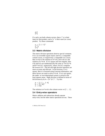$$
A^{\wedge 2}
$$
  

$$
A^*x
$$

If x and y are both column vectors, then  $x^{\dagger}$  is their inner (or dot) product, and  $x*y'$  is their outer (or cross) product. Try these commands:

$$
y = \begin{bmatrix} 1 & 2 & 3 \end{bmatrix}
$$
  

$$
x^1 * y
$$
  

$$
x^2 y^1
$$

### **3.3 Matrix division**

The matrix division operations deserve special comment. If  $A$  is an invertible square matrix and  $b$  is a compatible column vector, or respectively a compatible row vector, then  $x = A \ b$  is the solution of  $A^*x = b$ , and  $x = b/A$  is the solution of  $x^*A=b$ . If A is square and non-singular, then A\b and b/A are mathematically the same as  $inv(A)*b$ and  $b^*inv(A)$ , respectively, where  $inv(A)$  computes the inverse of A. The left and right division operators are more accurate and efficient. In left division, if A is square, then it is factored using Gaussian elimination, and these factors are used to solve  $A^*x = b$ . If A is not square, the under- or over-determined system is solved in the least squares sense. Right division is defined in terms of left division by  $b/A = (A' \ b')'$ . Try this:

$$
A = [1 2 ; 3 4] b = [4 10]'' x = A \ b
$$

The solution to  $A^*x = b$  is the column vector  $x = [2; 1].$ 

### **3.4 Entry-wise operators**

Matrix addition and subtraction already operate entry-wise, but the other matrix operations do not. These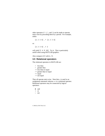<span id="page-24-0"></span>other operators  $(*, \wedge, \setminus, \text{ and } \prime)$  can be made to operate entry-wise by preceding them by a period. For example, either:

#### $[1 2 3 4]$  \*  $[1 2 3 4]$

or:

 $[1 2 3 4]$   $\wedge$  2

will yield  $\lceil 1 \, 4 \, 9 \, 16 \rceil$ . Try it. This is particularly useful when using MATLAB graphics.

Also compare  $A \wedge 2$  with  $A \cdot \wedge 2$ .

### **3.5 Relational operators**

The relational operators in MATLAB are:

- < less than
- > greater than
- $\leq$  less than or equal
- $>=$  greater than or equal
- $==$  equal
- $\sim$  not equal

They all operate entry-wise. Note that  $=$  is used in an assignment statement whereas  $==$  is a relational operator. Relational operators may be connected by logical operators:

- and
- $\vert$  or
- $\sim$  not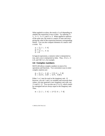When applied to scalars, the result is  $1$  or  $0$  depending on whether the expression is true or false. Try entering  $3 <$  $5, 3 > 5, 3 == 5,$  and  $3 == 3$ . When applied to matrices of the same size, the result is a matrix of ones and zeros giving the value of the expression between corresponding entries. You can also compare elements of a matrix with a scalar. Try:

$$
A = [1 2 ; 3 4]
$$
  
\n
$$
A >= 2
$$
  
\n
$$
B = [1 3 ; 4 2]
$$
  
\n
$$
A < B
$$

In logical expressions, a nonzero value is interpreted as true, and a zero is interpreted as false. Thus,  $\sim 0$  is  $1, \sim 3$ is 0, and  $4 \& 5$  is 1, for example.

### **3.6 Complex numbers**

MATLAB allows complex numbers in most of its operations and functions. Two convenient ways to enter complex matrices are:

 $B = [1 \ 2 \ ; \ 3 \ 4] + i* [5 \ 6 \ ; \ 7 \ 8]$ B = [1+5i, 2+6i ; 3+7i, 4+8i]

Either  $\mathbf i$  or  $\mathbf j$  may be used as the imaginary unit. If, however, you use *i* and *i* as variables and overwrite their values, you may generate a new imaginary unit with, say,  $ii = sqrt(-1)$ . You can also use 1 or 1 i, which cannot be reassigned and are always equal to the imaginary unit. Thus,

 $B = [1 \ 2 \ ; \ 3 \ 4] + 1i* [5 \ 6 \ ; \ 7 \ 8]$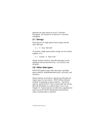<span id="page-26-0"></span>generates the same matrix  $B$ , even if  $\mathbf{i}$  has been reassigned. See Section 8.2 to find out if i has been reassigned.

### **3.7 Strings**

Enclosing text in single quotes forms strings with the char data type:

 $S = 'I$  love MATLAB'

To include a single quote inside a string, use two of them together, as in:

S = 'Green''s function'

Strings, numeric matrices, and other data types can be displayed with the function  $\text{disp}$ . Try  $\text{disp}(S)$  and  $disp(B)$ .

### **3.8 Other data types**

MATLAB supports many other data types, including sparse matrices, multidimensional arrays, cell arrays, and structures.

Sparse matrices are stored in a special way that does not require space for zero entries. MATLAB has efficient methods of operating on sparse matrices. Type help sparse, and help full, look in Help: MATLAB: Using MATLAB: Mathematics: Sparse Matrices, or see Chapter 13. Sparse matrices are allowed as arguments for most, but not all, MATLAB operators and functions where a normal matrix is allowed.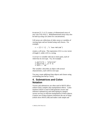<span id="page-27-0"></span> $D =$ zeros $(3, 5, 4, 2)$  creates a 4-dimensional array of size 3-by-5-by-4-by-2. Multidimensional arrays may also be built up using  $cat$  (short for concatenation).

Cell arrays are collections of other arrays or variables of varying types and are formed using curly braces. For example,

 $C = \{ [ 3 \ 2 \ 1]$  ,'I love MATLAB'}

creates a cell array. The expression  $c\{1\}$  is a row vector of length 3, while  $c$  {2} is a string.

A struct is variable with one or more parts, each of which has its own type. Try, for example,

```
x.particle = 'electron'
x.position = [2 \ 0 \ 3]x.spin = 'up'
```
The variable x describes an object with several characteristics, each with its own type.

You may create additional data objects and classes using overloading (see help class).

### **4. Submatrices and Colon Notation**

Vectors and submatrices are often used in MATLAB to achieve fairly complex data manipulation effects. Colon notation (which is used to both generate vectors and reference submatrices) and subscripting by integral vectors are keys to efficient manipulation of these objects. Creative use of these features minimizes the use of loops (which slows MATLAB) and makes code simple and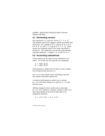<span id="page-28-0"></span>readable. Special effort should be made to become familiar with them.

### **4.1 Generating vectors**

The expression  $1:5$  is the row vector  $\begin{bmatrix} 1 & 2 & 3 & 4 & 5 \end{bmatrix}$ . The numbers need not be integers, and the increment need not be one. For example,  $0:0.2:1$  gives  $[0 \ 0.2 \ 0.4]$  $0.6$   $0.8$  1], and  $5:-1:1$  gives  $\lceil 5 \rceil 4 \rceil 3 \rceil 2 \rceil 1$ . These vectors are commonly used in for loops, described in Section 6.1. Be careful how you mix the colon operator with other operators. Compare  $1:5-3$  with  $(1:5)-3$ .

### **4.2 Accessing submatrices**

Colon notation can be used to access submatrices of a matrix. To try this out, first type the two commands:

 $A = rand(6, 6)$  $B = \text{rand } (6.4)$ 

which generate a random 6-by-6 matrix A and a random 6-by-4 matrix B (see Section 5.1).

 $A(1:4,3)$  is the column vector consisting of the first four entries of the third column of  $\Delta$ .

A colon by itself denotes an entire row or column:  $A(.3)$  is the third column of A, and  $A(1:4,:)$  is the first four rows.

Arbitrary integral vectors can be used as subscripts:  $A(:, [2 4])$  contains as columns, columns 2 and 4 of A. Such subscripting can be used on both sides of an assignment statement:

 $A$   $(:, [2 4 5]) = B$   $(:, 1:3)$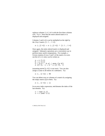<span id="page-29-0"></span>replaces columns  $2, 4, 5$  of A with the first three columns of  $\bf{B}$ . Try it. Note that the entire altered matrix  $\bf{A}$  is displayed and assigned.

Columns 2 and 4 of  $A$  can be multiplied on the right by the 2-by-2 matrix  $[1 \ 2 \ : \ 3 \ 4]$ :

A  $(.1241) = A(.1241) * [12; 34]$ 

Once again, the entire altered matrix is displayed and assigned. Submatrix operations are a convenient way to perform many useful computations. For example, a Givens rotation of rows  $3$  and  $5$  of the matrix  $\Delta$  to zero out the  $A(3, 1)$  entry can be written as:

 $a = A(5,1)$  $b = A(3,1)$ G = [a b ; -b a] / norm ([a b]) A ([5 3], :) = G \* A ([5 3], :)

(assuming norm( $[a \ b]$ ) is not zero). You can also assign a scalar to all entries of a submatrix. Try:

A  $(: [2 4]) = 99$ 

You can delete rows or columns of a matrix by assigning the empty matrix  $($ []) to them. Try:

 $A$  (:, [2,4]) = []

In an array index expression, end denotes the index of the last element. Try:

 $x = rand(1, 5)$  $x = x$  (end: $-1:1$ )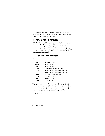<span id="page-30-0"></span>To appreciate the usefulness of these features, compare these MATLAB statements with a C, FORTRAN, or Java routine to do the same operation.

## **5. MATLAB Functions**

MATLAB has a wide assortment of built-in functions. You have already seen some of them, such as zeros. rand, and inv. This section describes the more common matrix manipulation functions. For a more complete list, see Chapter 14, or Help: MATLAB: Reference: MATLAB Eunction Reference

### **5.1 Constructing matrices**

Convenient matrix building functions are:

| eye      | identity matrix                   |
|----------|-----------------------------------|
| zeros    | matrix of zeros                   |
| ones     | matrix of ones                    |
| diag     | create or extract diagonals       |
| triu     | upper triangular part of a matrix |
| tril     | lower triangular part of a matrix |
| rand     | randomly generated matrix         |
| hilb     | Hilbert matrix                    |
| magic    | magic square                      |
| toeplitz | Toeplitz matrix                   |

The command  $rand(n)$  creates an n-by-n matrix with randomly generated entries distributed uniformly between 0 and 1 while  $rand(m, n)$  creates an m-by-n matrix (m and n denote, of course, positive integers). Try:

 $A = rand(3)$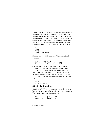<span id="page-31-0"></span>rand ('state', 0) resets the random number generator.  $zeros(m, n)$  produces an  $m$ -by-n matrix of zeros, and  $zeros(n)$  produces an n-by-n one. If A is a matrix, then  $zeros(size(A))$  produces a matrix of zeros having the same size as A. If  $x$  is a vector,  $diag(x)$  is the diagonal matrix with  $x$  down the diagonal; if  $A$  is a matrix, then  $diag(A)$  is a vector consisting of the diagonal of A. Try:

$$
x = 1:3\ndiag (x)\ndiag (A)\ndiag (diag (A))
$$

Matrices can be built from blocks. Try creating this 5-by-5 matrix:

```
B = [A, (zeros (3,2));
(pi * ones (2,3)), (eye (2))]
```
 $\text{magic}(n)$  creates an n-by-n matrix that is a magic square (rows, columns, and diagonals have common sum);  $hi \, lb(n)$  creates the n-by-n Hilbert matrix, the king of ill-conditioned matrices. Matrices can also be generated with a for loop (see Section 6.1). triu and tril extract upper and lower triangular parts of a matrix. Try:

triu (A) triu (A) == A

### **5.2 Scalar functions**

Certain MATLAB functions operate essentially on scalars but operate entry-wise when applied to a vector or matrix. The most common such functions are:

| abs  | ceil | 1og   | sıgn       |
|------|------|-------|------------|
| acos | cos  | log10 | <b>S10</b> |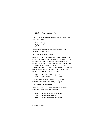asin exp rem sqrt abili bur<br>atan floor round tan

The following statements, for example, will generate a sine table. Try it.

$$
x = (0:0.1:2)'
$$
  
y = sin (x)  
[x y]

Note that because  $sin$  operates entry-wise, it produces a vector  $\vee$  from the vector  $\times$ .

### **5.3 Vector functions**

Other MATLAB functions operate essentially on a vector (row or column) but act on an  $m$ -by-n matrix  $(m > 2)$  in a column-by-column fashion to produce a row vector containing the results of their application to each column. Row-by-row action can be obtained by using the transpose (mean( $A'$ )', for example) or by specifying the dimension along which to operate (mean $(A, 2)$ , for example). A few of these functions are:

| max | sum  | median | any | sort |
|-----|------|--------|-----|------|
| min | prod | mean   | alĺ | std  |

The maximum entry in a matrix A is given by  $max(max(A))$  rather than  $max(A)$ . Try it.

### **5.4 Matrix functions**

Much of MATLAB's power comes from its matrix functions. The most useful ones are:

| eig  | eigenvalues and eigenvectors |
|------|------------------------------|
| chol | Cholesky factorization       |

svd singular value decomposition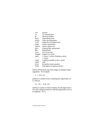| inv    | inverse                         |
|--------|---------------------------------|
| 1u     | LU factorization                |
| qr     | <b>QR</b> factorization         |
| hess   | Hessenberg form                 |
| schur  | Schur decomposition             |
| rref   | reduced row echelon form        |
| expm   | matrix exponential              |
| sqrtm  | matrix square root              |
| poly   | characteristic polynomial       |
| det    | determinant                     |
| size   | size of an array                |
| length | length of a vector              |
| norm   | 1-norm, 2-norm, Frobenius-norm, |
|        | ∞–norm                          |
| cond   | condition number in the 2–norm  |
| rank   | rank                            |
| kron   | Kronecker tensor product        |
| find   | find indices of nonzero entries |

MATLAB functions may have single or multiple output arguments. For example,

 $y = eig(A)$ 

produces a column vector containing the eigenvalues of A, whereas:

 $[U, D] = eig(A)$ 

produces a matrix U whose columns are the eigenvectors of A and a diagonal matrix D with the eigenvalues of A on its diagonal. Try it.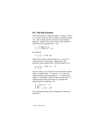### <span id="page-34-0"></span>**5.5 The find function**

The find function is unlike the others.  $find(x)$ , where  $x$  is a vector, returns an array of indices of nonzero entries in x. This is often used in conjunction with relational operators. Suppose you want a vector \ that consists of all the values in  $x$  greater than 1. Try:

 $x = 2*rand(1,5)$  $y = x$  (find  $(x > 1)$ )

For matrices,

 $[i, j, x] = find (A)$ 

returns three vectors, with one entry in  $\mathbf{i}$ ,  $\mathbf{j}$ , and  $\mathbf{x}$  for each nonzero in A (row index, column index, and numerical value, respectively). With this matrix A, try:

$$
\begin{bmatrix} i,j,x \ j \end{bmatrix} = \text{find} \ (A > .5)
$$

and you will see a list of pairs of row and column indices where  $\bf{A}$  is greater than  $\bf{.5}$ . However,  $\bf{x}$  is a vector of values from the matrix expression  $A > 1.5$ , not from the matrix A. Getting the values of A that are larger than .5 without using a loop (see Section 6.1) requires onedimensional array indexing. Try:

$$
k = find (A > .5)
$$
  
A (k)  
A (k) = A (k) + 99

The loop-based analog of this computation is shown in Section 6.1.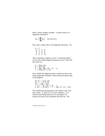Here's a more complex example. A square matrix  $\overline{A}$  is diagonally dominant if

$$
|a_{ii}| > \sum_{j \neq i} |a_{ij}| \quad \text{ for each row } i.
$$

First, enter a matrix that is not diagonally dominant. Try:

$$
\begin{array}{ccc}\nA & = & \n\begin{bmatrix}\n-1 & 2 & 3 & -4 \\
0 & 2 & -1 & 0 \\
1 & 2 & 9 & 1 \\
-3 & 4 & 1 & 1\n\end{bmatrix}\n\end{array}
$$

These statements compute a vector *i* containing indices of rows that violate diagonal dominance (rows 1 and 4 for this matrix  $A$ ).

$$
d = diag (A)
$$
  
\n
$$
a = abs (d)
$$
  
\n
$$
f = sum (abs (A), 2) - a
$$
  
\n
$$
i = find (f >= a)
$$

Next, modify the diagonal entries to make the matrix just barely diagonally dominant, while still preserving the sign of the diagonal:

$$
\begin{array}{lll}\n[m n] & = \text{size (A)} \\
k = i + (i-1)*m \\
\text{tol} & = 100 * \text{eps} \\
s = 2 * (d (i) >= 0) - 1 \\
A (k) & = (1 + \text{tol}) * s \quad \text{max (f (i), tol)}\n\end{array}
$$

The variable eps (epsilon) gives the smallest value such that  $1+eps > 1$ , about  $10^{-16}$  on most computers. It is useful in specifying tolerances for convergence of iterative processes and in problems like this one. The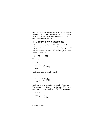odd-looking statement that computes s is nearly the same as  $s = sign(d(i))$ , except that here we want s to be one when  $d(i)$  is zero. We'll come back to this diagonal dominance problem later on.

# **6. Control Flow Statements**

In their basic forms, these MATLAB flow control statements operate like those in most computer languages. Indenting the statements of a loop or conditional statement is optional, but it helps readability to follow a standard convention.

#### **6.1 The for loop**

This loop:

```
n = 10x = \lceil 1 \rceilfor i = 1:nx = [x, i \wedge 2]end
```
produces a vector of length 10, and

```
n = 10x = []for i = n:-1:1x = [x, i \wedge 2]And
```
produces the same vector in reverse order. Try them.

The vector x grows in size at each iteration. Note that a matrix may be empty (such as  $x = []$ ). The statements:

```
m = 6n = 4for i = 1:mfor i = 1:n
```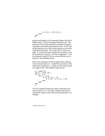$$
H(i,j) = 1/(i+j-1)
$$
;  
end  
H

produce and display in the Command window the 6-by-4 Hilbert matrix. The last  $\mu$  displays the final result. The semicolon on the inner statement is essential to suppress the display of unwanted intermediate results. If you leave off the semicolon, you will see that  $\theta$  grows in size as the computation proceeds. This can be slow if m and n are large. It is more efficient to preallocate the matrix  $\mu$  with the statement  $H = zeroS(m, n)$  before computing it. Type the command type  $h$  i lb to see a more efficient way to produce a square Hilbert matrix.

Here is the counterpart of the one-dimensional indexing exercise from Section 5.5. It adds 99 to each entry of the matrix that is larger than , 5, using two for loops instead of a single find. This method is much slower.

```
A = rand(3)[m n] = size (A);
for j = 1:nfor i = 1:m
if (A (i,j) > .5)A (i,j) = A (i,j) + 99;end
   end
end
\overline{A}
```
The for statement permits any matrix expression to be used instead of  $1:n$ . The index variable consecutively assumes the value of each column of the expression. For example,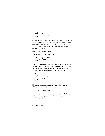```
S = 0;for c = HS = S + sum(C):
end
```
computes the sum of all entries of the matrix H by adding its column sums (of course,  $sum(SUM(H))$  does it more efficiently; see Section 5.3). In fact, since  $1:n = [1 \ 2 \ 3]$ ... n], this column-by-column assignment is what occurs with  $for i = 1:n$ 

#### **6.2 The while loop**

The general form of a while loop is:

```
while expression
    statements
And
```
The *statements* will be repeatedly executed as long as the *expression* remains true. For example, for a given number a, the following computes and displays the smallest nonnegative integer n such that  $2^n > a$ :

```
A = 109n = 0while 2\wedge n \leq an = n + 1:
end
Q
```
Note that you can compute the same value n more efficiently by using the log2 function:

 $[f,n] = log2$  (a)

You can terminate a for or while loop with the break statement and skip to the next iteration with the Continue statement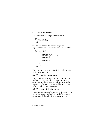## **6.3 The if statement**

The general form of a simple if statement is:

```
if expression
    statements
end
```
The *statements* will be executed only if the  $expression$  is true. Multiple conditions also possible:

```
for n = -2:5if n < 0parity = 0 ;
    elseif rem (n,2) == 0parity = 2;
    else
        parity = 1;
    end
\mathsf{n}parity
And
```
The else and else if are optional. If the else part is used, it must come last.

# **6.4 The switch statement**

The switch statement is just like the *if* statement. If you have one expression that you want to compare against several others, then a switch statement can be more concise than the corresponding  $if$  statement. See he lp switch for more information.

# **6.5 The try/catch statement**

Matrix computations can fail because of characteristics of the matrices that are hard to determine before doing the computation. If the failure is severe, your script or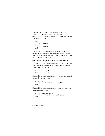function (see Chapter 7) may be terminated. The try/catch statement allows you to compute optimistically and then recover if those computations fail. The general form is:

```
try
   statements
catch
    statements
end
```
The first block of statements is executed. If an error occurs, those statements are terminated, and the second block of statements is executed. You cannot do this with an if statement. See help try.

# **6.6 Matrix expressions (if and while)**

A matrix expression is interpreted by if and while to be true if **every** entry of the matrix expression is nonzero. Enter these two matrices:

A = [ 1 2 ; 3 4 ]  $B = [23; 35]$ 

If you wish to execute a statement when matrices A and B are equal, you could type:

```
i f A == Bdisp ('A and B are equal')
And
```
If you wish to execute a statement when A and B are not equal, you would type:

```
if any (any (A \sim= B))
disp ('A and B are not equal')
end
```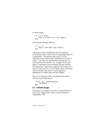or, more simply,

```
i f A == Belse
disp ('A and B are not equal')
end
```
Note that the seemingly obvious:

```
if A \sim Bdisp ('not what you think')
end
```
will not give what is intended because the statement would execute only if each of the corresponding entries of A and B differ. The functions  $any$  and  $a$ <sup>1</sup> can be creatively used to reduce matrix expressions to vectors or scalars. Two anys are required above because any is a vector operator (see Section  $5.3$ ). In logical terms, any and all correspond to the existential  $(\exists)$  and universal  $(\forall)$  quantifiers, respectively, applied to each column of a matrix or each entry of a row or column vector. Like most vector functions, any and  $a$ <sup> $\overline{a}$ </sup> can be applied to dimensions of a matrix other than the columns.

Thus, an if statement with a two-dimensional matrix express *i on* is equivalent to:

```
if all (all (expression))
    statement
end
```
# **6.7 Infinite loops**

With loops, it is possible to execute a command that will never stop. Typing Ctrl-C stops a runaway display or computation. Try: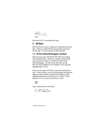```
i = 1while i >0i = i + 1end
```
then type Ctrl-C to terminate this loop.

# **7. M-files**

MATLAB can execute a sequence of statements stored in files. These are called M-files because they must have the file type . m as the last part of their filename.

## **7.1 M-file Editor/Debugger window**

Much of your work with MATLAB will be in creating and refining M-files. M-files are usually created using your favorite text editor or with MATLAB's M-file Editor/Debugger. See also Help: MATLAB: Using MATLAB: Development Environment: Editing and Debugging M-Files.

There are two types of M-files: script files and function files. In this exercise, you will incrementally develop and debug a script and then a function for making a matrix diagonally dominant (see Section 5.5). Select  $\text{File} \blacktriangleright$  $New \triangleright M - f$  i le to start a new M-file, or click:

# η

Type in these lines in the Editor,

```
f = sum(A, 2);
A = A + diag (f) ;
```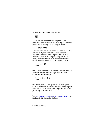and save the file as ddom. m by clicking:

# 目

You've just created a MATLAB script file.<sup>3</sup> The semicolons are there because you normally do not want to see the results of every line of a script or function.

# **7.2 Script files**

A script file consists of a sequence of normal MATLAB statements. Typing ddom in the Command window causes the statements in the script file ddom. m to be executed. Variables in a script file are global and will change the value of variables of the same name in the workspace of the current MATLAB session. Type:

```
A = rand(3)ddom
\Delta
```
in the Command window. It seems to work; the matrix  $\bf{A}$ is now diagonally dominant. If you type this in the Command window, though,

```
A = [1 -2 ; -1 1]ddom
\Delta
```
then the diagonal of A just got worse. What happened? Click on the Editor window and move the mouse to point to the variable f, anywhere in the script. You will see a yellow pop-up window with:

<sup>&</sup>lt;sup>3</sup> See <http://www.cise.ufl.edu/research/sparse/MATLAB> for the M-files and MEX-files used in this book.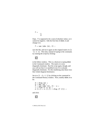$$
f = \begin{bmatrix} -1 \\ 0 \end{bmatrix}
$$

Oops. f is supposed to be a sum of absolute values, so it cannot be negative. Edit the first line of ddom. m and change it to:

 $f = sum (abs (A), 2)$ ;

save the file, and run it again on the original matrix  $A = [1]$  $-2$ ;  $-1$  1]. This time, instead of typing in the command, try running the script by clicking:

# 咱

in the Editor window. This is a shortcut to typing ddom in the Command window. The matrix  $\bf{A}$  is now diagonally dominant. Run the script again, though, and you will see that A is modified even if it is already diagonally dominant. Fix this modifying only those rows that violate diagonal dominance.

Set A to  $\begin{bmatrix} 1 & -2 \\ -2 & 1 \end{bmatrix}$  by clicking on the command in the Command History window. Next, modify ddom. m to be:

```
d = diag(A):
a = abs(d);
f = sum (abs (A), 2) - a;i = find (f >= a);
A (i, i) = A(i, i) + diag(f(i)):
```
and click: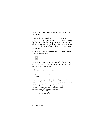to save and run the script. Run it again; the matrix does not change.

Try it on the matrix  $A = \begin{bmatrix} -1 \\ 2 \\ 1 \\ -1 \end{bmatrix}$ . The result is wrong. To fix it, try another debugging method — setting breakpoints. A breakpoint causes the script to pause, and allows you to enter commands in the Command window, while the script is paused (it acts just like the keyboard command).

Click on line 5 and select Breakpoints  $\triangleright$  Set/Clear Breakpoint or click:



A red dot appears in a column to the left of line 5. You can also set and clear breakpoints by clicking on the red dots or dashes in this column.

In the Command window, type:

```
clear
A = [-1 \ 2 \ ; \ 1 \ -1]ddom
```
A green arrow appears at line 5, and the prompt  $K>>$ appears in the Command window. Execution of the script has paused, just before line 5 is executed. Look at the variables A and f. Since the diagonal is negative, and f is an absolute value, we should subtract f from A to preserve the sign. Type the command:

 $A = A - diaG(f)$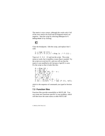The matrix is now correct, although this works only if all of the rows need to be fixed and all diagonal entries are negative. Stop the script by selecting  $Debug \triangleright \exists x \exists t$ Debug Mode or by clicking:

Clear the breakpoint. Edit the script, and replace line 5 with:

$$
s = sign (d (i));
$$
  
A (i,i) = A (i,i) + diag (s.\* f (i));

Type  $A = \begin{bmatrix} -1 \\ 2 \\ 1 \\ -1 \end{bmatrix}$  and run the script. The script seems to work, but it modifies A more than is needed. Try the script on  $A = zeroS(4)$ , and you will see that the matrix is not modified at all, because  $sign(0)$  is zero. Fix the script so that it looks like this:

G GLDJ\$ D DEVG I VXPDEV\$²D L ILQGI! D >PQ@ VL]H\$ N LL
P WRO 
HSV V 
GL!  \$N WRO
V
PD[ILWRO

which is the sequence of commands you typed in Section 5.5.

# **7.3 Function files**

Function files provide extensibility to MATLAB. You can create new functions specific to your problem, which will then have the same status as other MATLAB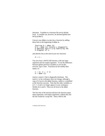functions. Variables in a function file are by default local. A variable can, however, be declared global (see help qlobal).

Convert your ddom. m script into a function by adding these lines at the beginning of ddom.m:

```
\text{Function } \mathsf{R} = \text{ddom}(\mathsf{A})\% B = ddom (A) returns a diagonally
% dominant matrix B by modifying the
% diagonal of A.
```
and add this line at the end of your new function:

 $B = A$ :

You now have a MATLAB function, with one input argument and one output argument. To see the difference between global and local variables as you do this exercise, type clear. Functions do not modify their inputs, so:

 $C = [1 -2; -11]$  $D = \bar{d}$ dom  $(\dot{C})$ 

returns a matrix C that is diagonally dominant. The matrix C in the workspace does not change, although a copy of it local to the ddom function, called A, is modified as the function executes. Note that the other variables, a,  $d, f, i, k$  and  $s$  no longer appear in your workspace. Neither do  $\Delta$  and  $\beta$ . These are all local to the ddom function.

The first line of the function declares the function name, input arguments, and output arguments; without this line the file would be a script file. Then a MATLAB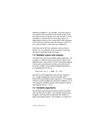statement  $D = ddom(C)$ , for example, causes the matrix C to be passed as the variable A in the function and causes the output result to be passed out to the variable  $D$ . Since variables in a function file are local, their names are independent of those in the current MATLAB workspace. Your workspace will have only the matrices C and D. If you want to modify C itself, then use  $C = ddom(C)$ .

Lines that start with % are comments; more on this in Section 7.6. An optional return statement causes the function to finish and return its outputs.

# **7.4 Multiple inputs and outputs**

A function may also have multiple output arguments. For example, it would be useful to provide the caller of the ddom function some control over how strong the diagonal is to be and to provide more results, such as the list of rows (the variable  $\overline{\mathbf{i}}$ ) that violated diagonal dominance. Try changing the first line to:

 $function [B,i] = ddom (A, tol)$ 

and add a % at the beginning of the line that computes tol. Single assignments can also be made with a function having multiple output arguments. For example, with this version of ddom, the statement  $D = dd$ om $(C, 0, 1)$ will assign the modified matrix to the variable D without returning the vector *i*. Try it.

# **7.5 Variable arguments**

Not all inputs and outputs of a function need be present when the function is called. The variables nargin and nargout can be queried to determine the number of inputs and outputs present. For example, we could use a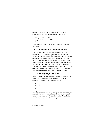default tolerance if tol is not present. Add these statements in place of the line that computed to l:

```
if (nargin == 1)
tol = 100 * eps ;
end
```
An example of both nargin and nargout is given in Section 8.1

# **7.6 Comments and documentation**

The % symbol indicates that the rest of the line is a comment; MATLAB will ignore the rest of the line. Moreover, the first contiguous comment lines are used to document the M-file. They are available to the online help facility and will be displayed if, for example,  $help$ ddom is entered. Such documentation should always be included in a function file. Since you've modified the function to add new inputs and outputs, edit your script to describe the variables  $\mathbf i$  and  $\mathbf tol$ . Be sure to state what the default value of tol is. Next, type help ddom.

# **7.7 Entering large matrices**

Script files may be used to enter data into a large matrix; in such a file, entry errors can be easily corrected. If, for example, one enters in a file amatrix.m:

```
A = [1234
5 6 7 8
];
```
then the command amatrix causes the assignment given in amatrix. m to be carried out. However, it is usually easier to use load (see Section 2.7) or the Array Editor (see Section 2.6), rather than a script.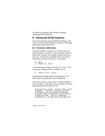An M-file can reference other M-files, including referencing itself recursively.

# **8. Advanced M-file features**

This section describes advanced M-file techniques, such as how to pass function references and how to write highperformance code in MATLAB.

# **8.1 Function references**

A function handle is a reference to a function that can then be treated as a variable. It can be copied, stored in a matrix (not a numeric one, though), placed in cell array, and so on. Its final use is normally to pass it to  $feval$ , which then evaluates the function. For example,

 $h = \alpha \sin$  $y = \text{few}$ al (h. pi/2)

is the same thing as simply  $v = \sin(\pi/2)$ . Try it. You can also use a string to refer to a function, as in:

y = feval ('sin', pi/2)

but the function handle method is more general. See help function handle for more information.

The bisect function, below, takes a function handle as one of its inputs. It also gives you an example of nargin and nargout (see also Section 7.5).

```
function [b, steps] = bisect (fun, x, tol)% BISECT: Zero of a function of one
% variable via the bisection method.
% bisect (fun.x) returns a zero of the
% function fun. fun is a function
% handle or a string with the name of a
```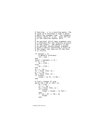```
% function. x is a starting guess. The
% value of b returned is near a point
% where fun changes sign. For example,
% bisect (@sin,3) is pi. Note the use
% of the function handle, @sin.%% An optional third input argument sets
% a tolerance for the relative accuracy
% of the result. The default is eps.
% An optional second output argument
% gives a matrix containing a trace of
% the steps; the rows are of the form
% [c (f(c))].
if (nargin < 3)
    % default tolerance
    tol = eps;
end
trace = (nargout == 2);
if (x \sim 0)dx = x/20;
else
    dx = 1/20;
end
a = x - dx :
fa = fewal (fun, a) :
b = x + dxfb = fewal (fun, b);
if (trace)
    steps = [a fa ; b fb] ;
end
% find a change of sign
while (fa > 0) = (fb > 0)dx = 2 * dx;
    a = x - dx;
    fa = fewa1 (fun, a) :
    if (trace)
        steps = [steps ; [a fa]];
    end
    if (fa > 0) \sim = (fb > 0)hreak
    end
```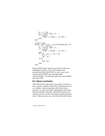```
b = x + dx;
     fb = fewal (fun. b) :
     if (trace)
          \text{steps} = [\text{steps} : [\text{b} \text{ fb}] ];
     end
end
% main loop
while (abs'(b-a) > 2*tol*max(abs(b).1))c = a + (b-a)/2;
     fc = fewal (fun, c);
     if (trace)
          \text{steps} = [\text{steps} : [\text{c fc}]];
     end
     if (fb > 0) == (fc > 0)b = c;
          fb = fc:
     else
          a = c;
          fa = f\acute{c}:
     end
end
```
Some of MATLAB's functions are built in; others are distributed as M-files. The actual listing of any non-built-in M-file, MATLAB's or your own, can be viewed with the MATLAB command type functionname. Try entering type eig, type vander, and type rank.

#### **8.2 Name resolution**

When MATLAB comes upon a new name, it resolves it into a specific variable or function by checking to see if it is a variable, a built-in function, a file in the current directory, or a file in the MATLAB path (in order of the directories listed in the path). MATLAB uses the first variable, function, or file it encounters with the specified name. There are other cases; see Help: MATLAB: Using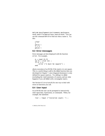MATLAB: Development Environment: Workspace, Path, and File Operations: Search Path, You can use the command which to find out what a name is. Try this:

```
clear
i.
which i
i = 3which i
```
#### **8.3 Error messages**

Error messages are best displayed with the function error. For example,

```
A = rand(4.3)[m n] = size (A);
\overline{if} m \sim = n
error ('A must be square') ;
And
```
aborts execution of an M-file if the matrix A is not square. This is a useful thing to add to the ddom function that you developed in Chapter 7, since diagonal dominance is only defined for square matrices. Try adding it to ddom (excluding the rand statement, of course), and see what happens if you call ddom with a rectangular matrix.

See Section 6.5 ( $try/catch$ ) for one way to deal with errors in functions you call.

#### **8.4 User input**

In an M-file the user can be prompted to interactively enter input data, expressions, or commands. When, for example, the statement:

```
iter = input ('iteration count: ') ;
```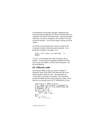is encountered, the prompt message is displayed and execution pauses while the user keys in the input data (or, in general, any MATLAB expression). Upon pressing the return key, the data is assigned to the variable iter and execution resumes. You can also input a string; see help input.

An M-file can be paused until a return is typed in the Command window with the pause command. It is a good idea to display a message, as in:

```
disp ('Hit enter to continue: ') ;
pause
```
A Ctrl-C will terminate the script or function that is paused. A more general command, keyboard, allows you to type any number of MATLAB commands. See help keyboard.

# **8.5 Efficient code**

The function ddom. m that you wrote in Chapter 7 illustrates some of the MATLAB features that can be used to produce efficient code. All operations are "vectorized," and loops are avoided. We could have written the ddom function using nested for loops, much like how you would write it in C, FORTRAN, or Java:

```
function B = ddom (A,tol)% B = ddom (A) returns a diagonally
% dominant matrix B by modifying the
% diagonal of A.
[m n] = size (A);
if (nargin == 1)\text{tol} = 100 * eps ;
end
for i = 1:nd = A (i, i);
```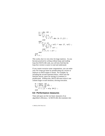```
a = abs(d);
    f = 0;for i = 1:nif (i \sim= j)
            f = f' + abs (A (i, i)):
        end
    end
    if (f \ge a)aii = (1 + tol) * max (f. tol):
        if (d < 0)aii = -aii :
        end
        A (i, i) = aii;end
end
B = A;
```
This works, but it is very slow for large matrices. As you become practiced in writing without loops and reading loop-free MATLAB code, you will also find that the loop-free version is easier to read and understand.

If you cannot vectorize some computations, you can make your for loops go faster by preallocating any vectors or matrices in which output is stored. For example, by including the second statement below, which uses the function zeros, space for storing  $E$  in memory is preallocated. Without this, MATLAB must resize  $E$  one column larger in each iteration, slowing execution.

```
M = magic(6);
E = zeros (6, 50);
for i = 1:50\check{\mathsf{E}} (:, i) = eig (M^i);
end
```
#### **8.6 Performance measures**

Time and space are the two basic measures of an algorithm's efficiency. In MATLAB, this translates into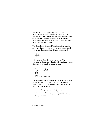the number of floating-point operations (flops) performed, the elapsed time, the CPU time, and the memory space used. MATLAB no longer provides a flop count because it uses high-performance block matrix algorithms that make it difficult to count the actual flops performed. See help flops.

The elapsed time (in seconds) can be obtained with the stopwatch timers tic and toc; tic starts the timer and toc returns the elapsed time. Hence, the commands:

tic statement toc

will return the elapsed time for execution of the statement. The elapsed time for solving a linear system above can be obtained, for example, with:

```
n = 500 ;
A = rand(n) ;
b = \text{rand}(n,1) ;
tic
x = A \ b :
toc
r = norm (A*x-b)
```
The norm of the residual is also computed. You may wish to compare  $x = A \ B$  with  $x = \infty$  (A)\*b for solving the linear system. Try it. You will generally find  $A \ b$  to be faster and more accurate.

If there are other programs running at the same time on your computer, elapsed time will not be an accurate measure of performance. Try using cputime instead. See help cputime.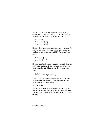MATLAB runs faster if you can restructure your computations to use less memory. Type the following and select n to be some large integer, such as:

 $n = 16000$  ;  $a = rand(n,1)$  ;  $b = \text{rand}(1, n)$  ;  $c = rand(n,1)$ ;

Here are three ways of computing the same vector  $x$ . The first one uses hardly any extra memory, the second and third use a huge amount (about 2GB). Try them (good luck!).

 $x = a^*(b^*c)$ ;  $x = (a * b) * c$ :  $x = a^*b^*c$ :

No measure of peak memory usage is provided. You can find out the total size of your workspace, in bytes, with the command whos. The total can also be computed with:

```
s =whos
space = sum (s.bvtes])
```
Try it. This does not give the peak memory used while inside a MATLAB operator or function, though. See help memory for more options.

#### **8.7 Profile**

MATLAB provides an M-file profiler that lets you see how much computation time each line of an M-file uses. The command to use is profile (see help profile for details).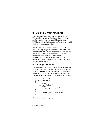# **9. Calling C from MATLAB**

There are times when MATLAB itself is not enough. You may have a large application or library written in another language that you would like to use from MATLAB, or it might be that the performance of your Mfile is not what you would like.

MATLAB can call routines written in C, FORTRAN, or Java. Similarly, programs written in C and FORTRAN can call MATLAB. In this chapter, we will just look at how to call a C routine from MATLAB. For more information, see Help: MATLAB: External Interfaces/API, or see the online MATLAB document *External Interfaces*. This discussion assumes that you already know C.

# **9.1 A simple example**

A routine written in C that can be called from MATLAB is called a MEX-file. The routine must always have the name mexFunction, and the arguments to this routine are always the same. Here is a very simple MEX-file; type it in as the file  $he$ lo.c in your favorite text editor.

```
#include "mex.h"
void mexFunction
€
    int nlhs,
    mxArray *plhs [ ],
    int nrhs.
    const mxArray *prhs [ ]\mathcal{C}\{maxPrintf ("hello world\n") ;
`
```
Compile and run it by typing: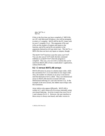```
mex hello.c
hello
```
If this is the first time you have compiled a C MEX-file on a PC with Microsoft Windows, you will be prompted to select a C compiler. MATLAB for the PC comes with its own C compiler ( $\text{loc}$ ). The arguments n $\text{lns}$  and n rhs are the number of outputs and inputs to the function, and phs and prhs are pointers to the arguments themselves (of type  $mxArray$ ). This hello.c MEX-file does not have any inputs or outputs, though.

The mexprintf function is just the same as printf. You can also use printf itself; the mex command redefines it as  $mexPrint$  when the program is compiled. This way, you can write a routine that can be used from MATLAB or from a stand-alone C application, without MATLAB.

#### **9.2 C versus MATLAB arrays**

MATLAB stores its arrays in column major order, while the convention for C is to store them in row major order. Also, the number of columns in an array is not known until the mexFunction is called. Thus, two-dimensional arrays in MATLAB must be accessed with onedimensional indexing in C (see also Section 5.5). In the example in the next section, the INDEX macro helps with this translation.

Array indices also appear differently. MATLAB is written in C, and it stores all of its arrays internally using zero-based indexing. An  $m$ -by-n matrix has rows 0 to  $m$ -1 and columns 0 to  $n-1$ . However, the user interface to these arrays is always one-based, and index vectors in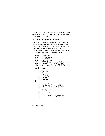MATLAB are always one-based. In the example below, one is added to the  $List$  array returned by diagdom to account for this difference.

### **9.3 A matrix computation in C**

In Chapters 7 and 8, you wrote the function ddom.m. Here is the same function written as an ANSI C MEXfile. Compare the diagdom routine, below, with the loop-based version of ddom. m in Section 8.5. The MATLAB mx and mex routines are described in Section 9.4. To save space, the comments are terse.

```
#include "mex.h"
#include "matrix.h"
#include \ltstdlib.h>
#inc]ude <float.h>
#define INDEX(i,j,m) ((i)+(j)*(m))#define ABS(x) ((x) >= 0 ? (x) : -(x))
#define MAX(x,y) (((x)>(y)) ? (x):(y))
void diagdom
C
    double *A.
    int n.
    double *B.
    double to<sup>1</sup>.
    int *List.
    int *nList
\sum\{int i, j, k;
double d, a, f, bij, bii ;
    for (k = 0; k < n^*n; k++)\{B [k] = A [k];
\left\{\begin{array}{c}1\end{array}\right\}if (tol < 0)
    \{tol = 100 * DELEPSILON ;
    '
```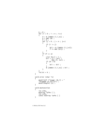```
k = 0 :
   for (i = 0 ; i < n ; i++)\{d = B [INDEX (i, i, n)];
       a = ABS(d);
       f = 0;for (j = 0 ; j < n ; j++)\{ \}if (i != j)<br>{
\{bij = B [INDEX (i,j,n)];
           \uparrow += ABS (bij) ;
\qquad \qquad \}\}if (f \ge a)\{ \}List [k++) = i ;bii = (1 + \text{tol}) *
                MAX (f, tol);
           if (d < 0)\{bii = -bii ;<br>}
\}B [INDEX (i,i,n)] = bii;\qquad \qquad \}\}*nList = k;
}
void error (char *s)
\{maxPrintf ("Usage: [B, i] = ""diagdom (A,t_0]n");
   mexErrMsqrt(x);
}
void mexFunction
C
   int nlhs,
   mxArray *plhs [ ],
   int nrhs,
   const mxArray *prhs \lceil \rceil\mathcal{L}
```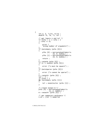```
int n, k, *List, nList;
double *A, *B, *I, tol;
/* get inputs A and tol */if (nlhs > 2 || nrhs > 2<br>|| nrhs == 0)
   nrhs == 0\dot{\mathcal{X}}error (
     "Wrong number of arguments") ;
}<br>if
   (mxIsempty (prhs [0]))
\{plhs [0] = mxCreateDoubleMatrix(0, 0, m \times R EAL) ;
     plhs [1] = mxCreateDoubleMatrix(0, 0, m \times R EAL) ;
     return :
}
n = m \times GetN (prhs [0])
if (n != mxGetM (pr\overline{hs} (01))
\{error ("A must be square") :
}<br>if
    (mxIsgarse (prhs [0]))\{error ("A cannot be sparse") ;
`
A = mxGetPr (prhs [0]) ;
tol = -1;
if (nrhs >1&& !mxIsEmpty (prhs [1]))
\{tol = mxGetscalar (prhs [1]);
}
\frac{1}{2} create output B \frac{x}{2}p]hs [0] = mxCreateDoub]eMatrix
             (n, n, m \times R EAL);
B = mxGetPr (plhs [0]) :
\frac{4}{3} qet temporary workspace \frac{x}{\sqrt{2}}List = (int *) mxMalloc
```
 $\mathcal{E}$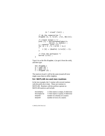```
(n * sizeof (int)):
    \frac{1}{2} do the computation \frac{1}{2}diagdom(A, n, B, tol, List, & nList);/* create output I */\text{p}lhs \lceil 1 \rceil = \text{mx}CreateDoubleMatrix
                 (nList, 1, mxREAL);
    I = mxGetPr (plhs [1])
    for (k = 0; k < nList; k++)\{I [k] = (double) (List[k] + 1);}
    I^* free the workspace *mxFree (List) ;
`
```
Type it in as the file  $diagdom.c$  (or get it from the web), and then type:

mex diagdom.c  $A = rand(6)$  ;  $B = ddom(A)$ ;  $C =$  diadom  $(A)$  :

The matrices B and C will be the same (round-off error might cause them to differ slightly).

#### **9.4 MATLAB mx and mex routines**

In the last example, the C routine calls several routines with the prefix  $mx$  or mex. These are routines in MATLAB. Routines with  $mx$  prefixes operate on MATLAB matrices and include:

| mxIsEmpty  | 1 if the matrix is empty, 0 otherwise  |
|------------|----------------------------------------|
| mxIsSparse | 1 if the matrix is sparse, 0 otherwise |
| mxGetN     | number of columns of a matrix          |
| mxGetM     | number of rows of a matrix             |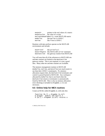| mxGetPr                                   | pointer to the real values of a matrix |  |
|-------------------------------------------|----------------------------------------|--|
|                                           | mxGetScalar the value of a scalar      |  |
| mxCreateDoubleMatrix create MATLAB matrix |                                        |  |
| mxMalloc                                  | like malloc in ANSIC                   |  |
| mxFree                                    | like free in ANSI C                    |  |

Routines with mex prefixes operate on the MATLAB environment and include:

| mexPrintf   | like $print$ f in C                        |
|-------------|--------------------------------------------|
|             | mexErrMsqTxt like MATLAB's error statement |
| mexFunction | the gateway routine from MATLAB            |

You will note that all of the references to MATLAB's mx and  $\text{max}$  routines are limited to the  $\text{maxFunction}$ gateway routine. This is not required; it is just a good idea. Many other  $mx$  and mex routines are available.

The memory management routines in MATLAB  $(mxMa]$ loc,  $mx$ Free, and  $mxCal$ loc) are much easier to use than their ANSI C counterparts. If a memory allocation request fails, the mexFunction terminates and control is passed backed to MATLAB. Any workspace allocated by  $m \times M$ ] loc that is not freed when the mexFunction returns or terminates is automatically freed by MATLAB. This is why no memory allocation error checking is included in  $d$ **i** and  $c$ ; it is not necessary.

#### **9.5 Online help for MEX routines**

Create an M-file called  $diagdom.m$ , with only this:

```
function [B, i] = diagdom (A, tol)% diagom: modify the matrix A
% [B, \tilde{i}] = diagdom (A, tol) returns a
```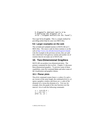```
% diagonally dominant matrix B by \,% modifying the diagonal of A. \,error ('diagdom mexFunction not found');
```
Now type help diagdom. This is a simple method for providing online help for your own MEX-files.

## **9.6 Larger examples on the web**

The  $co$ lamd and symamd routines in MATLAB are C MEX-files. The source code for these routines is on the web at [http://www.cise.ufl.edu/research/sparse/colamd.](http://www.cise.ufl.edu/research/sparse/colamd) Like the example in the previous section, they are split into a mexFunction gateway routine and another set of routines that do not make use of MATLAB.

# **10. Two-Dimensional Graphics**

MATLAB can produce two-dimensional plots. The primary command for this is plot. Chapter 11 discusses three-dimensional graphics. To preview some of these capabilities, enter the command demo and select some of the visualization and graphics demos.

# **10.1 Planar plots**

The plot command creates linear  $x-y$  plots; if  $x$  and  $y$ are vectors of the same length, the command  $plot(x, y)$ opens a graphics window and draws an x–y plot of the elements of y versus the elements of x. You can, for example, draw the graph of the sine function over the interval −4 to 4 with the following commands:

 $x = -4:0.01:4$ :  $y = sin(x)$  ; plot (x, y) ;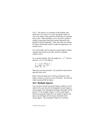Try it. The vector  $x$  is a partition of the domain with mesh size  $0.01$ , and  $\gamma$  is a vector giving the values of sine at the nodes of this partition (recall that  $sin$  operates entry-wise). When plotting a curve, the  $p$  ot routine is actually connecting consecutive points induced by the partition with line segments. Thus, the mesh size should be chosen sufficiently small to render the appearance of a smooth curve.

You will usually want to keep the current Figure window exposed, but moved to the side, and the Command window active.

As a second example, draw the graph of  $y = e^{-x^2}$  over the interval -1.5 to 1.5 as follows:

 $x = -1.5: .01:1.5$ :  $y = exp (-x.\lambda 2)$ ;  $p$ lot  $(x, y)$  ;

Note that you must precede  $\wedge$  by a period to ensure that it operates entry-wise.

 $Seler \cdot \text{Tools} \rightarrow \text{Toom} \cdot \text{Tooc} \cdot \text{Tooc} \cdot \text{Tooc}$  and  $\text{Out} \cdot \text{in the}$ Figure window to zoom in or out of the plot. See also the  $\Delta$ zoom command (help zoom).

#### **10.2 Multiple figures**

You can have several concurrent Figure windows, one of which will at any time be the designated current figure in which graphs from subsequent plotting commands will be placed. If, for example, Figure 1 is the current figure, then the command  $figure(2)$  (or simply  $figure$ ) will open a second figure (if necessary) and make it the current figure. The command  $figure(1)$  will then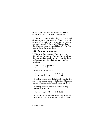expose Figure 1 and make it again the current figure. The command  $qcf$  returns the current figure number.

MATLAB does not draw a plot right away. It waits until all computations are finished, until a figure command is encountered, or until the script or function requests user input (see Section 8.4). To force MATLAB to draw a plot right away, use the command  $figure(qcf)$ . This does not change the current figure.

# **10.3 Graph of a function**

MATLAB supplies a function fplot to easily and efficiently plot the graph of a function. For example, to plot the graph of the function above, you can first define the function in an M-file called, say,  $exponential.m$ containing:

function  $y =$  expnormal  $(x)$  $y = exp(-x. \wedge 2)$ ;

Then either of the commands:

```
fp]ot ('expnorma]', [-1.5 1.5]) ;
fplot (@expnormal, [-1.5\;1.5]) ;
```
will produce the graph over the indicated x-domain. The first one uses a string to refer to the function. The second one uses a function handle (which is preferred). Try it.

A faster way to see the same result without creating expnormal.m would be:

```
fplot ('exp(-x^2)', [-1.5 1.5]);
```
The variable  $x$  in the expression above is a place-holder; it need not exist and can be any arbitrary variable name.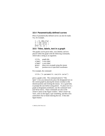#### **10.4 Parametrically defined curves**

Plots of parametrically defined curves can also be made. Try, for example,

 $t = 0: .001:2*pi$ ;  $x = \cos(3*t)$ ;  $y = \sin(2 \cdot t)$ ;  $plot(x, y)$ ;

#### **10.5 Titles, labels, text in a graph**

The graphs can be given titles, axes labeled, and text placed within the graph with the following commands, which take a string as an argument.

| title  | graph title                            |
|--------|----------------------------------------|
| xlabel | x-axis label                           |
| ylabel | y-axis label                           |
| qtext  | place text on graph using the mouse    |
| text   | position text at specified coordinates |
|        |                                        |

For example, the command:

title ('A parametric cos/sin curve')

gives a graph a title. The command  $\mathtt{gtext('The}$ Spot') lets you interactively place the designated text on the current graph by placing the mouse crosshair at the desired position and clicking the mouse. It is a good idea to prompt the user before using qtext. To place text in a graph at designated coordinates, use the command text (see  $help$  text). These commands are also in the Insert menu in the Figure window. Select Insert  $\blacktriangleright$ Text, click on the figure, type something, and then click somewhere else to finish entering the text. If the editfigure button: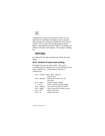

is depressed (or select  $\text{Tools} \triangleright \text{Edit Plot}$ ), you can right-click on anything in the figure and see a pop-up menu that gives you options to modify the item you just clicked. You can also click and drag objects on the figure. Selecting  $Edit \triangleright$  Axes Properties brings up a window with many more options. For example, clicking the:

#### Grid **V** Show

box adds grid lines (the command  $\eta$ <sup>id</sup> does the same thing).

### **10.6 Control of axes and scaling**

By default, the axes are auto-scaled. This can be overridden by the command  $axis$  or by selecting  $Edit \rightarrow$ Axes Properties. Some features of the axis command are:

|               | axis ([xmin xmax ymin ymax])     |  |  |
|---------------|----------------------------------|--|--|
| sets the axes |                                  |  |  |
| axis manual   | freezes the current axes for     |  |  |
|               | new plots                        |  |  |
| axis auto     | returns to auto-scaling          |  |  |
| $v = axis$    | vector v shows current scaling   |  |  |
| axis square   | axes same size (but not scale)   |  |  |
|               |                                  |  |  |
| axis equal    | same scale and tic marks on axes |  |  |
| axis off      | removes the axes                 |  |  |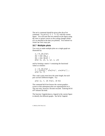The  $axis$  command should be given after the plot command. Try  $axis([-2 2 -3 3])$  with the current figure. You will note that text entered on the figure using the text or qtext moves as the scaling changes (think of it as attached to the data you plotted). Text entered via Insert  $\blacktriangleright$  Text stays put.

## **10.7 Multiple plots**

Two ways to make multiple plots on a single graph are illustrated by:

```
x = 0: .01:2*pi;v1 = sin(x);
y2 = sin (2*x) ;
y3 = sin(4*x) ;
plot (x, y1, x, y2, x, y3)
```
and by forming a matrix Y containing the functional values as columns:

```
x = 0: .01:2*pi;Y_= [sin(x)', sin(2*x)', sin(4*x)'] ;
plot(x, Y)
```
The  $x$  and  $y$  pairs must have the same length, but each pair can have different lengths. Try:

```
plot (x, Y, [0 2*pi], [0 0])
```
The command hold on freezes the current graphics screen so that subsequent plots are superimposed on it. The axes may, however, become rescaled. Entering hold off releases the hold.

The function legend places a legend in the current figure to identify the different graphs. See help legend.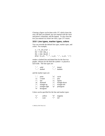Clearing a figure can be done with  $c$  of  $f$ , which clears the axes, the data you plotted, any text entered with the text and gtext commands, and the legend. To also clear the text you entered via Insert > Text, type clf reset.

#### **10.8 Line types, marker types, colors**

You can override the default line types, marker types, and colors. For example,

```
x = 0: .01:2*pi;
y1 = sin(x);
y2 = sin(2*x);y3 = sin(4*x);
plot (x,y1, '--', x,y2, ':', x,y3, '+')
```
renders a dashed line and dotted line for the first two graphs, whereas for the third the symbol  $+$  is placed at each node. The line types are:

| solid          | . | dotted                  |
|----------------|---|-------------------------|
| $"---"$ dashed |   | $ \blacksquare$ dashdot |

and the marker types are:

| л.                     | point          | י ח'      | circle        |
|------------------------|----------------|-----------|---------------|
| $\mathbf{y}$           | x-mark         | $'$ + $'$ | plus          |
| $1 \times 1$           | star           | י פ'      | square        |
| 'd'                    | diamond        | י ע'      | triangle-down |
| $\mathbf{1}_{\Lambda}$ | triangle-up    | ا > '     | triangle-left |
| !                      | triangle-right | 'p'       | pentagram     |
| $\cdot$ h $\cdot$      | hexagram       |           |               |

Colors can be specified for the line and marker types:

| "v"  | yellow | 'm'          | magenta |
|------|--------|--------------|---------|
| י בי | cyan   | $\mathbf{r}$ | red     |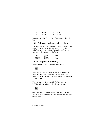| 'g' | green | 'h' | blue  |
|-----|-------|-----|-------|
| 'w' | white | 'k' | black |

For example,  $plot(x, y1, 'r--')$  plots a red dashed line.

#### **10.9 Subplots and specialized plots**

The command subplot partitions a figure so that several small plots can be placed in one figure. See help subplot. Other specialized planar plotting functions you may wish to explore via help are:

| bar     | fill  | quiver |
|---------|-------|--------|
| compass | hist  | rose   |
| feather | polar | stairs |

### **10.10 Graphics hard copy**

Select  $\text{File} \triangleright \text{Print}$  or click the print button:



in the Figure window to send a copy of your figure to your default printer. Layout options and selecting a printer can be done with  $\text{File} \rightarrow \text{Page}$  Setup and  $\text{File} \rightarrow$ Print Setup.

You can save the figure as a file for later use in a MATLAB Figure window. Try the save button:



or  $\text{File} \triangleright \text{Save}$ . This saves the figure as a . fig file, which can be later opened in the Figure window with the open button: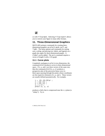

or with  $\text{File} \triangleright \text{Open}$ . Selecting  $\text{File} \triangleright \text{Export}$  allows you to convert your figure to many other formats.

## **11. Three-Dimensional Graphics**

MATLAB's primary commands for creating threedimensional graphics are plot3, mesh, surf, and light. The menu options and commands for setting axes, scaling, and placing text, labels, and legends on a graph also apply for three-dimensional graphs. A zlabel can be added. The axis command requires a vector of length 6 with a 3-D graph.

## **11.1 Curve plots**

Completely analogous to plot in two dimensions, the command plot3 produces curves in three-dimensional space. If  $x$ ,  $y$ , and  $z$  are three vectors of the same size, then the command  $p\not\to 3(x, y, z)$  produces a perspective plot of the piecewise linear curve in three-space passing through the points whose coordinates are the respective elements of  $x, y$ , and  $z$ . These vectors are usually defined parametrically. For example,

```
t = .01: .01:20*pi:
x = \cos(t);
y = sin(t) ;
Z = t . 43plot3 (x, y, z)
```
produces a helix that is compressed near the x–y plane (a "slinky"). Try it.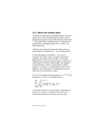## **11.2 Mesh and surface plots**

The mesh command draws three-dimensional wire mesh surface plots. The command  $mesh(z)$  creates a threedimensional perspective plot of the elements of the matrix z. The mesh surface is defined by the z-coordinates of points above a rectangular grid in the x–y plane. Try  $mesh(eye(20))$ .

Similarly, three-dimensional faceted surface plots are drawn with the command surf. Try surf $(eve(20))$ .

To draw the graph of a function  $z = f(x, y)$  over a rectangle, first define vectors  $xx$  and  $yy$ , which give partitions of the sides of the rectangle. The function  $m$ eshqrid(xx, yy) then creates a matrix x, each row of which equals  $xx$  (whose column length is the length of  $\langle y \rangle$  and similarly a matrix  $\gamma$ , each column of which equals  $\forall v$ . A matrix  $z$ , to which mesh or surf can be applied, is then computed by evaluating the function f entry-wise over the matrices  $x$  and  $y$ .

You can, for example, draw the graph of  $z = e^{-x^2 - y^2}$  over the square  $[-2, 2] \times [-2, 2]$  as follows (try it):

```
xx = -2: .2:2:
\overline{Y} = XX :
[x, y] = meshgrid (xx, yy);
z = exp (-x.^2 - y.^2) ;
mesh (z)
```
Try this plot with surf instead of mesh. Note that you must use  $x \cdot \lambda$  and  $y \cdot \lambda$  instead of  $x \lambda$  and  $y \lambda$  and  $y \lambda$  and  $y \lambda$ ensure that the function acts entry-wise on  $x$  and  $y$ .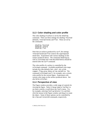## **11.3 Color shading and color profile**

The color shading of surfaces is set by the shading command. There are three settings for shading: faceted (default), interpolated, and flat. These are set by the commands:

```
shading faceted
shading interp
shading flat
```
Note that on surfaces produced by surf, the settings interpolated and flat remove the superimposed mesh lines. Experiment with various shadings on the surface produced above. The command shading (as well as colormap and view described below) should be entered after the surf command.

The color profile of a surface is controlled by the colormap command. Available predefined color maps  $include$  hsv (the default), hot, cool, jet, pink, copper, flag, gray, bone,  $prism$ , and white. The command  $colormap$  (cool), for example, sets a certain color profile for the current figure. Experiment with various color maps on the surface produced above. See also help colorbar.

#### **11.4 Perspective of view**

The Figure window provides a wide range of controls for viewing the figure. Select  $View$   $\blacktriangleright$  Camera Toolbar to see these controls, or pull down the Tools menu. Try, for example, selecting  $Tools \triangleright$  Rotate 3-D, and then click the mouse in the Figure window and drag it to rotate the object. Some of these options can be controlled by the view and rotate3d commands, respectively.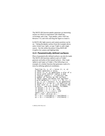The MATLAB function peaks generates an interesting surface on which to experiment with shading,  $colormap$ , and view. Type peaks, select Tools  $\blacktriangleright$ Rotate 3-D, and click and drag the figure to rotate it.

In MATLAB, light sources and camera position can be set. Taking the peaks surface from the example above, select Insert  $\blacktriangleright$  Light, or type light to add a light source. See the online document *Using MATLAB Graphics* for camera and lighting help.

## **11.5 Parametrically defined surfaces**

Plots of parametrically defined surfaces can also be made. The MATLAB functions sphere and  $cyline$ generate such plots of the named surfaces. (See type sphere and type cylinder.) The following is an example of a similar function that generates a plot of a torus by utilizing spherical coordinates.

```
function [x, y, z] = \text{torus}(r, n, a)% TORUS Generate a torus.
% torus (r, n, a) generates a plot of a
% torus with central radius a and
% lateral radius r. n controls the
% number of facets on the surface.
% These input variables are optional
% with defaults r = 0.5. n = 30. a = 1.
\% [x, y, z] = torus(r, n, a) generates
% three (n + 1)-by-(n + 1) matrices so
% that surf (x, y, z) will produce the
% torus. See also SPHERE, CYLINDER.
if nargin < 3, a = 1; end
if nargin < 2, n = 30 ; end
if nargin < 1, r = 0.5 ; end
theta = pi * (0:2:2*n)/n ;
phi = 2*pi* (0:2:n)'/n ;
xx = (a + r * cos(\phi hi)) * cos(theta) ;
yy = (a + r*cos(phi)) * sin(theta) ;
```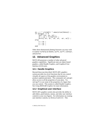```
zz = r * sin(\phi h i) * ones(size(theta));
if nargout == 0surf (xx, yy, zz) ;
ar = (a + r)/sqrt(2) ;
    axis([-ar, ar, -ar, ar, -ar, ar]);
else
    x = xx ;
    y = yy;
    Z = ZZ :
end
```
Other three-dimensional plotting functions you may wish to explore via help are meshz, surfc, surfl, contour, and pcolor.

## **12. Advanced Graphics**

MATLAB possesses a number of other advanced graphics capabilities. Significant ones are object-based graphics, called Handle Graphics, and Graphical User Interface (GUI) tools.

## **12.1 Handle Graphics**

Beyond those just described, MATLAB's graphics system provides low-level functions that let you control virtually all aspects of the graphics environment to produce sophisticated plots. The commands set and  $qet$ allow access to all the properties of your plots. Try  $set(qcf)$  to see some of the properties of a figure that you can control. This system is called Handle Graphics. See *Using MATLAB Graphics* for more information.

## **12.2 Graphical user interface**

MATLAB's graphics system also provides the ability to add sliders, push-buttons, menus, and other user interface controls to your own figures. For information on creating user interface controls, try help uicontrol. This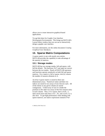allows you to create interactive graphical-based applications.

Try guide (short for Graphic User Interface) Development Environment). This brings up MATLAB's Layout Editor window that you can use to interactively design a graphic user interface.

For more information, see the online document *Creating Graphical User Interfaces*.

## **13. Sparse Matrix Computations**

A sparse matrix is one with mostly zero entries. MATLAB provides the capability to take advantage of the sparsity of matrices.

## **13.1 Storage modes**

MATLAB has two storage modes, full and sparse, with full the default. The functions  $full$  and sparse convert between the two modes. Nearly all MATLAB operators and functions operate seamlessly on both full and sparse matrices. For a matrix A, full or sparse,  $nnz(A)$  returns the number of nonzero elements in A.

An m-by-n sparse matrix is stored in three onedimensional arrays. Numerical values and their row indices are stored in two arrays of size  $nnz(A)$  each. All of the entries in any given column are stored contiguously. A third array of size  $n+1$  holds the positions in the other two arrays of the first nonzero entry in each column. Thus, if A is sparse, then  $x = A(9, :)$ takes much more time than  $x = A(:, 9)$ , and  $s = A(4, 5)$  is also slow. To get high performance when dealing with sparse matrices, use matrix expressions instead of for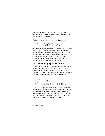loops and vector or scalar expressions. If you must operate on the rows of a sparse matrix A, try working with the columns of A' instead.

If a full tridiagonal matrix  $F$  is created via, say,

```
F = floor (10 * rand(6)) ;
F = \text{triu} (tril (F,1), -1);
```
then the statement  $S = sparse(F)$  will convert F to sparse mode. Try it. Note that the output lists the nonzero entries in column major order along with their row and column indices because of how sparse matrices are stored. The statement  $F = \{ \text{full } | \text{ } (S) \text{ returns } F \text{ in full } \}$ storage mode. You can check the storage mode of a matrix A with the command  $i$  ssparse(A).

## **13.2 Generating sparse matrices**

A sparse matrix is usually generated directly rather than by applying the function sparse to a full matrix.  $A$ sparse banded matrix can be easily created via the function spdiags by specifying diagonals. For example, a familiar sparse tridiagonal matrix is created by:

```
m = 6 :
n = 6 :
e = ones(n,1);
d = -2*e :
\overline{T} = spdiags ([e d e], [-1 0 1], m, n)
```
Try it. The integral vector  $[-1 \ 0 \ 1]$  specifies in which diagonals the columns of  $[e \, d \, e]$  should be placed (use  $full(T)$  to see the full matrix T and  $spy(T)$  to view T graphically). Experiment with other values of  $m$  and  $n$ and, say,  $[-3 \ 0 \ 2]$  instead of  $[-1 \ 0 \ 1]$ . See help spdiags for further features of spdiags.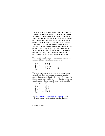The sparse analogs of eye, zeros, ones, and rand for full matrices are, respectively, speye, sparse, spones, and sprand. The latter two take a matrix argument and replace only the nonzero entries with ones and uniformly distributed random numbers, respectively.  $sparse(m, n)$ creates a sparse zero matrix. sprand also permits the sparsity structure to be randomized. This is a useful method for generating simple sparse test matrices, but be careful. Random sparse matrices are not truly "sparse" because of catastrophic fill-in when they are factorized (see Section 13.4). Sparse matrices arising in real applications typically do not share this characteristic.<sup>4</sup>

The versatile function sparse also permits creation of a sparse matrix via listing its nonzero entries:

$$
\begin{array}{rcl}\ni & = & [1\ 2\ 3\ 4\ 4\ 4] \; ; \\
j & = & [1\ 2\ 3\ 1\ 2\ 3] \; ; \\
s & = & [5\ 6\ 7\ 8\ 9\ 10] \; ; \\
S = \text{sparse (i, j, s, 4, 3)} \\
\text{full (S)}\n\end{array}
$$

The last two arguments to sparse in the example above are optional. They tell sparse the dimensions of the matrix; if not present, then S will be  $max(i)$  by  $max(j)$ . If there are repeated entries in  $\begin{bmatrix} i & j \end{bmatrix}$ , then the entries are added together. The commands below create a matrix whose diagonal entries are  $2$ ,  $1$ , and  $1$ .

$$
\begin{array}{rcl}\ni & = & [1 \ 2 \ 3 \ 1] \; ; \\
j & = & [1 \ 2 \ 3 \ 1] \; ; \\
s & = & [1 \ 1 \ 1 \ 1] \; ; \\
S = \text{sparse} \; (i, j, s) \\
\text{full} \; (S)\n\end{array}
$$

 4 See <http://www.cise.ufl.edu/research/sparse/matrices> for a wide range of sparse matrices arising in real applications.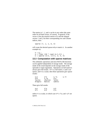The entries in  $\mathbf{i}$ ,  $\mathbf{j}$ , and  $\mathbf{s}$  can be in any order (the same order for all three arrays, of course). In general, if the vector s lists the nonzero entries of  $S$  and the integral vectors i and j list their corresponding row and column indices, then:

```
sparse (i, j, s, m, n)
```
will create the desired sparse  $m$ -by-n matrix S. As another example try:

```
n = 6 :
\ddot{e} = \ddot{f}loor (10 * rand (n-1.1)) :
E = sparse (2:n, 1:n-1, e, n, n)
```
## **13.3 Computation with sparse matrices**

The arithmetic operations and most MATLAB functions can be applied independent of storage mode. The storage mode of the result depends on the storage mode of the operands or input arguments. Operations on full matrices always give full results. If  $F$  is a full matrix,  $S$  and  $S$  are sparse, and n is a scalar, then these operations give sparse results:

| $S + S$     | $S^*S$  | $S.*S$ | $S^*F$ |
|-------------|---------|--------|--------|
| $S\wedge n$ | S.An    | $S\ S$ |        |
| inv(S)      | chol(S) | lu(S)  |        |
| diag(s)     | max(S)  | sum(S) |        |

These give full results:

| $S + F$ | $F \ S$ | S/F |
|---------|---------|-----|
| S*F     | $S\ F$  | F/S |

unless  $\overline{F}$  is a scalar, in which case  $S*F$ ,  $\overline{F}\$ , and  $S/F$  are sparse.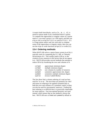A matrix built from blocks, such as  $[A, B; C, D]$ , is stored in sparse mode if any constituent block is sparse. To compute the eigenvalues or singular values of a sparse matrix 6, you must convert 6 to a full matrix and then use eig or svd, as  $eig(full(S))$  or  $svd(full(S))$ . If S is a large sparse matrix and you wish only to compute some of the eigenvalues or singular values, then you can use the eigs or svds functions (eigs $(S)$  or svds $(S)$ ).

### **13.4 Ordering methods**

When MATLAB solves a sparse linear system  $(x = A \ b)$ , it typically starts by computing the LU, QR, or Cholesky factorization of A. This usually leads to fill-in, or the creation of new nonzeros in the factors that do not appear in A. MATLAB provides several methods that attempt to reduce fill-in by reordering the rows and columns of A:

| approximate minimum degree         |
|------------------------------------|
| multiple minimum degree            |
| sort columns by number of nonzeros |
| symmetric approximate min. degree  |
| symmetric multiple minimum degree  |
| reverse Cuthill-McKee              |
|                                    |

The first three find a column ordering of A and are best used for  $\overline{\text{u}}$  or qr. The next three are primarily for chol and return an ordering to be applied symmetrically to both the rows and columns of a symmetric matrix A (they can also be used for unsymmetric matrices). Finding the best ordering is so difficult that it is practically impossible for most matrices. Fast non-optimal heuristics are used instead, which means that no one method is always the best. MATLAB uses colmmd and symmmd by default in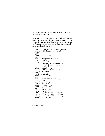$x = A \cdot b$ , although colamd and symamd tend to be faster and find better orderings.

Create the  $try_l$  a function, which also illustrates the use of permutation vectors, the spy, subplot, normest, and etreeplot functions, and how to get a close estimate of the flop count for LU factorization if we assume that all zeros are taken advantage of:

```
function try_lu (A, method, issym)
EXAMPLE 20 IDENT Sparse LU factorization of A
figure (1)
clf reset
subplot (2, 2, 1)spy(A)title ('Original matrix A')
t =cputime;
if (nargin > 2)
S = spones (A) + spones (A');
    p = \text{few}al (method, S);
    A = A (p,p);
elseif (nargin >1)
    q = \text{few}al (method, A);
    A = A (:, q) :
end
torder = cputime - tsubplot (2, 2, 2)spy(A)title ('Permuted matrix A')
t =cputime :
[L, U, P] = \{u(A) :\overline{t}lú = cputime - t
total = torder + tlusubplot (2, 2, 3)S\gamma (L+U)
title ('LU factors')
normest (L*U-P*A)
Lnz = full (sum (spones (L)) - 1;
Unz = <code>full</code> (sum (spones (\mathsf{U}^{\mathsf{I}})))' - <code>1</code> ;
flop_{count} = 2 * Lnz * Unz + sum (Lnz)subplot (2, 2, 4)
```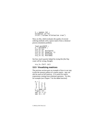```
S = spones (A);
etreeplot (S'*S)
title ('column elimination tree')
```
Next, try this, which evaluates the quality of several ordering methods with a sparse matrix from a chemical process simulation problem:

```
load west0479:A = west0479 :
\forallrv \existsu(A)try_lu (A, @colperm)
try_l (A, @symrem, 1)try_lu (A, @colmmd)
try\_lu (A, @coland)
```
See how much sparsity helped by trying this (the flop count will be wrong, though):

 $try$  lu  $(fu11(A))$ 

### **13.5 Visualizing matrices**

The previous section gave an example of how to use spy to plot the nonzero pattern of a sparse matrix. spy can also be used on full matrices. It is useful for matrix expressions coming from relational operators. Try this, for example (see Chapter 7 for the ddom function):

```
A = [-1 2 3 -40 \t2 -1 \t01 2 9 1
-3 4 1 1]
C = ddom (A\bar{)}figure (2)spy (A \rightarrow C)spy (A > 2)
```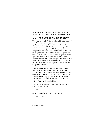What you see is a picture of where A and C differ, and another picture of which entries of A are greater than 2.

## **14. The Symbolic Math Toolbox**

The Symbolic Math Toolbox, which utilizes the Maple V kernel as its computer algebra engine, lets you perform symbolic computation from within MATLAB. Under this configuration, MATLAB's numeric and graphic environment is merged with Maple's symbolic computation capabilities. The toolbox M-files that access these symbolic capabilities have names and syntax that will be natural for the MATLAB user. Key features of the Symbolic Math Toolbox are included in the Student Version of MATLAB. Since the Symbolic Math Toolbox is not part of the Professional Version of MATLAB, it may not be installed on your system, in which case this Chapter will not apply.

Many of the functions in the Symbolic Math Toolbox have the same names as their numeric counterparts. MATLAB selects the correct one depending on the type of inputs to the function. Typing  $help$  eig and  $help$  $sym/e$  ig displays the help for the numeric eigenvalue function and its symbolic counterpart, respectively.

## **14.1 Symbolic variables**

You can declare a variable as symbolic with the syms statement. For example,

#### syms x

creates a symbolic variable  $x$ . The statement:

```
syms x real
```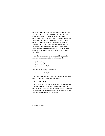declares to Maple that  $x$  is a symbolic variable with no imaginary part. Maple has its own workspace. The statements clear or clear x do **not** undo this declaration, because it clears MATLAB's variable x but not Maple's variable s. Use syms x unreal, which declares to Maple that x may now have a nonzero imaginary part. The clear all statement clears all variables in both MATLAB and Maple, and thus also resets the  $real$  or unreal status of  $x$  You can also assert to Maple that  $x$  is always positive, with syms  $x$ positive.

Symbolic variables can be constructed from existing numeric variables using the sym function. Try:

 $z = 1/10$  $a = sym(z)$  $y = rand(1)$ b = sym (y, 'd')

although a better way to create a is:

a = sym ('1/10')

The syms command and sym function have many more options. See help syms and help sym.

### **14.2 Calculus**

The function diff computes the symbolic derivative of a function defined by a symbolic expression. First, to define a symbolic expression, you should create symbolic variables and then proceed to build an expression as you would mathematically. For example,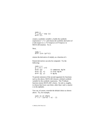syms x  $f = x^2 * exp(x)$  $diff(f)$ 

creates a symbolic variable x, builds the symbolic expression  $f = x^2 e^x$ , and returns the symbolic derivative of *f* with respect to *x*:  $2*x*exp(x)+x^2*exp(x)$  in MATLAB notation. Try it.

Next,

syms t  $diff$  (sin (pi\*t))

returns the derivative of  $sin(\pi t)$ , as a function of *t*.

Partial derivatives can also be computed. Try the following:

SVMS X V  $q = x^*y + x^2$ diff (g) % computes ∂g/∂x diff (g, x) %also ∂g/∂x diff (g, y) % ∂g/∂y

To permit omission of the second argument for functions such as the above, MATLAB chooses a default symbolic variable for the symbolic expression. The findsym function returns MATLAB's choice. Its rule is, roughly, to choose that lower case letter, other than  $i$  and  $j$ , nearest  $x$  in the alphabet.

You can, of course, override the default choice as shown above. Try, for example,

syms  $x1$   $x2$  theta  $F = x * (x1*x2 + x1 - 2)$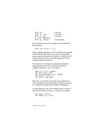```
diff(F) % \partial F/\partial xdiff (F, x1) % \partial F/\partial x1<br>diff (F, x2) % \partial F/\partial x2diff (F, x2)G = \cos (t)heta*x)
diff (G. theta) % ∂G/∂theta
```
The second derivative, for example, can be obtained by the command:

 $diff$  (sin  $(2*x)$ , x, 2)

With a numeric argument, diff is the difference operator of basic MATLAB, which can be used to numerically approximate the derivative of a function. See help diff for the numeric function, and  $he1p$  sym/diff for the symbolic derivative function.

The function  $int$  attempts to compute the indefinite integral (antiderivative) of a function defined by a symbolic expression. Try, for example,

```
syms a b t x y z theta
int (\sin(\vec{a} \cdot \vec{t} + \vec{b}))int (sin (a*theta + b), theta)
int (x*y\wedge2 + y*z, y)int (x \wedge 2 * sin(x))
```
Note that, as with diff, when the second argument of int is omitted, the default symbolic variable (as selected) by  $findsym$ ) is chosen as the variable of integration.

In some instances, int will be unable to give a result in terms of elementary functions. Consider, for example,

```
int (exp (-x^2))int \text{Sqrt } (1 + x^2)
```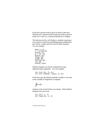In the first case the result is given in terms of the error function erf, whereas in the second, the result is given in terms of  $E1$ liptic $F$ , a function defined by an integral.

The function pretty will display a symbolic expression in an easier-to-read form resembling typeset mathematics (see latex, ccode, and fortran for other formats). Try, for example,

```
svms x a bf' = x/(a*x+b)prety(f)q = int(f)pretty (g)
latex (g)
ccode \overline{q})
fortran(g)int(q)perty' (ans)
```
Definite integrals can also be computed by using additional input arguments. Try, for example,

```
int (sin (x), 0, pi)int (sin (theta), theta. 0. pi)
```
In the first case, the default symbolic variable x was used as the variable of integration to compute:

$$
\int_0^{\pi} \sin x dx
$$

whereas in the second  $\tau$ he $\tau$ a was chosen. Other definite integrals you can try are:

```
int (x^5, 1, 2)
int (\log(x), 1, 4)
```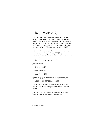```
int (x * exp(x), 0, 2)int (exp (-x^2), 0, inf)
```
It is important to realize that the results returned are symbolic expressions, not numeric ones. The function double will convert these into MATLAB floating-point numbers, if desired. For example, the result returned by the first integral above is  $21/2$ . Entering double (ans) then returns the MATLAB numeric result 10.5000.

Alternatively, you can use the function  $\nu$ pa (variable precision arithmetic; see Section 14.3) to convert the expression into a symbolic number of arbitrary precision. For example,

int  $(exp (-x^2), 0, inf)$ 

gives the result:

 $1/2$ \*pi $\wedge$ (1/2)

Then the statement:

 $vba$  (ans. 25)

symbolically gives the result to 25 significant digits:

8862269254527580136490835

You may wish to contrast these techniques with the MATLAB numerical integration functions quad and auad8.

The limit function is used to compute the symbolic limits of various expressions. For example,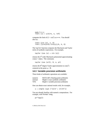syms  $h \, n \, x$  $\lim_{t \to \infty}$   $\lim_{t \to \infty}$   $(1 + x/n)$  n. inf)

computes the limit of  $(1 + x/n)^n$  as  $n \rightarrow \infty$ . You should also try:

```
limit (sin (x), x, 0)
limit ((sin(x+h)-sin(x))/h, h, 0)
```
The tay lor function computes the Maclaurin and Taylor series of symbolic expressions. For example,

taylor  $(cos(x) + sin(x))$ 

returns the  $5<sup>th</sup>$  order Maclaurin polynomial approximating  $cos(x) + sin(x)$ . The command,

taylor  $(cos (x \wedge 2)$ . 8. x. pi)

returns the 8<sup>th</sup> degree Taylor approximation to  $cos(x^2)$ centered at the point  $x_0 = \pi$ .

#### **14.3 Variable precision arithmetic**

Three kinds of arithmetic operations are available:

| numeric    | MATLAB's floating-point arithmetic    |
|------------|---------------------------------------|
| rational   | Maple's exact symbolic arithmetic     |
| <b>VPA</b> | Maple's variable precision arithmetic |

One can obtain exact rational results with, for example,

s = simple (sym ('13/17 + 17/23'))

You are already familiar with numeric computations. For example, with format long,

pi\*log(2)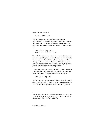gives the numeric result:

2.17758609030360

MATLAB's numeric computations are done in approximately 16 decimal digit floating-point arithmetic. With ypa, you can obtain results to arbitrary precision, within the limitations of time and memory. For example, try:

vpa ('pi \* log (2)') vpa ('pi \* log (2)', 50)

The default precision for vpa is 32. Hence, the first result is accurate to 32 digits, whereas the second is accurate to the specified 50 digits.<sup>5</sup> The default precision can be changed with the function digits. While the rational and VPA computations can be more accurate, they are in general slower than numeric computations.

If you pass an expression to vpa, MATLAB will evaluate it numerically first, unless it is a symbolic expression or placed in quotes. Compare your results, above, with:

vpa (pi \* log  $(2)$ )

which is accurate to only about 16 digits (even though 32) digits are displayed). This is a common mistake with the use of vpa and the Symbolic Math Toolbox in general.

<sup>&</sup>lt;sup>5</sup> Ludolf van Ceulen (1540-1610) calculated  $\pi$  to 36 digits. The Symbolic Math Toolbox can quite easily compute  $\pi$  to 10,000 digits or more. Try  $vpa('pi', 10000)$ .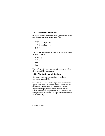## **14.4 Numeric evaluation**

Once you have a symbolic expression, you can evaluate it numerically with the eval function. Try:

```
Syms x
F = x^2 * \sin(x)G = diff(F)H = \text{vectorize } (G)x = 0: .1:1eval(H)
```
The vectorize function allows  $H$  to be evaluated with a vector x. Also try:

```
SVMS X V
S = X\Lambda yx = 3eval(s)y = 2eva\overline{1}(s)
```
The eval function returns a symbolic expression unless all of the variables are numeric.

## **14.5 Algebraic simplification**

Convenient algebraic manipulations of symbolic expressions are available.

The function expand distributes products over sums and applies other identities, whereas factor attempts to do the reverse. The function collect views a symbolic expression as a polynomial in its symbolic variable (which may be specified) and collects all terms with the same power of the variable. To explore these capabilities, try the following: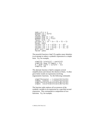```
syms a \mathsf{b} \times \mathsf{y} z
expand ((a + b)\wedge 5)factor (ans)
expand (exp (x + y))expand (sin (x + 2^*y))
factor (x \wedge 6 - 1)collect (x * (x * (x + 3) + 5) + 1)horner (ans)
\text{col} \left[ \text{ect } ((x + y + z) * (x - y - z)) \right]\text{col} \left[ \text{ect } ((x + y + z) * (x - y - z), y) \right]collect ((x + y + z)*(x - y - z), z)diff (x \wedge \overrightarrow{3})^* exp (x))
factor (ans)
```
The powerful function  $\sin p$  if y applies many identities in an attempt to reduce a symbolic expression to a simple form. Try, for example,

simplify  $(sin(x)$  $\wedge$ 2 + cos $(x)$  $\wedge$ 2) simplify (exp  $(5^*log(x) + 1)$ ) d = diff  $((x \wedge 2 + 1)/(x \wedge 2 - 1))$ simplify (d)

The alternate function simple computes several simplifications and chooses the shortest of them. It often gives better results on expressions involving trigonometric functions. Try the following commands:

```
simply(cos(x) + (-sin(x) \land 2) \land (1/2))simple \quad (cos(x) + (-sin(x) \land 2) \land (1/2))simplify((1/x\land 3+6/x\land 2+12/x+8)\land (1/3))simple ((1/x\lambda^3+6/x\lambda^2+12/x+8)\lambda(1/3))
```
The function subs replaces all occurrences of the symbolic variable in an expression by a specified second expression. This corresponds to composition of two functions. Try, for example,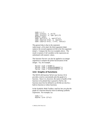```
syms x s t
subs (sin(x), x, pi/3)subs (sin(x), x, sym(pi)/3)double (ans)
subs (g*t\lambda 2/2, t, sqrt(2*s))subs \text{Sqrt}(1-x\land 2), x, \text{cos}(x))
subs \text{Sqrt}(1-x\land 2), 1-x\land 2, \text{cos}(x))
```
The general idea is that in the statement  $subs$ ( $expr$ , $old$ ,  $new$ ) the third argument (new) replaces the second argument  $(0\bar{d})$  in the first argument  $(expr)$ . Compare the first two examples above. The result is numeric if all variables in the expression are substituted with numeric values.

The function factor can also be applied to an integer argument to compute the prime factorization of the integer. Try, for example,

```
factor (sym ('4248'))
factor (sym ('4549319348693'))
factor (sym ('4549319348597'))
```
## **14.6 Graphs of functions**

The MATLAB function fplot (see Section 10.3) provides a tool to conveniently plot the graph of a function. Since it is, however, the name or handle of the function to be plotted that is passed to  $fplot$ , the function must first be defined in an M-file (or else be a built-in function or inline function).

In the Symbolic Math Toolbox, ezplot lets you plot the graph of a function directly from its defining symbolic expression. For example, try:

```
syms t x
e\acute{z}plot (sin (2*x))
```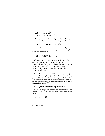```
ezplot (t + 3 * sin(t))ezplot (2*x/(x^2 - 1))ezplot (1/(1 + 30*exp(-x)))
```
By default, the x-domain is  $[-2 \times p \text{ i}, 2 \times p \text{ i}]$ . This can be overridden by a second input variable, as with:

ezplot $(x^*sin(1/x), [-2, 2])$ 

You will often need to specify the x-domain and ydomain to zoom in on the relevant portion of the graph. Compare, for example,

ezplot (x\*exp(-x)) ezplot (x\*exp(-x), [-1 4])

ezplot attempts to make a reasonable choice for the yaxis. With the last figure, select  $Edi$ t  $\triangleright$  Axes Properties in the Figure window and modify the y-axis to start at  $-3$ , and click OK. Changing the x-axis in the Property Editor does not cause the function to be reevaluated, however.

Entering the command funtool (no input arguments) brings up three graphic figures, two of which will display graphs of functions and one containing a control panel. This function calculator lets you manipulate functions and their graphs for pedagogical demonstrations. Type help funtool for details.

## **14.7 Symbolic matrix operations**

This toolbox lets you represent matrices in symbolic form as well as MATLAB's numeric form. Given the numeric matrix:

 $a = magic(3)$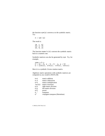the function  $sym(a)$  converts a to the symbolic matrix. Try:

 $A = sym(a)$ 

The result is:

$$
\begin{bmatrix} 8, 1, 6 \\ 3, 5, 7 \\ 4, 9, 2 \end{bmatrix}
$$

The function numeric(A) converts the symbolic matrix back to a numeric one.

Symbolic matrices can also be generated by sym. Try, for example,

V\PVDEV . >DEDEEDDE@ \* >FRVVVLQVVLQVFRVV@

Here G is a symbolic Givens rotation matrix.

Algebraic matrix operations with symbolic matrices are computed as you would in MATLAB.

| $K + G$                   | matrix addition                 |
|---------------------------|---------------------------------|
| $K-G$                     | matrix subtraction              |
| K*G                       | matrix multiplication           |
| inv(G)                    | matrix inversion                |
| K/G                       | right matrix division           |
| $K\backslash G$           | left matrix division            |
| $G^{\wedge}2$             | power                           |
| G.'                       | transpose                       |
| $\mathsf{G}^{\mathsf{T}}$ | conjugate transpose (Hermitian) |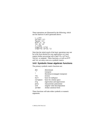These operations are illustrated by the following, which use the matrices K and G generated above:

```
I = K\Lambdacollect (L)
factor(L)diff (L, a)int(K, a)I = K/Gsimplify (J*G)
simplify (G*(G.'))
```
Note that the initial result of the basic operations may not be in the form desired for your application; so it may require further processing with simplify, collect, factor, or expand. These functions, as well as diff and int, act entry-wise on a symbolic matrix.

## **14.8 Symbolic linear algebraic functions**

The primary symbolic matrix functions are:

| det      | determinant                     |
|----------|---------------------------------|
| $\cdot$  | transpose                       |
|          | Hermitian (conjugate transpose) |
| inv      | inverse                         |
| null     | basis for nullspace             |
| colspace | basis for column space          |
| eig      | eigenvalues and eigenvectors    |
| poly     | characteristic polynomial       |
| svd      | singular value decomposition    |
| jordan   | Jordan canonical form           |

These functions will take either symbolic or numeric arguments.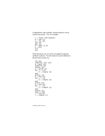Computations with symbolic rational matrices can be carried out exactly. Try, for example,

```
c = floor (10*rand(4))D = sym(C)A = inv(D)inv(A)det(A)b = ones(1,4)x = b/Ax^*AA \wedge 3
```
These functions can, of course, be applied to general symbolic matrices. For the matrices  $K$  and G defined in the previous section, try:

```
inv(K)simplify (inv(G))p = poly(G)simplify (p)
factor(p)X = solive(p)for i = 1:4\bar{X} = simple (X)end
prety(X)\mathrm{e} = \mathrm{eig} (G)
for j = 1:4\mathrm{e} = simple (e)
end
pretty(e)y = \sin(\theta)(\zeta)for i = 1:4\bar{y} = simple (y)
end
prety(y)syms s real
r = svd(G)r =simple (r)
```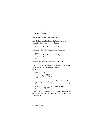pretty (r) syms s unreal

See Section  $14.9$  on the solve function.

A typical exercise in a linear algebra course is to determine those values of  $t$  so that, say,

 $A = [t 1 0 ; 1 t 1 ; 0 1 t]$ 

is singular. The following simple computation:

svms t  $A = [t 1 0 ; 1 t 1 ; 0 1 t]$  $p = \bar{d}et(A)$  $solve (p)$ 

shows that this occurs for t = 0,  $\sqrt{2}$ , and  $\sqrt{-2}$ .

The function end attempts to compute the eigenvalues and eigenvectors in an exact closed form. Try, for example,

```
for n = 4:6A = sym (magic (n))[V, D] = \text{eig}(A)And
```
Except in special cases, however, the result is usually too complicated to be useful. Try, for example, executing:

```
A = sym (floor (10 * rand(3)))[V, D] = \text{eig}(A)
```
a few times. For this reason, it is usually more efficient to do the computation in variable-precision arithmetic, as is illustrated by: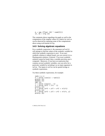$A = vpa$  (floor  $(10 * rand(3)))$ )  $\lceil v, p \rceil = \text{e}$ ia (A)

The comments above regarding e i q apply as well to the computation of the singular values of a matrix by svd, as can be observed by repeating some of the computations above using svd instead of eig.

## **14.9 Solving algebraic equations**

For a symbolic expression  $S$ , the statement  $\text{solve}(S)$ will attempt to find the values of the symbolic variable for which the symbolic expression is zero. If an exact symbolic solution is indeed found, you can convert it to a floating-point solution, if desired. If an exact symbolic solution cannot be found, then a variable precision one is computed. Moreover, if you have an expression that contains several symbolic variables, you can solve for a particular variable by including it as an input argument in solve. The inputs to solve can be quoted strings or symbolic expressions.

Try these symbolic expressions, for example:

```
Syms x y z
X = solive (cos(x) + tan(x))pretty (X)
double (X)
vpa(x)Y = \overline{S}0 | V = (cos(x) - x)Z = solve (x \lambda^2 + 2*x - 1)nretty (7)\hat{a} = \hat{\text{solve}} (\text{x} \land 2 + \text{y} \land 2 + \text{z} \land 2 + \text{x} \cdot \text{x} \cdot \text{y} \cdot \text{z})pretty (a)
\overline{b} = solve (x \wedge 2 + y \wedge 2 + z \wedge 2 + x^*y^*z, y)pertv(b)
```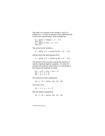The result  $a$  is a solution in the variable  $x$ , and  $b$  is a solution in y. To solve an equation whose right-hand side is not 0, use a quoted string. Some examples are:

$$
X = solve ('log(x) = x - 2') vpa (X)X = solve ('2^x = x + 2') vpa (X)
$$

This solves for the variable  $a^T$ 

$$
A = solve ('1 + (a+b)/(a-b) = b', 'a')
$$

and this solves the same equation for b:

$$
f = solve('1 + (a+b)/(a-b) = b', 'b')
$$

The function  $\mathsf{sol} \vee \mathsf{e}$  can also compute the solutions of systems of general algebraic equations. To solve, for example, the nonlinear system below, it is convenient to first express the equations as strings.

 $S1 = 'x^2 + y^2 + z^2 = 2'$  $S2 = 'x + y = 1'$  $S3 = 'y + z = 1'$ 

The solutions are then computed by:

$$
[x, y, z] = solve (s1, s2, s3)
$$

If you alter S2 to:

 $S2 = 'x + y + z = 1'$ 

then the solution computed by:

$$
[x, Y, Z] = solve (S1, S2, S3)
$$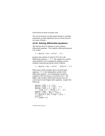will be given in terms of square roots.

The solve function can take quoted strings or symbolic expressions as input arguments, but you cannot mix the two types of inputs.

## **14.10 Solving differential equations**

The function dsolve attempts to solve ordinary differential equations. The symbolic differential operator is D. so that:

```
Y = dsolve ('Dy = x^2*y', 'x')
```
produces the solution  $C1*exp(1/3*x\wedge 3)$  to the differential equation  $y' = x^2 y$ . The solution to an initial value problem can be computed by adding a second symbolic expression giving the initial condition.

$$
Y = dsolve ('Dy = x^2*y', 'y(0)=4', 'x')
$$

Notice that in both examples above, the final input argument,  $'x'$ , is the independent variable of the differential equation. If no independent variable is supplied to dsolve, then it is assumed to be t. The higher order symbolic differential operators  $D2, D3, \ldots$ can be used to solve higher order equations. Explore the following:

```
dsolve ('D2y + y = 0')
dsolve ('D2y + y = x^2', 'x')
dsolve ('D2y + y = x^2', \,\ldots\,\{y(0) = 4', \, ^\prime\}Dy(0) = 1', \, ^\prime\}x'dsolve ('D2y - Dy = 2*y')
dsolve ('D2y + 6*Dy = 13*y')
Y = dsolve ('D2y + 6*Dy + 13*y =
cos(t)')
Y = simple (Y)
```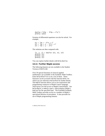```
dsolve ('D3y - 3*Dy = 2*y')
pretty (ans)
```
Systems of differential equations can also be solved. For example,

 $E1 = 'DX = -2*x + y'$  $E2 = 'Dy = x - 2*y + z'$  $E3 = 'Dz = y - 2*z'$ 

The solutions are then computed with:

```
\lceil x \cdot y \cdot z \rceil = dsolve (E1, E2, E3)\overline{\text{orbit}} \overline{\text{(x)}}pretty (y)
pretty (z)
```
You can explore further details with help dsolve.

#### **14.11 Further Maple access**

The following features are not available in the Student Version of MATLAB.

Over 50 special functions of classical applied mathematics are available in the Symbolic Math Toolbox. Enter help mfunlist to see a list of them. These functions can be accessed with the function m<sub>Fun</sub> for which you are referred to help mfun for further details. The maple function allows you to use expressions and programming constructs in Maple's native language, which gives you full access to Maple's functionality. See help maple, or mhelp *topic*, which displays Maple's help text for the specified topic. The Extended Symbolic Math Toolbox provides access to a number of Maple's specialized libraries of procedures. It also provides for use of Maple programming features.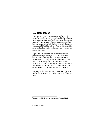# **15. Help topics**

There are many MATLAB functions and features that cannot be included in this Primer. Listed in the following tables are some of the MATLAB functions and operators, grouped by subject area.<sup>6</sup> You can browse through these lists and use the online help facility, or consult the online documents *MATLAB Functions: Volumes 1 through 3* for more detailed information on the functions, operators, and special characters.

Typing help at the MATLAB command prompt will provide a listing of the major MATLAB directories, similar to the following table. Typing help  $to$   $\overline{p}$  to  $\overline{p}$ . where  $\tau$ *opic* is an entry in the left column of the table, will display a description of the topic. For example, help general will display on your Command window a plain text version of Section 15.1. Typing help ops will display Section 15.2, starting on page 99, and so on.

Each topic is discussed in a single subsection. The page number for each subsection is also listed in the following table.

l  $6$  Source: MATLAB 6.1 help command, Release R12.1.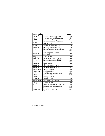| <b>Help topics</b> |                                                | page |
|--------------------|------------------------------------------------|------|
| general            | General purpose commands                       | 96   |
| ops                | Operators and special characters               | 99   |
| lang               | Programming language constructs                | 101  |
| elmat              | Elementary matrices and matrix<br>manipulation | 104  |
| $el$ fun           | Elementary math functions                      | 106  |
| specfun            | Specialized math functions                     | 108  |
| matfun             | Matrix functions-numerical linear<br>algebra   | 110  |
| datafun            | Data analysis and Fourier<br>transforms        | 112  |
| audio              | Audio support                                  | 113  |
| polyfun            | Interpolation and polynomials                  | 115  |
| funfun             | Function functions and ODE<br>solvers          | 116  |
| sparfun            | Sparse matrices                                | 119  |
| graph2d            | Two-dimensional graphs                         | 121  |
| graph3d            | Three-dimensional graphs                       | 122  |
| specgraph          | Specialized graphs                             | 125  |
| graphics           | Handle Graphics                                | 129  |
| uitools            | Graphical user interface tools                 | 131  |
| strfun             | Character strings                              | 134  |
| iofun              | File input/output                              | 136  |
| timefun            | Time and dates                                 | 139  |
| datatypes          | Data types and structures                      | 140  |
| verctrl            | Version control                                | 143  |
| winfun             | Microsoft Windows Interface Files              | 144  |
| demos              | Examples and demonstrations                    | 144  |
| local              | Preferences                                    | 144  |
| symbolic           | Symbolic Math Toolbox                          | 145  |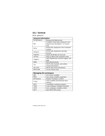## **15.1 General**

help general

| <b>General information</b> |                                                                                     |  |
|----------------------------|-------------------------------------------------------------------------------------|--|
| helpbrowser                | Bring up the help browser                                                           |  |
| doc                        | Complete online help, displayed in the<br>help browser (helpdesk in Version<br>6.0) |  |
| help                       | M-file help, displayed in the Command<br>window                                     |  |
| helpwin                    | M-file help, displayed in the help<br>browser                                       |  |
| <b>lookfor</b>             | Search all M-files for keyword                                                      |  |
| syntax                     | Help on MATLAB command syntax                                                       |  |
| support                    | Open MathWorks technical support web<br>page                                        |  |
| demo                       | <b>Run</b> demonstrations                                                           |  |
| ver                        | MATLAB, Simulink, and toolbox<br>version information                                |  |
| version                    | MATLAB version information                                                          |  |
| whatsnew                   | Access release notes                                                                |  |

| <b>Managing the workspace</b> |                                    |  |
|-------------------------------|------------------------------------|--|
| who                           | List current variables             |  |
| whos                          | List current variables, long form  |  |
| workspace                     | Display Workspace window           |  |
| clear                         | Clear variables and functions from |  |
|                               | memory                             |  |
| pack                          | Consolidate workspace memory       |  |
| load                          | Load workspace variables from disk |  |
| save                          | Save workspace variables to disk   |  |
| quit                          | <b>Ouit MATLAB</b> session         |  |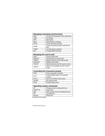| <b>Managing commands and functions</b> |                                         |  |
|----------------------------------------|-----------------------------------------|--|
| what                                   | List MATLAB-specific files in directory |  |
| type                                   | List M-file                             |  |
| edit                                   | Edit M-file                             |  |
| open                                   | Open files by extension                 |  |
| which                                  | Locate functions and files              |  |
| pcode                                  | Create pre-parsed pseudo-code file (P-  |  |
|                                        | file)                                   |  |
| inmem                                  | List functions in memory                |  |
| mex                                    | Compile MEX-function                    |  |

| Managing the search path |                                         |  |
|--------------------------|-----------------------------------------|--|
| path                     | Get/set search path                     |  |
| addpath                  | Add directory to search path            |  |
| rmpath                   | Remove directory from search path       |  |
| pathtoo1                 | Modify search path                      |  |
| rehash                   | Refresh function and file system caches |  |
| import                   | Import Java packages into the current   |  |
|                          | scope                                   |  |

| <b>Controlling the Command window</b> |                                           |  |
|---------------------------------------|-------------------------------------------|--|
| echo                                  | Echo commands in M-files                  |  |
| more                                  | Control paged output in Command<br>window |  |
| diary                                 | Save text of MATLAB session               |  |
| format                                | Set output format                         |  |
| beep                                  | Produce beep sound                        |  |

| <b>Operating system commands</b> |                                        |  |
|----------------------------------|----------------------------------------|--|
| ٢q                               | Change current working directory       |  |
| copyfile                         | Copy a file                            |  |
| pwd                              | Show (print) current working directory |  |
| di r                             | List directory                         |  |
| delete                           | Delete file                            |  |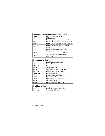| <b>Operating system commands (continued)</b> |                                        |  |
|----------------------------------------------|----------------------------------------|--|
| getenv                                       | Get environment variable               |  |
| mkdir                                        | Make directory                         |  |
|                                              | Execute operating system command       |  |
| dos                                          | Execute DOS command and return result  |  |
| unix                                         | Execute Unix command and return result |  |
| system                                       | Execute system command and return      |  |
|                                              | result                                 |  |
| web                                          | Open web browser on site or files      |  |
| computer                                     | Computer type                          |  |
| isunix                                       | True for the Unix version of MATLAB    |  |
| ispc                                         | True for the Windows version of        |  |
|                                              | <b>MATLAB</b>                          |  |

| <b>Debugging M-files</b> |                                |  |
|--------------------------|--------------------------------|--|
| debug                    | List debugging commands        |  |
| dbstop                   | Set breakpoint                 |  |
| dbclear                  | Remove breakpoint              |  |
| dbcont                   | Continue execution             |  |
| dbdown                   | Change local workspace context |  |
| dbstack                  | Display function call stack    |  |
| dbstatus                 | List all breakpoints           |  |
| dbstep                   | Execute one or more lines      |  |
| dbtype                   | List M-file with line numbers  |  |
| dbup                     | Change local workspace context |  |
| dbquit                   | Quit debug mode                |  |
| dbmex                    | Debug MEX-files (Unix only)    |  |

| <b>Profiling M-files</b> |                                 |  |
|--------------------------|---------------------------------|--|
| profile                  | Profile function execution time |  |
| profreport               | Generate profile report         |  |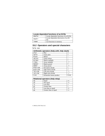| Locate dependent functions of an M-file |                                               |  |
|-----------------------------------------|-----------------------------------------------|--|
| depfun                                  | Locate dependent functions of an M-file       |  |
| depdir                                  | Locate dependent directories of an M-<br>file |  |
| ınmem                                   | List functions in memory                      |  |

# **15.2 Operators and special characters**

help ops

| Arithmetic operators (help arith, help slash) |                          |               |
|-----------------------------------------------|--------------------------|---------------|
| plus                                          | Plus                     | $\pm$         |
| uplus                                         | Unary plus               | $\pm$         |
| minus                                         | Minus                    |               |
| uminus                                        | Unary minus              |               |
| mtimes                                        | Matrix multiply          | $\mathcal{R}$ |
| times                                         | Array multiply           | $\mathcal{R}$ |
| mpower                                        | Matrix power             | Λ             |
| power                                         | Array power              | . $\wedge$    |
| mldivide                                      | left matrix divide       |               |
| mrdivide                                      | right matrix divide      |               |
| ldivide                                       | Left array divide        |               |
| rdivide                                       | Right array divide       |               |
| kron                                          | Kronecker tensor product | kron          |

| Relational operators (help relop) |                       |            |
|-----------------------------------|-----------------------|------------|
| eq                                | Equal                 |            |
| ne                                | Not equal             | $\sim$ $=$ |
| 1t.                               | Less than             |            |
| gt                                | Greater than          |            |
| ٦e.                               | Less than or equal    | $\lt =$    |
| qe                                | Greater than or equal |            |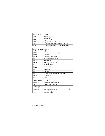| <b>Logical operators</b> |                                            |        |
|--------------------------|--------------------------------------------|--------|
| and                      | Logical AND                                | &      |
| or                       | Logical OR                                 |        |
| not                      | Logical NOT                                | $\sim$ |
| xor                      | Logical EXCLUSIVE OR                       |        |
| any                      | True if any element of vector is nonzero.  |        |
| a11                      | True if all elements of vector are nonzero |        |

| <b>Special characters</b> |                                 |        |
|---------------------------|---------------------------------|--------|
| colon                     | Colon                           |        |
| paren                     | Parentheses and subscripting    |        |
| paren                     | <b>Brackets</b>                 |        |
| paren                     | Braces and subscripting         | ₹<br>λ |
| punct                     | Function handle creation        | Q)     |
| punct                     | Decimal point                   |        |
| punct                     | Structure field access          |        |
| punct                     | Parent directory                |        |
| punct                     | Continuation                    |        |
| punct                     | Separator                       | ,      |
| punct                     | Semicolon                       | ,      |
| punct                     | Comment                         | %      |
| punct                     | Invoke operating system command | Ţ      |
| punct                     | Assignment                      | $=$    |
| punct                     | Ouote                           | п      |
| transpose                 | Transpose                       | ٠      |
| ctranspose                | Complex conjugate transpose     |        |
| horzcat                   | Horizontal concatenation        | ι,     |
| vertcat                   | Vertical concatenation          | [;]    |
| subsasgn                  | Subscripted assignment          |        |
| subsref                   | Subscripted reference           |        |
| subsindex                 | Subscript index                 |        |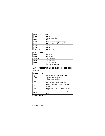| <b>Bitwise operators</b> |                                |
|--------------------------|--------------------------------|
| bitand                   | <b>Bit-wise AND</b>            |
| bitcmp                   | Complement bits                |
| bitor                    | Bit-wise OR                    |
| bitmax                   | Maximum floating-point integer |
| bitxor                   | <b>Bit-wise EXCLUSIVE OR</b>   |
| bitset                   | Set bit                        |
| bitget                   | Get bit                        |
| bitshift                 | Bit-wise shift                 |

| Set operators |                     |
|---------------|---------------------|
| union         | Set union           |
| unique        | Set unique          |
| intersect     | Set intersection    |
| setdiff       | Set difference      |
| setxor        | Set exclusive-or    |
| ismember      | True for set member |

# **15.3 Programming language constructs**

help lang

| <b>Control flow</b> |                                        |
|---------------------|----------------------------------------|
| if                  | Conditionally execute statements       |
| else                | if statement condition                 |
| elseif              | if statement condition                 |
| end                 | Terminate scope of for, while,         |
|                     | switch, try and if statements          |
| for                 | Repeat statements a specific number of |
|                     | times                                  |
| while               | Repeat statements an indefinite number |
|                     | of times                               |
| hreak               | Terminate execution of while or for    |
|                     | loop                                   |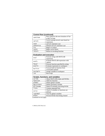| <b>Control flow (continued)</b> |                                           |
|---------------------------------|-------------------------------------------|
| continue                        | Pass control to the next iteration of for |
|                                 | or while loop                             |
| switch                          | Switch among several cases based on       |
|                                 | expression                                |
| case                            | switch statement case                     |
| otherwise                       | Default switch statement case             |
| try                             | Begin try block                           |
| catch                           | Begin catch block                         |
| return                          | Return to invoking function               |

| <b>Evaluation and execution</b> |                                      |
|---------------------------------|--------------------------------------|
| eval                            | Execute string with MATLAB           |
|                                 | expression                           |
| evalc                           | Evaluate MATLAB expression with      |
|                                 | capture                              |
| feval                           | Execute function specified by string |
| evalin                          | Evaluate expression in workspace     |
| builtin                         | Execute built-in function from       |
|                                 | overloaded method                    |
| assignin                        | Assign variable in workspace         |
| run                             | Run script                           |

| Scripts, functions, and variables |                                      |
|-----------------------------------|--------------------------------------|
| script                            | About MATLAB scripts and M-files     |
| function                          | Add new function                     |
| qlobal                            | Define global variable               |
| persistent                        | Define persistent variable           |
| mfilename                         | Name of currently executing M-file   |
| lists                             | Comma separated lists                |
| exist                             | Check if variables or functions are. |
|                                   | defined                              |
| isglobal                          | True for global variables            |
| mlock                             | Prevent M-file from being cleared    |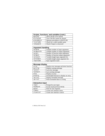| Scripts, functions, and variables (cont.) |                                  |
|-------------------------------------------|----------------------------------|
| munlock                                   | Allow M-file to be cleared       |
| mislocked                                 | True if M-file cannot be cleared |
| precedence                                | Operator precedence in MATLAB    |
| isvarname                                 | Check for a valid variable name  |
| iskeyword                                 | Check if input is a keyword      |

| <b>Argument handling</b> |                                      |
|--------------------------|--------------------------------------|
| nargchk                  | Validate number of input arguments   |
| nargoutchk               | Validate number of output arguments  |
| nargin                   | Number of function input arguments   |
| nargout                  | Number of function output arguments  |
| varargin                 | Variable length input argument list  |
| varargout                | Variable length output argument list |
| inputname                | Input argument name                  |

| <b>Message display</b> |                                          |
|------------------------|------------------------------------------|
| error                  | Display error message and abort function |
| warning                | Display warning message                  |
| lasterr                | Last error message                       |
| lastwarn               | Last warning message                     |
| disp                   | Display an array                         |
| display                | Overloaded function to display an array  |
| fprintf                | Display formatted message                |
| sprintf                | Write formatted data to a string         |

| Interactive input |                               |
|-------------------|-------------------------------|
| input             | Prompt for user input         |
| keyboard          | Invoke keyboard from M-file   |
| pause             | Wait for user response        |
| uimenu            | Create user interface menu    |
| uicontrol         | Create user interface control |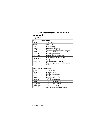#### **15.4 Elementary matrices and matrix manipulation**

help elmat

| <b>Elementary matrices</b> |                                        |
|----------------------------|----------------------------------------|
| zeros                      | Zeros array                            |
| ones                       | Ones array                             |
| eye                        | Identity matrix                        |
| repmat                     | Replicate and tile array               |
| rand                       | Uniformly distributed random numbers   |
| randn                      | Normally distributed random numbers    |
| linspace                   | Linearly spaced vector                 |
| logspace                   | Logarithmically spaced vector          |
| fregspace                  | Frequency spacing for frequency        |
|                            | response                               |
| meshqrid                   | x and y arrays for 3-D plots           |
|                            | Regularly spaced vector and index into |
|                            | matrix                                 |

| <b>Basic array information</b> |                                   |
|--------------------------------|-----------------------------------|
| size                           | Size of matrix                    |
| length                         | Length of vector                  |
| ndims                          | Number of dimensions              |
| nume1                          | Number of elements                |
| disp                           | Display matrix or text            |
| isempty                        | True for empty matrix             |
| isequal                        | True if arrays are identical      |
| isnumeric                      | True for numeric arrays           |
| islogical                      | True for logical array            |
| logical                        | Convert numeric values to logical |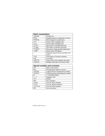| <b>Matrix manipulation</b> |                                                  |
|----------------------------|--------------------------------------------------|
| reshape                    | Change size                                      |
| diag                       | Diagonal matrices; diagonals of matrix           |
| blkdiag                    | Block diagonal concatenation                     |
| tri1                       | Extract lower triangular part                    |
| triu                       | Extract upper triangular part                    |
| fliplr                     | Flip matrix in left/right direction              |
| $\overline{f}$ lipud       | Flip matrix in up/down direction                 |
| flipdim                    | Flip matrix along specified dimension            |
| rot90                      | Rotate matrix 90 degrees                         |
|                            | Regularly spaced vector and index into<br>matrix |
| find                       | Find indices of nonzero elements                 |
| end                        | Last index                                       |
| sub2ind                    | Linear index from multiple subscripts            |
| ind2sub                    | Multiple subscripts from linear index            |

| <b>Special variables and constants</b> |                                         |
|----------------------------------------|-----------------------------------------|
| ans                                    | Most recent answer                      |
| eps                                    | Floating-point relative accuracy        |
| $\overline{real}$ max                  | Largest positive floating-point number  |
| realmin                                | Smallest positive floating-point number |
| p۱                                     | 3.1415926535897                         |
| i, j                                   | Imaginary unit                          |
| inf                                    | Infinity                                |
| <b>NaN</b>                             | Not-a-Number                            |
| isnan                                  | True for Not-a-Number                   |
| isinf                                  | True for infinite elements              |
| isfinite                               | True for finite elements                |
| why                                    | Succinct answer                         |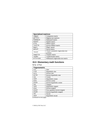| <b>Specialized matrices</b> |                                    |
|-----------------------------|------------------------------------|
| compan                      | Companion matrix                   |
| gallery                     | Higham test matrices               |
| hadamard                    | Hadamard matrix                    |
| hankel                      | Hankel matrix                      |
| hilb                        | Hilbert matrix                     |
| invhilb                     | Inverse Hilbert matrix             |
| maqic                       | Magic square                       |
| pascal                      | Pascal matrix                      |
| rosser                      | Classic symmetric eigenvalue test  |
|                             | problem                            |
| toeplitz                    | Toeplitz matrix                    |
| vander                      | Vandermonde matrix                 |
| wilkinson                   | Wilkinson's eigenvalue test matrix |

### **15.5 Elementary math functions**

help elfun

| <b>Trigonometric</b> |                               |
|----------------------|-------------------------------|
| sin                  | Sine                          |
| sinh                 | Hyperbolic sine               |
| asin                 | Inverse sine                  |
| asinh                | Inverse hyperbolic sine.      |
| <b>COS</b>           | Cosine                        |
| cosh                 | Hyperbolic cosine             |
| acos                 | Inverse cosine                |
| acosh                | Inverse hyperbolic cosine     |
| tan                  | Tangent                       |
| tanh                 | Hyperbolic tangent            |
| atan                 | Inverse tangent               |
| atan2                | Four quadrant inverse tangent |
| atanh                | Inverse hyperbolic tangent    |
| sec                  | Secant                        |
| sech                 | Hyperbolic secant             |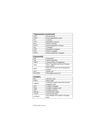| <b>Trigonometric (continued)</b> |                              |
|----------------------------------|------------------------------|
| asec                             | Inverse secant               |
| asech                            | Inverse hyperbolic secant    |
| <b>CSC</b>                       | Cosecant                     |
| csch                             | Hyperbolic cosecant          |
| acsc                             | Inverse cosecant             |
| acsch                            | Inverse hyperbolic cosecant  |
| cot                              | Cotangent                    |
| coth                             | Hyperbolic cotangent         |
| acot                             | Inverse cotangent            |
| acoth                            | Inverse hyperbolic cotangent |

| <b>Exponential</b> |                                        |
|--------------------|----------------------------------------|
| exp                | Exponential                            |
| loq                | Natural logarithm                      |
| log10              | Common (base 10) logarithm             |
| 1og2               | Base 2 logarithm and dissect floating- |
|                    | point number                           |
| pow <sub>2</sub>   | Base 2 power and scale floating-point  |
|                    | number                                 |
| sqrt               | Square root                            |
| nextpow2           | Next higher power of 2                 |

| <b>Complex</b> |                                      |
|----------------|--------------------------------------|
| abs            | Absolute value                       |
| angle          | Phase angle                          |
| complex        | Construct complex data from real and |
|                | imaginary parts                      |
| conj           | Complex conjugate                    |
| imag           | Complex imaginary part               |
| real           | Complex real part                    |
| unwrap         | Unwrap phase angle                   |
| isreal         | True for real array                  |
| cplxpair       | Sort numbers into complex conjugate  |
|                | pairs                                |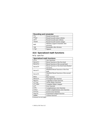| <b>Rounding and remainder</b> |                                 |
|-------------------------------|---------------------------------|
| fix                           | Round towards zero              |
| floor                         | Round towards minus infinity    |
| ceil                          | Round towards plus infinity     |
| round                         | Round towards nearest integer   |
| mod                           | Modulus (signed remainder after |
|                               | division)                       |
| rem                           | Remainder after division        |
| sign                          | Signum                          |

#### **15.6 Specialized math functions**

help specfun

| <b>Specialized math functions</b> |                                            |
|-----------------------------------|--------------------------------------------|
| airy                              | Airy functions                             |
| besseli                           | Bessel function of the first kind          |
| bessely                           | Bessel function of the second kind         |
| besselh                           | Bessel function of the third kind (Hankel) |
|                                   | function)                                  |
| besseli                           | Modified Bessel function of the first      |
|                                   | kind                                       |
| besselk                           | Modified Bessel function of the second     |
|                                   | kind                                       |
| beta                              | <b>Beta</b> function                       |
| betainc                           | Incomplete beta function                   |
| betaln                            | Logarithm of beta function                 |
| ellipj                            | Jacobi elliptic functions                  |
| ellipke                           | Complete elliptic integral                 |
| erf                               | Error function                             |
| erfc                              | Complementary error function               |
| erfcx                             | Scaled complementary error function        |
| erfinv                            | Inverse error function                     |
| expint                            | Exponential integral function              |
| qamma                             | Gamma function                             |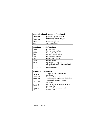| Specialized math functions (continued) |                              |
|----------------------------------------|------------------------------|
| gammainc                               | Incomplete gamma function    |
| qammaln                                | Logarithm of gamma function  |
| legendre                               | Associated Legendre function |
| cross                                  | Vector cross product         |
| dot                                    | Vector dot product           |

| <b>Number theoretic functions</b> |                                        |
|-----------------------------------|----------------------------------------|
| factor                            | Prime factors                          |
| isprime                           | True for prime numbers                 |
| primes                            | Generate list of prime numbers         |
| gcd                               | Greatest common divisor                |
| lcm                               | Least common multiple                  |
| rat                               | Rational approximation                 |
| rats                              | Rational output                        |
| perms                             | All possible permutations              |
| nchoosek                          | All combinations of N elements taken K |
|                                   | at a time                              |
| factorial                         | <b>Factorial function</b>              |

| <b>Coordinate transforms</b> |                                          |
|------------------------------|------------------------------------------|
| cart2sph                     | Transform Cartesian to spherical         |
|                              | coordinates                              |
| cart2pol                     | Transform Cartesian to polar coordinates |
| pol2cart                     | Transform polar to Cartesian coordinates |
| sph2cart                     | Transform spherical to Cartesian         |
|                              | coordinates                              |
| hsv2rgb                      | Convert hue-saturation-value colors to   |
|                              | red-green-blue                           |
| rab2hsv                      | Convert red-green-blue colors to hue-    |
|                              | saturation-value                         |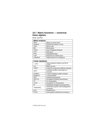### **15.7 Matrix functions — numerical linear algebra**

help matfun

| <b>Matrix analysis</b> |                             |
|------------------------|-----------------------------|
| norm                   | Matrix or vector norm       |
| normest                | Estimate the matrix 2-norm  |
| rank                   | Matrix rank                 |
| det                    | Determinant                 |
| trace                  | Sum of diagonal elements    |
| nu11                   | Null space                  |
| orth                   | Orthogonalization           |
| rref                   | Reduced row echelon form    |
| subspace               | Angle between two subspaces |

| <b>Linear equations</b> |                                             |
|-------------------------|---------------------------------------------|
| \ and /                 | Linear equation solution; use help<br>slash |
| inv                     | Matrix inverse                              |
| rcond                   | LAPACK reciprocal condition estimator       |
| cond                    | Condition number with respect to            |
|                         | inversion                                   |
| condest                 | 1-norm condition number estimate            |
| normest1                | 1-norm estimate                             |
| chol                    | Cholesky factorization                      |
| cholinc                 | Incomplete Cholesky factorization           |
| 1u                      | LU factorization                            |
| luinc                   | Incomplete LU factorization                 |
| qr                      | Orthogonal-triangular decomposition         |
| lsgnonneg               | Linear least squares with nonnegativity     |
|                         | constraints                                 |
| pinv                    | Pseudoinverse                               |
| Iscov                   | Least squares with known covariance         |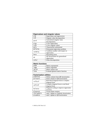| <b>Eigenvalues and singular values</b> |                                  |
|----------------------------------------|----------------------------------|
| eig                                    | Eigenvalues and eigenvectors     |
| svd                                    | Singular value decomposition     |
| gsvd                                   | Generalized singular value       |
|                                        | decomposition                    |
| eigs                                   | A few eigenvalues                |
| svds                                   | A few singular values            |
| poly                                   | Characteristic polynomial        |
| polyeig                                | Polynomial eigenvalue problem    |
| condeig                                | Condition number with respect to |
|                                        | eigenvalues                      |
| hess                                   | Hessenberg form                  |
| qz                                     | QZ factorization for generalized |
|                                        | eigenvalues                      |
| schur                                  | Schur decomposition              |

| <b>Matrix functions</b> |                                  |
|-------------------------|----------------------------------|
| expm                    | Matrix exponential               |
| loam                    | Matrix logarithm                 |
| sqrtm                   | Matrix square root               |
| funm                    | Evaluate general matrix function |

| <b>Factorization utilities</b> |                                         |
|--------------------------------|-----------------------------------------|
| grdelete                       | Delete column from QR factorization     |
| qrinsert                       | Insert column in QR factorization       |
| rsf2csf                        | Real block diagonal form to complex     |
|                                | diagonal form                           |
| cdf2rdf                        | Complex diagonal form to real block     |
|                                | diagonal form                           |
| balance                        | Diagonal scaling to improve eigenvalue  |
|                                | accuracy                                |
| planerot                       | Givens plane rotation                   |
| cholupdate                     | rank 1 update to Cholesky factorization |
| qrupdate                       | rank 1 update to QR factorization       |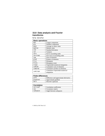#### **15.8 Data analysis and Fourier transforms**

help datafun

| <b>Basic operations</b> |                                   |
|-------------------------|-----------------------------------|
| max                     | Largest component                 |
| min                     | Smallest component                |
| mean                    | Average or mean value             |
| median                  | Median value                      |
| std                     | Standard deviation                |
| var                     | Variance                          |
| sort                    | Sort in ascending order           |
| sortrows                | Sort rows in ascending order      |
| sum                     | Sum of elements                   |
| prod                    | Product of elements               |
| hist                    | Histogram                         |
| histc                   | Histogram count                   |
| trapz                   | Trapezoidal numerical integration |
| cumsum                  | Cumulative sum of elements        |
| cumprod                 | Cumulative product of elements    |
| cumtrapz                | Cumulative trapezoidal numerical  |
|                         | integration                       |

| <b>Finite differences</b> |                                       |
|---------------------------|---------------------------------------|
| diff                      | Difference and approximate derivative |
| gradient                  | Approximate gradient                  |
| de 12                     | Discrete Laplacian                    |

| <b>Correlation</b> |                          |
|--------------------|--------------------------|
| corrcoef           | Correlation coefficients |
| COV                | Covariance matrix        |
| subspace           | Angle between subspaces  |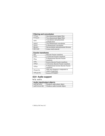| <b>Filtering and convolution</b> |                                              |
|----------------------------------|----------------------------------------------|
| filter                           | One-dimensional digital filter               |
| filter2                          | Two-dimensional digital filter               |
| conv                             | Convolution and polynomial<br>multiplication |
| conv2                            | Two-dimensional convolution                  |
| convn                            | N-dimensional convolution                    |
| deconv                           | Deconvolution and polynomial division        |
| detrend                          | Linear trend removal                         |

| <b>Fourier transforms</b> |                                        |
|---------------------------|----------------------------------------|
| fft                       | Discrete Fourier transform             |
| fft2                      | 2-D discrete Fourier transform         |
| fftn                      | N-dimensional discrete Fourier         |
|                           | transform                              |
| ifft                      | Inverse discrete Fourier transform     |
| ifft2                     | 2-D inverse discrete Fourier transform |
| ifftn                     | N-dimensional inverse discrete Fourier |
|                           | transform                              |
| fftshift                  | Shift zero-frequency component to      |
|                           | center of spectrum                     |
| ifftshift                 | <b>Inverse FFTSHIFT</b>                |

# **15.9 Audio support**

help audio

| Audio input/output objects |                               |
|----------------------------|-------------------------------|
| audioplayer                | Windows audio player object   |
| audiorecorder              | Windows audio recorder object |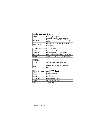| <b>Audio hardware drivers</b> |                                                  |
|-------------------------------|--------------------------------------------------|
| sound                         | Play vector as sound                             |
| soundsc                       | Autoscale and play vector as sound               |
| wavplay                       | Play sound using Windows audio output<br>device  |
| wavrecord                     | Record sound using Windows audio<br>input device |

| Audio file import and export |                                        |
|------------------------------|----------------------------------------|
| auread                       | Read NeXT/SUN (.au) sound file         |
| auwrite                      | Write NeXT/SUN (.au) sound file        |
| wavread                      | Read Microsoft WAVE (.wav) sound file  |
| wavwrite                     | Write Microsoft WAVE (.wav) sound file |

| <b>Utilities</b> |                                             |
|------------------|---------------------------------------------|
| lin2mu           | Convert linear signal to mu-law<br>encoding |
| mu2lin           | Convert mu-law encoding to linear<br>signal |

| <b>Example audio data (MAT files)</b> |                           |
|---------------------------------------|---------------------------|
| chirp                                 | Frequency sweeps          |
| gong                                  | Gong                      |
| hande <sup>1</sup>                    | Hallelujah chorus         |
| laughter                              | Laughter from a crowd     |
| splat                                 | Chirp followed by a splat |
| train                                 | Train whistle             |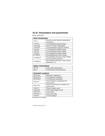# **15.10 Interpolation and polynomials**

help polyfun

| Data interpolation |                                         |
|--------------------|-----------------------------------------|
| pchip              | Piecewise cubic Hermite interpolating   |
|                    | polynomial                              |
| interp1            | 1-D interpolation (table lookup)        |
| interp1q           | Quick 1-D linear interpolation          |
| interpft           | 1-D interpolation using FFT method      |
| interp2            | 2-D interpolation (table lookup)        |
| interp3            | 3-D interpolation (table lookup)        |
| interpn            | N-D interpolation (table lookup)        |
| griddata           | Data gridding and surface fitting       |
| griddata3          | Data gridding and hyper-surface fitting |
|                    | for three-dimensional data              |
| griddatan          | Data gridding and hyper-surface fitting |
|                    | (dimension $\geq$ 2)                    |

| <b>Spline interpolation</b> |                               |
|-----------------------------|-------------------------------|
| spline                      | Cubic spline interpolation    |
| ppval                       | Evaluate piecewise polynomial |

| <b>Geometric analysis</b> |                                      |
|---------------------------|--------------------------------------|
| delaunay                  | Delaunay triangulation               |
| delaunay3                 | 3-D Delaunay tessellation            |
| delaunayn                 | N-D Delaunay tessellation            |
| dsearch                   | Search Delaunay triangulation for    |
|                           | nearest point                        |
| dsearchn                  | Search N-D Delaunay tessellation for |
|                           | nearest point                        |
| tsearch                   | Closest triangle search              |
| tsearchn                  | N-D closest triangle search          |
| convhu11                  | Convex hull                          |
| convhulln                 | N-D convex hull                      |
| voronoi                   | Voronoi diagram                      |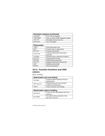| <b>Geometric analysis (continued)</b> |                                         |
|---------------------------------------|-----------------------------------------|
| voronoin                              | N-D Voronoi diagram                     |
| inpolygon                             | True for points inside polygonal region |
| rectint                               | Rectangle intersection area             |
| polyarea                              | Area of polygon                         |

| <b>Polynomials</b> |                                       |
|--------------------|---------------------------------------|
| roots              | Find polynomial roots                 |
| poly               | Convert roots to polynomial           |
| polyval            | Evaluate polynomial                   |
| polyvalm           | Evaluate polynomial with matrix       |
|                    | argument                              |
| residue            | Partial-fraction expansion (residues) |
| polyfit            | Fit polynomial to data                |
| polyder            | Differentiate polynomial              |
| polyint            | Integrate polynomial analytically     |
| conv               | Multiply polynomials                  |
| deconv             | Divide polynomials                    |

#### **15.11 Function functions and ODE solvers**

help funfun

| <b>Optimization and root finding</b> |                                   |
|--------------------------------------|-----------------------------------|
| fminbnd                              | Scalar bounded nonlinear function |
|                                      | minimization                      |
| fminsearch                           | Multidimensional unconstrained    |
|                                      | nonlinear minimization            |
| fzero                                | Scalar nonlinear zero finding     |

| <b>Optimization option handling</b> |                                                       |
|-------------------------------------|-------------------------------------------------------|
| optimset                            | Create or alter optimization options<br>structure     |
| optimget                            | Get optimization parameters from<br>options structure |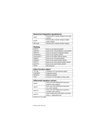| <b>Numerical integration (quadrature)</b> |                                          |
|-------------------------------------------|------------------------------------------|
| quad                                      | Numerically evaluate integral, low order |
|                                           | method                                   |
| quadl                                     | Numerically evaluate integral, higher    |
|                                           | order method                             |
| dblquad                                   | Numerically evaluate double integral     |

| <b>Plotting</b> |                                          |
|-----------------|------------------------------------------|
| ezplot          | Easy-to-use function plotter             |
| ezplot3         | Easy-to-use 3-D parametric curve plotter |
| ezpolar         | Easy-to-use polar coordinate plotter     |
| ezcontour       | Easy-to-use contour plotter              |
| ezcontourf      | Easy-to-use filled contour plotter       |
| ezmesh          | Easy-to-use 3-D mesh plotter             |
| ezmeshc         | Easy-to-use mesh/contour plotter         |
| ezsurf          | Easy-to-use 3-D colored surface plotter  |
| ezsurfc         | Easy-to-use surf/contour plotter         |
| fplot           | Plot function                            |

| Inline function object |                                      |
|------------------------|--------------------------------------|
| inline                 | Construct in line function object    |
| argnames               | Argument names                       |
| formula                | Function formula                     |
| char                   | Convert inline object to char. array |

| <b>Differential equation solvers</b> |                                         |
|--------------------------------------|-----------------------------------------|
| ode45                                | Solve non-stiff differential equations, |
|                                      | medium order method                     |
| ode23                                | Solve non-stiff differential equations, |
|                                      | low order method                        |
| ode113                               | Solve non-stiff differential equations, |
|                                      | variable order method                   |
| ode23t                               | Solve moderately stiff ODEs and DAEs    |
|                                      | Index 1, trapezoidal rule               |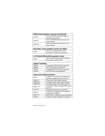| Differential equation solvers (continued) |                                         |
|-------------------------------------------|-----------------------------------------|
| ode15s                                    | Solve stiff ODEs and DAEs Index 1,      |
|                                           | variable order method                   |
| ode23s                                    | Solve stiff differential equations, low |
|                                           | order method                            |
| ode23tb                                   | Solve stiff differential equations, low |
|                                           | order method                            |

| Boundary value problem solver for ODEs |                                                                    |
|----------------------------------------|--------------------------------------------------------------------|
| bvp4c                                  | Solve two-point boundary value<br>problems for ODEs by collocation |

| 1-D Partial differential equation solver |                                       |
|------------------------------------------|---------------------------------------|
| pdepe                                    | Solve initial-boundary value problems |
|                                          | for parabolic-elliptic PDEs           |

| <b>Option handling</b> |                                    |
|------------------------|------------------------------------|
| odeset                 | Create/alter ODE options structure |
| odeget                 | Get ODE options parameters         |
| bvpset                 | Create/alter BVP options structure |
| bvpget                 | Get BVP options parameters         |

| Input and output functions |                                          |
|----------------------------|------------------------------------------|
| deva <sub>1</sub>          | Evaluates the solution of a differential |
|                            | equation problem (replaces bvpval)       |
| odeplot                    | Time series ODE output function          |
| odephas 2                  | 2-D phase plane ODE output function      |
| odephas 3                  | 3-D phase plane ODE output function      |
| odeprint                   | Command window printing ODE output       |
|                            | function                                 |
| bvpinit                    | Forms the initial guess for BVP4C        |
| pdeval                     | Evaluates by interpolation the solution  |
|                            | computed by PDEPE                        |
| odefile                    | MATLAB v5 ODE file syntax (obsolete)     |
| bvpva1                     | Evaluate solution (obsolete; use deval)  |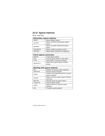# **15.12 Sparse matrices**

help sparfun

| <b>Elementary sparse matrices</b> |                                     |
|-----------------------------------|-------------------------------------|
| speye                             | Sparse identity matrix              |
| sprand                            | Sparse uniformly distributed random |
|                                   | matrix                              |
| sprandn                           | Sparse normally distributed random  |
|                                   | matrix                              |
| sprandsym                         | Sparse random symmetric matrix      |
| spdiags                           | Sparse matrix formed from diagonals |

| <b>Full to sparse conversion</b> |                                      |
|----------------------------------|--------------------------------------|
| sparse                           | Create sparse matrix                 |
| ful 1                            | Convert sparse matrix to full matrix |
| find                             | Find indices of nonzero elements     |
| spconvert                        | Import from sparse matrix external   |
|                                  | format                               |

| Working with sparse matrices |                                                            |
|------------------------------|------------------------------------------------------------|
| nnz                          | Number of nonzero matrix elements                          |
| nonzeros                     | Nonzero matrix elements                                    |
| nzmax                        | Amount of storage allocated for nonzero<br>matrix elements |
| spones                       | Replace nonzero sparse matrix elements<br>with ones        |
| spalloc                      | Allocate space for sparse matrix                           |
| issparse                     | True for sparse matrix                                     |
| spfun                        | Apply function to nonzero matrix<br>elements               |
| spy                          | Visualize sparsity pattern                                 |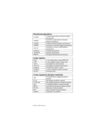| <b>Reordering algorithms</b> |                                      |
|------------------------------|--------------------------------------|
| colamd                       | Column approximate minimum degree    |
|                              | permutation                          |
| symamd                       | Symmetric approximate minimum        |
|                              | degree permutation                   |
| colmmd                       | Column minimum degree permutation    |
| symmmd                       | Symmetric minimum degree permutation |
| symrcm                       | Symmetric reverse Cuthill-McKee      |
|                              | permutation                          |
| colperm                      | Column permutation                   |
| randperm                     | Random permutation                   |
| dmperm                       | Dulmage-Mendelsohn permutation       |

| Linear algebra |                                   |
|----------------|-----------------------------------|
| eigs           | A few eigenvalues, using ARPACK   |
| svds           | A few singular values, using eigs |
| luinc          | Incomplete LU factorization       |
| cholinc        | Incomplete Cholesky factorization |
| normest        | Estimate the matrix 2-norm        |
| condest        | 1-norm condition number estimate  |
| sprank         | Structural rank                   |

| Linear equations (iterative methods) |                                         |
|--------------------------------------|-----------------------------------------|
| pcq                                  | Preconditioned conjugate gradients      |
|                                      | method                                  |
| bicg                                 | Biconjugate gradients method            |
| bicgstab                             | Biconjugate gradients stabilized method |
| cgs                                  | Conjugate gradients squared method      |
| qmres                                | Generalized minimum residual method     |
| minres                               | Minimum residual method                 |
| amr                                  | Quasi-minimal residual method           |
| symmlq                               | Symmetric LQ method                     |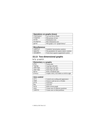| Operations on graphs (trees) |                                  |
|------------------------------|----------------------------------|
| treelayout                   | Lay out tree or forest           |
| treeplot                     | Plot picture of tree             |
| etree                        | Elimination tree                 |
| etreeplot                    | Plot elimination tree            |
| gplot                        | Plot graph, as in "graph theory" |

#### **Miscellaneous**

| symbfact  | Symbolic factorization analysis           |
|-----------|-------------------------------------------|
| spparms   | Set parameters for sparse matrix routines |
| spaugment | Form least squares augmented system       |

 $\overline{\phantom{a}}$ 

#### **15.13 Two-dimensional graphs**

help graph2d

| <b>Elementary x-y graphs</b>  |                                           |
|-------------------------------|-------------------------------------------|
| plot                          | Linear plot                               |
| loglog                        | Log-log scale plot                        |
| $\overline{\text{semi}}$ logx | Semi-log scale plot                       |
| semilogy                      | Semi-log scale plot                       |
| polar                         | Polar coordinate plot                     |
| plotyy                        | Graphs with y tick labels on left & right |

| Axis control |                                     |
|--------------|-------------------------------------|
| axis         | Control axis scaling and appearance |
| zoom         | Zoom in and out on a 2-D plot       |
| grid         | Grid lines                          |
| box          | Axis box                            |
| hold         | Hold current graph                  |
| axes         | Create axes in arbitrary positions  |
| subplot      | Create axes in tiled positions      |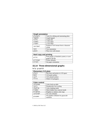| <b>Graph annotation</b> |                                        |
|-------------------------|----------------------------------------|
| plotedit                | Tools for editing and annotating plots |
| legend                  | Graph legend                           |
| title                   | Graph title                            |
| xlabel                  | x-axis label                           |
| ylabel                  | y-axis label                           |
| texlabel                | Produces TeX format from a character   |
|                         | string                                 |
| text                    | Text annotation                        |
| atext                   | Place text with mouse                  |

| Hard copy and printing |                                                            |
|------------------------|------------------------------------------------------------|
| print                  | Print graph or Simulink system; or save<br>graph to M-file |
| printopt               | Printer defaults                                           |
| orient                 | Set paper orientation                                      |

# **15.14 Three-dimensional graphs**

help graph3d

| <b>Elementary 3-D plots</b> |                                    |
|-----------------------------|------------------------------------|
| plot3                       | Plot lines and points in 3-D space |
| mesh                        | 3-D mesh surface                   |
| surf                        | 3-D colored surface                |
| fill3                       | Filled 3-D polygons                |

| <b>Color control</b> |                                     |
|----------------------|-------------------------------------|
| colormap             | Color look-up table                 |
| caxis                | Pseudocolor axis scaling            |
| shading              | Color shading mode                  |
| hidden               | Mesh hidden line removal mode       |
| brighten             | Brighten or darken color map        |
| colordef             | Set color defaults                  |
| graymon              | Set graphics defaults for grayscale |
|                      | monitors                            |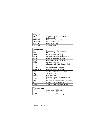| Lighting |                                  |
|----------|----------------------------------|
| surf1    | 3-D shaded surface with lighting |
| lighting | Lighting mode                    |
| material | Material reflectance mode        |
| specular | Specular reflectance             |
| diffuse  | Diffuse reflectance              |
| surfnorm | Surface normals                  |

| <b>Color maps</b> |                                         |
|-------------------|-----------------------------------------|
| hsv               | Hue-saturation-value color map          |
| hot               | Black-red-yellow-white color map        |
| gray              | Linear grayscale color map              |
| bone              | Grayscale with tinge of blue color map  |
| copper            | Linear copper-tone color map            |
| pink              | Pastel shades of pink color map         |
| white             | All-white color map                     |
| flag              | Alternating red, white, blue, and black |
|                   | color map                               |
| lines             | Color map with the line colors          |
| colorcube         | Enhanced color-cube color map           |
| vga               | Windows colormap for 16 colors          |
| jet               | Variant of HSV                          |
| prism             | Prism color map                         |
| coo <sub>1</sub>  | Shades of cyan and magenta color map    |
| autumn            | Shades of red and yellow color map      |
| spring            | Shades of magenta and yellow color map  |
| winter            | Shades of blue and green color map      |
| summer            | Shades of green and yellow color map    |

| Transparency |                                    |
|--------------|------------------------------------|
| alpha        | Transparency (alpha) mode          |
| alphamap     | Transparency (alpha) look-up table |
| alim         | Transparency (alpha) scaling       |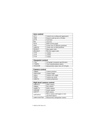| <b>Axis control</b> |                                     |
|---------------------|-------------------------------------|
| axis                | Control axis scaling and appearance |
| zoom                | Zoom in and out on a 2-D plot       |
| grid                | Grid lines                          |
| box                 | Axis box                            |
| ho1d                | Hold current graph                  |
| axes                | Create axes in arbitrary positions  |
| subplot             | Create axes in tiled positions      |
| daspect             | Data aspect ratio                   |
| pbaspect            | Plot box aspect ratio               |
| xlim                | x limits                            |
| vlim                | y limits                            |
| zlim                | z limits                            |

| <b>Viewpoint control</b> |                                       |
|--------------------------|---------------------------------------|
| view                     | 3-D graph viewpoint specification     |
| viewmtx                  | View transformation matrix            |
| rotate3d                 | Interactively rotate view of 3-D plot |

| <b>Camera control</b> |                   |
|-----------------------|-------------------|
| campos                | Camera position   |
| camtarget             | Camera target     |
| camva                 | Camera view angle |
| camup                 | Camera up vector  |
| camproj               | Camera projection |

| High-level camera control |                                 |
|---------------------------|---------------------------------|
| camorbit                  | Orbit camera                    |
| campan                    | Pan camera                      |
| camdolly                  | Dolly camera                    |
| camzoom                   | Zoom camera                     |
| camroll                   | Roll camera                     |
| camlookat                 | Move camera and target to view  |
|                           | specified objects               |
| cameratoolbar             | Interactively manipulate camera |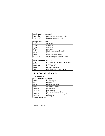| High-level light control |                                     |
|--------------------------|-------------------------------------|
| camlight                 | Creates or sets position of a light |
| lightangle               | Spherical position of a light       |

| <b>Graph annotation</b> |                                    |
|-------------------------|------------------------------------|
| title                   | Graph title                        |
| xlabel                  | x-axis label                       |
| vlabel                  | y-axis label                       |
| zlabel                  | z-axis label                       |
| colorbar                | Display color bar (color scale)    |
| text                    | Text annotation                    |
| atext                   | Mouse placement of text            |
| plotedit                | Graph editing and annotation tools |

| Hard copy and printing |                                         |
|------------------------|-----------------------------------------|
| print                  | Print graph or Simulink system; or save |
|                        | graph to M-file                         |
| printopt               | Printer defaults                        |
| orient                 | Set paper orientation                   |
| vrml                   | Save graphics to VRML 2.0 file          |

### **15.15 Specialized graphs**

help specgraph

| Specialized 2-D graphs |                                      |
|------------------------|--------------------------------------|
| area                   | Filled area plot                     |
| bar                    | Bar graph                            |
| barh                   | Horizontal bar graph                 |
| comet                  | Comet-like trajectory                |
| compass                | Compass plot                         |
| errorbar               | Error bar plot                       |
| ezplot                 | Easy-to-use function plotter         |
| ezpolar                | Easy-to-use polar coordinate plotter |
| feather                | Feather plot                         |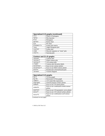| Specialized 2-D graphs (continued) |                                  |
|------------------------------------|----------------------------------|
| fill                               | Filled 2-D polygons              |
| fplot                              | Plot function                    |
| hist                               | Histogram                        |
| pareto                             | Pareto chart                     |
| pie                                | Pie chart                        |
| plotmatrix                         | Scatter plot matrix              |
| rose                               | Angle histogram plot             |
| scatter                            | Scatter plot                     |
| stem                               | Discrete sequence or "stem" plot |
| stairs                             | Stairstep plot                   |

| Contour and $2\frac{1}{2}$ -D graphs |                                    |
|--------------------------------------|------------------------------------|
| contour                              | Contour plot                       |
| contourf                             | Filled contour plot                |
| contour3                             | 3-D contour plot                   |
| clabel                               | Contour plot elevation labels      |
| ezcontour                            | Easy-to-use contour plotter        |
| ezcontourf                           | Easy-to-use filled contour plotter |
| pcolor                               | Pseudocolor (checkerboard) plot    |
| voronoi                              | Voronoi diagram                    |

| Specialized 3-D graphs |                                          |
|------------------------|------------------------------------------|
| bar3                   | 3-D bar graph                            |
| bar3h                  | Horizontal 3-D bar graph                 |
| comet <sub>3</sub>     | 3-D comet-like trajectories              |
| ezgraph3               | General-purpose surface plotter          |
| ezmesh                 | Easy-to-use 3-D mesh plotter             |
| ezmeshc                | Easy-to-use combination mesh/contour     |
|                        | plotter                                  |
| ezplot3                | Easy-to-use 3-D parametric curve plotter |
| ezsurf                 | Easy-to-use 3-D colored surface plotter  |
| ezsurfc                | Easy-to-use combination surf/contour     |
|                        | plotter                                  |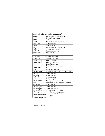| Specialized 3-D graphs (continued) |                                  |
|------------------------------------|----------------------------------|
| meshc                              | Combination mesh/contour plot    |
| meshz                              | 3-D mesh with curtain            |
| pie3                               | 3-D pie chart                    |
| ribbon                             | Draw 2-D lines as ribbons in 3-D |
| scatter3                           | 3-D scatter plot                 |
| stem3                              | 3-D stem plot                    |
| surfc                              | Combination surf/contour plot    |
| trisurf                            | Triangular surface plot          |
| trimesh                            | Triangular mesh plot             |
| waterfall                          | Waterfall plot                   |

| <b>Volume and vector visualization</b> |  |                                               |
|----------------------------------------|--|-----------------------------------------------|
| vissuite                               |  | Visualization suite                           |
| isosurface                             |  | Isosurface extractor                          |
| isonormals                             |  | Isosurface normals                            |
| isocaps                                |  | Isosurface end caps                           |
| isocolors                              |  | Isosurface and patch colors                   |
| contourslice                           |  | Contours in slice planes                      |
| slice                                  |  | Volumetric slice plot                         |
| streamline                             |  | Streamlines from 2-D or 3-D vector data       |
| stream3                                |  | 3-D streamlines                               |
| stream2                                |  | 2-D streamlines                               |
| quiver3                                |  | 3-D quiver plot                               |
| quiver                                 |  | 2-D quiver plot                               |
| divergence                             |  | Divergence of a vector field                  |
| cur1                                   |  | Curl and angular velocity of vector field     |
| coneplot                               |  | 3-D cone plot                                 |
| streamtube                             |  | 3-D stream tube                               |
| streamribbon                           |  | 3-D stream ribbon                             |
| streamslice                            |  | Streamlines in slice planes                   |
| streamparticles                        |  | Display stream particles                      |
| interpstreamspeed                      |  | Interpolate streamline vertices from<br>speed |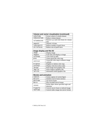| Volume and vector visualization (continued) |                                             |  |
|---------------------------------------------|---------------------------------------------|--|
| subvolume                                   | Extract subset of volume dataset            |  |
| reducevolume                                | Reduce volume dataset                       |  |
| volumebounds                                | Returns x, y, z and color limits for volume |  |
|                                             | data                                        |  |
| smooth3                                     | Smooth 3-D data                             |  |
| reducepatch                                 | Reduce number of patch faces                |  |
| shrinkfaces                                 | Reduce size of patch faces                  |  |

| Image display and file I/O |                                      |
|----------------------------|--------------------------------------|
| imaqe                      | Display image                        |
| imaqesc                    | Scale data and display as image      |
| colormap                   | Color look-up table                  |
| gray                       | Linear grayscale color map           |
| contrast                   | Grayscale color map to enhance image |
|                            | contrast                             |
| brighten                   | Brighten or darken color map         |
| colorbar                   | Display color bar (color scale)      |
| imread                     | Read image from graphics file        |
| imwrite                    | Write image to graphics file.        |
| imfinfo                    | Information about graphics file      |

| <b>Movies and animation</b> |                                         |
|-----------------------------|-----------------------------------------|
| capture                     | Screen capture of current figure        |
| moviein                     | Initialize movie frame memory           |
| qetframe                    | Get movie frame                         |
| movie                       | Play recorded movie frames              |
| rotate                      | Rotate object about specified orgin and |
|                             | direction                               |
| frame2im                    | Convert movie frame to indexed image.   |
| im2frame                    | Convert index image into movie format   |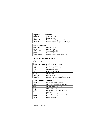| <b>Color-related functions</b> |                                    |
|--------------------------------|------------------------------------|
| spinmap                        | Spin color map                     |
| rgbplot                        | Plot color map                     |
| colstyle                       | Parse color and style from string  |
| ind2rgb                        | Convert indexed image to RGB image |

| Solid modeling |                                    |  |
|----------------|------------------------------------|--|
| cylinder       | Generate cylinder                  |  |
| sphere         | Generate sphere                    |  |
| ellipsoid      | Generate ellipsoid                 |  |
| patch          | Create patch                       |  |
| surf2patch     | Convert surface data to patch data |  |

# **15.16 Handle Graphics**

help graphics

| <b>Figure window creation and control</b> |                                        |  |
|-------------------------------------------|----------------------------------------|--|
| figure                                    | Create figure window                   |  |
| qcf                                       | Get handle to current figure           |  |
| c1f                                       | Clear current figure                   |  |
| shq                                       | Show graph window                      |  |
| close                                     | Close figure                           |  |
| refresh                                   | Refresh figure                         |  |
| openfig                                   | Open new or raise copy of saved figure |  |

| Axis creation and control |                                     |
|---------------------------|-------------------------------------|
| subplot                   | Create axes in tiled positions      |
| axes                      | Create axes in arbitrary positions  |
| qca                       | Get handle to current axes          |
| c1a                       | Clear current axes                  |
| axis                      | Control axis scaling and appearance |
| box                       | Axis box                            |
| caxis                     | Control pseudocolor axis scaling    |
| hold                      | Hold current graph                  |
| ishold                    | Return hold state                   |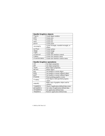| <b>Handle Graphics objects</b> |                                         |
|--------------------------------|-----------------------------------------|
| figure                         | Create figure window                    |
| axes                           | Create axes                             |
| line                           | Create line                             |
| text                           | Create text                             |
| patch                          | Create patch                            |
| rectangle                      | Create rectangle, rounded rectangle, or |
|                                | ellipse                                 |
| surface                        | Create surface                          |
| image                          | Create image                            |
| light                          | Create light                            |
| uicontrol                      | Create user interface control           |
| uimenu                         | Create user interface menu              |
| uicontextmenu                  | Create user interface context menu      |

| <b>Handle Graphics operations</b> |                                          |
|-----------------------------------|------------------------------------------|
| set                               | Set object properties                    |
| qet                               | Get object properties                    |
| reset                             | Reset object properties                  |
| delete                            | Delete object                            |
| qco                               | Get handle to current object             |
| qcbo                              | Get handle to current callback object    |
| qcbf                              | Get handle to current callback figure    |
| drawnow                           | Flush pending graphics events            |
| findobi                           | Find objects with specified property     |
|                                   | values                                   |
| copyobi                           | Make copy of graphics object and its     |
|                                   | children                                 |
| isappdata                         | Check if application-defined data exists |
| getappdata                        | Get value of application-defined data    |
| setappdata                        | Set application-defined data             |
| rmappdata                         | Remove application-defined data          |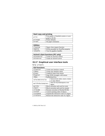| Hard copy and printing |                                                            |
|------------------------|------------------------------------------------------------|
| print                  | Print graph or Simulink system; or save<br>graph to M-file |
| printopt               | Printer defaults                                           |
| orient                 | Set paper orientation                                      |

| <b>Utilities</b> |                                       |
|------------------|---------------------------------------|
| closereg         | Figure close request function         |
| newplot          | M-file preamble for NextPlot property |
| ishandle         | True for graphics handles             |

| <b>ActiveX client functions (PC only)</b> |                           |  |
|-------------------------------------------|---------------------------|--|
| actxcontrol                               | Create an ActiveX control |  |
| actxserver                                | Create an ActiveX server  |  |

#### **15.17 Graphical user interface tools**

#### help uitools

| <b>GUI functions</b> |                                           |                                     |  |
|----------------------|-------------------------------------------|-------------------------------------|--|
| uicontrol            | Create user interface control             |                                     |  |
| uimenu               |                                           | Create user interface menu          |  |
| ginput               | Graphical input from mouse                |                                     |  |
| dragrect             | Drag XOR rectangles with mouse            |                                     |  |
| rbbox                | Rubberband box                            |                                     |  |
| selectmoveresize     |                                           | Interactively select, move, resize, |  |
|                      |                                           | or copy objects                     |  |
| waitforbuttonpress   |                                           | Wait for key/buttonpress over       |  |
|                      |                                           | figure                              |  |
| waitfor              |                                           | Block execution and wait for event  |  |
| uiwait               | Block execution and wait for resume       |                                     |  |
| uiresume             | Resume execution of blocked M-file        |                                     |  |
| uistack              | Control stacking order of objects         |                                     |  |
| uisuspend            | Suspend the interactive state of a figure |                                     |  |
| uirestore            | Restore the interactive state of a figure |                                     |  |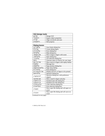| <b>GUI design tools</b> |                           |  |
|-------------------------|---------------------------|--|
| quide                   | Design GUI                |  |
| inspect                 | Inspect object properties |  |
| align                   | Align uicontrols and axes |  |
| propedit                | Edit property             |  |

| <b>Dialog boxes</b> |                                         |  |
|---------------------|-----------------------------------------|--|
| axlimdlg            | Axes limits dialog box                  |  |
| dialog              | Create dialog figure                    |  |
| errordlg            | Error dialog box                        |  |
| helpdlg             | Help dialog box                         |  |
| imageview           | Show image in figure with zoom          |  |
| inputdlg            | Input dialog box                        |  |
| listdlg             | List selection dialog box               |  |
| menu                | Generate menu of choices for user input |  |
| movieview           | Show movie in figure with replay button |  |
| msgbox              | Message box                             |  |
| pagedlg             | Page position dialog box                |  |
| pagesetupdlg        | Page setup dialog                       |  |
| printdlg            | Print dialog box                        |  |
| printpreview        | Display preview of figure to be printed |  |
| questdlg            | Question dialog box                     |  |
| uigetpref           | Question dialog box with preference     |  |
|                     | support                                 |  |
| soundview           | Show sound in figure and play           |  |
| uigetfile           | Standard open file dialog box           |  |
| uiputfile           | Standard save file dialog box           |  |
| uisetcolor          | Color selection dialog box              |  |
| uisetfont           | Font selection dialog box               |  |
| uiopen              | Show open file dialog and call open on  |  |
|                     | result                                  |  |
| uisave              | Show open file dialog and call save on  |  |
|                     | result                                  |  |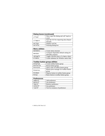| <b>Dialog boxes (continued)</b> |                                           |
|---------------------------------|-------------------------------------------|
| uiload                          | Show open file dialog and call 1 oad on   |
|                                 | result                                    |
| uiimport                        | Start the GUI for importing data (Import) |
|                                 | Wizard)                                   |
| waitbar                         | Display wait bar                          |
| warndlg                         | Warning dialog box                        |

| <b>Menu utilities</b> |                                         |
|-----------------------|-----------------------------------------|
| makemenu              | Create menu structure                   |
| menubar               | Computer-dependent default setting for  |
|                       | MenuBar property                        |
| umtoggle              | Toggle checked status of unimenu object |
| winmenu               | Create submenu for Window menu item     |

| <b>Toolbar button group utilities</b> |                                         |
|---------------------------------------|-----------------------------------------|
| btngroup                              | Create toolbar button group             |
| btnresize                             | Resize button group                     |
| btnstate                              | Query state of toolbar button group     |
| btnpress                              | Button press manager for toolbar button |
|                                       | group                                   |
| btndown                               | Depress button in toolbar button group  |
| btnup                                 | Raise button in toolbar button group    |

| <b>Preferences</b> |                                  |
|--------------------|----------------------------------|
| addpref            | Add preference                   |
| getpref            | Get preference                   |
| rmpref             | Remove preference                |
| setpref            | Set preference                   |
| ispref             | Test for existence of preference |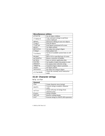| <b>Miscellaneous utilities</b> |                                                        |
|--------------------------------|--------------------------------------------------------|
| allchild                       | Get all object children                                |
| clipboard                      | Copy and paste strings to and from<br>system clipboard |
| edtext                         | Interactive editing of axes text objects               |
| findall                        | Find all objects                                       |
| findfigs                       | Find figures positioned off screen                     |
| getptr                         | Get figure pointer                                     |
| getstatus                      | Get status text string in figure                       |
| hidegui                        | Hide/unhide GUI                                        |
| listfonts                      | Get list of available system fonts in cell<br>array    |
| movegui                        | Move GUI to specified part of screen                   |
| guihandles                     | Return a structure of handles                          |
| guidata                        | Store or retrieve application data                     |
| overobi                        | Get handle of object the pointer is over               |
| popupstr                       | Get popup menu selection string                        |
| remapfig                       | Transform figure objects' positions                    |
| setptr                         | Set figure pointer                                     |
| setstatus                      | Set status text string in figure                       |
| uiclearmode                    | Clears the currently active interactive<br>mode        |

# **15.18 Character strings**

help strfun

| <b>General</b> |                                       |
|----------------|---------------------------------------|
| char           | Create character array (string)       |
| double         | Convert string to numeric character   |
|                | codes                                 |
| cellstr        | Create cell array of strings from     |
|                | character array                       |
| blanks         | String of blanks                      |
| deblank        | Remove trailing blanks                |
| eval           | Execute string as a MATLAB expression |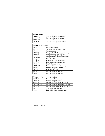| <b>String tests</b> |                                   |
|---------------------|-----------------------------------|
| ischar              | True for character array (string) |
| iscellstr           | True for cell array of strings    |
| isletter            | True for letters of the alphabet  |
| isspace             | True for white space characters   |

| <b>String operations</b> |                                       |
|--------------------------|---------------------------------------|
| strcat                   | Concatenate strings                   |
| strvcat                  | Vertically concatenate strings        |
| strcmp                   | Compare strings                       |
| strncmp                  | Compare first N characters of strings |
| strcmpi                  | Compare strings ignoring case         |
| strncmpi                 | Compare first N characters of strings |
|                          | ignoring case                         |
| findstr                  | Find one string within another        |
| strfind                  | Find one string within another        |
| strjust                  | Justify character array               |
| strmatch                 | Find possible matches for string      |
| strrep                   | Replace string with another           |
| strtok                   | Find token in string                  |
| upper                    | Convert string to uppercase           |
| lower                    | Convert string to lowercase           |

| <b>String to number conversion</b> |                                          |
|------------------------------------|------------------------------------------|
| num2str                            | Convert number to string                 |
| int2str                            | Convert integer to string                |
| mat2str                            | Convert matrix to eval 'able string      |
| str2double                         | Convert string to double-precision value |
| str2num                            | Convert string matrix to numeric array   |
| sprintf                            | Write formatted data to string           |
| sscanf                             | Read string under format control         |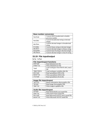| <b>Base number conversion</b> |                                          |
|-------------------------------|------------------------------------------|
| hex2num                       | Convert IEEE hexadecimal to double-      |
|                               | precision number                         |
| hex2dec                       | Convert hexadecimal string to decimal    |
|                               | integer                                  |
| dec2hex                       | Convert decimal integer to hexadecimal   |
|                               | string                                   |
| bin2dec                       | Convert binary string to decimal integer |
| dec2bin                       | Convert decimal integer to binary string |
| base2dec                      | Convert base B string to decimal integer |
| dec2base                      | Convert decimal integer to base B string |

# **15.19 File input/output**

help iofun

| <b>File import/export functions</b> |                                           |
|-------------------------------------|-------------------------------------------|
| dlmread                             | Read delimited text file                  |
| dlmwrite                            | Write delimited text file                 |
| <b>load</b>                         | Load workspace from MATLAB (.mat)<br>file |
| importdata                          | Load workspace variables disk file        |
| wk1read                             | Read spreadsheet (WK1) file               |
| wk1write                            | Write spreadsheet (WK1) file              |
| xlsread                             | Read spreadsheet (XLS) file               |

| Image file import/export |                                         |
|--------------------------|-----------------------------------------|
| imfinfo                  | Return information about graphics file. |
| imread                   | Read image from graphics file.          |
| imwrite                  | Write image to graphics file.           |

| Audio file import/export |                                       |
|--------------------------|---------------------------------------|
| auread                   | Read NeXT/SUN (.au) sound file        |
| auwrite                  | Write NeXT/SUN sound file             |
| wavread                  | Read Microsoft WAVE (.wav) sound file |
| wavwrite                 | Write Microsoft WAVE sound file       |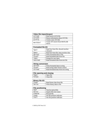| Video file import/export |                                   |
|--------------------------|-----------------------------------|
| aviread                  | Read movie (AVI) file             |
| aviinfo                  | Return information about AVI file |
| avifile                  | Create a new AVI file             |
| movie2avi                | Create AVI movie from MATLAB      |
|                          | movie                             |

| <b>Formatted file I/O</b> |                                         |
|---------------------------|-----------------------------------------|
| fgetl                     | Read line from file, discard newline    |
|                           | character                               |
| fgets                     | Read line from file, keep newline char. |
| fprintf                   | Write formatted data to file            |
| fscanf                    | Read formatted data from file           |
| input                     | Prompt for user input                   |
| textread                  | Read formatted data from text file      |

| <b>String conversion</b> |                                      |
|--------------------------|--------------------------------------|
| sprintf                  | Write formatted data to string       |
| sscanf                   | Read string under format control     |
| strread                  | Read formatted data from text string |

| File opening and closing |            |
|--------------------------|------------|
| fopen                    | Open file  |
| fclose                   | Close file |

| <b>Binary file I/O</b> |                            |
|------------------------|----------------------------|
| fread                  | Read binary data from file |
| fwrite                 | Write binary data to file. |

| <b>File positioning</b> |                             |
|-------------------------|-----------------------------|
| feof                    | Test for end-of-file        |
| ferror                  | Inquire file error status   |
| frewind                 | Rewind file                 |
| fseek                   | Set file position indicator |
| ftell                   | Get file position indicator |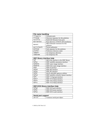| File name handling |                                       |
|--------------------|---------------------------------------|
| fileparts          | Filename parts                        |
| <b>filesep</b>     | Directory separator for this platform |
| fullfile           | Build full filename from parts        |
| matlabroot         | Root directory of MATLAB installation |
| mexext             | MEX filename extension for this       |
|                    | platform                              |
| partialpath        | Partial pathnames                     |
| pathsep            | Path separator for this platform      |
| prefdir            | Preference directory name             |
| tempdir            | Get temporary directory               |
| tempname           | Get temporary file                    |

| <b>HDF library interface help</b> |                                            |
|-----------------------------------|--------------------------------------------|
| hdf                               | MEX-file interface to the HDF library      |
| hdfan                             | HDF multifile annotation interface         |
| hdfdf24                           | HDF raster image interface                 |
| hdfdfr8                           | HDF 8-bit raster image interface           |
| hdfh                              | HDF H interface                            |
| hdfhd                             | HDF HD interface                           |
| hdfhe                             | HDF HE interface                           |
| hdfml                             | MATLAB-HDF gateway utilities               |
| hdfsd                             | HDF multifile scientific dataset interface |
| hdfv                              | HDF V (Vgroup) interface                   |
| hdfvf                             | HDF VF (Vdata) interface                   |
| hdfvh                             | HDF VH (Vdata) interface                   |
| hdfvs                             | HDF VS (Vdata) interface                   |

| <b>HDF-EOS library interface help</b> |                         |
|---------------------------------------|-------------------------|
| hdfgd                                 | HDF-EOS grid interface  |
| hdfpt                                 | HDF-EOS point interface |
| hdfsw                                 | HDF-EOS swath interface |

| Serial port support |                              |
|---------------------|------------------------------|
| l serial            | Construct serial port object |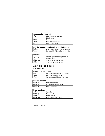| <b>Command window I/O</b> |                        |
|---------------------------|------------------------|
| c1c.                      | Clear Command window   |
| disp                      | Display array          |
| home                      | Send cursor home       |
| input                     | Prompt for user input  |
| pause                     | Wait for user response |

| FIG file support for plotedit and printframes |                                         |
|-----------------------------------------------|-----------------------------------------|
| haload                                        | Load Handle Graphics object from a file |
| hasave                                        | Saves an HG object heirarchy to a file. |

| <b>Utilities</b> |                                                      |
|------------------|------------------------------------------------------|
| str2rng          | Convert spreadsheet range string to<br>numeric array |
| wk1const         | WK1 record type definitions                          |
| wk1wrec          | Write a WK1 record header                            |

### **15.20 Time and dates**

help timefun

| <b>Current date and time</b> |                                      |
|------------------------------|--------------------------------------|
| now                          | Current date and time as date number |
| date                         | Current date as date string          |
| clock                        | Current date and time as date vector |

| <b>Basic functions</b> |                               |
|------------------------|-------------------------------|
| datenum                | Serial date number            |
| datestr                | String representation of date |
| datevec                | Date components               |

| Date functions |                            |
|----------------|----------------------------|
| calendar       | Calendar                   |
| weekday        | Day of week                |
| eomday         | End of month               |
| datetick       | Date formatted tick labels |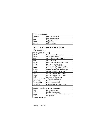| <b>Timing functions</b> |                       |
|-------------------------|-----------------------|
| cputime                 | CPU time in seconds   |
| tic                     | Start stopwatch timer |
| toc                     | Stop stopwatch timer  |
| etime                   | Elapsed time          |
| pause                   | Wait in seconds       |

# **15.21 Data types and structures**

help datatypes

| Data types (classes) |                                      |
|----------------------|--------------------------------------|
| double               | Convert to double precision          |
| sparse               | Create sparse matrix                 |
| char                 | Create character array (string)      |
| ce <sub>11</sub>     | Create cell array                    |
| struct               | Create or convert to structure array |
| single               | Convert to single precision          |
| uint8                | Convert to unsigned 8-bit integer    |
| uint16               | Convert to unsigned 16-bit integer   |
| uint32               | Convert to unsigned 32-bit integer   |
| int8                 | Convert to signed 8-bit integer      |
| int16                | Convert to signed 16-bit integer     |
| int32                | Convert to signed 32-bit integer     |
| inline               | Construct in line object             |
| function_handle      | Function handle array                |
| javaArray            | Construct a Java array               |
| javaMethod           | Invoke a Java method                 |
| java0bject           | Invoke a Java object constructor     |

| <b>Multidimensional array functions</b> |                                       |
|-----------------------------------------|---------------------------------------|
| cat                                     | Concatenate arrays                    |
| ndims                                   | Number of dimensions                  |
| ndgrid                                  | Generate arrays for N-D functions and |
|                                         | interpolation                         |

(continued on next page)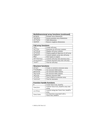| <b>Multidimensional array functions (continued)</b> |                                  |
|-----------------------------------------------------|----------------------------------|
| permute                                             | Permute array dimensions         |
| ipermute                                            | Inverse permute array dimensions |
| shiftdim                                            | Shift dimensions                 |
| squeeze                                             | Remove singleton dimensions      |

| <b>Cell array functions</b> |                                           |
|-----------------------------|-------------------------------------------|
| ce <sub>11</sub>            | Create cell array                         |
| cellfun                     | Functions on cell array contents          |
| celldisp                    | Display cell array contents               |
| cellplot                    | Display graphical depiction of cell array |
| num2cell                    | Convert numeric array into cell array     |
| dea1                        | Deal inputs to outputs                    |
| cell2struct                 | Convert cell array into structure array   |
| struct2cell                 | Convert structure array into cell array   |
| iscell                      | True for cell array                       |

| <b>Structure functions</b> |                                      |
|----------------------------|--------------------------------------|
| struct                     | Create or convert to structure array |
| fieldnames                 | Get structure field names            |
| qetfield                   | Get structure field contents         |
| setfield                   | Set structure field contents         |
| rmfield                    | Remove structure field               |
| isfield                    | True if field is in structure array  |
| isstruct                   | True for structures                  |

| <b>Function handle functions</b> |                                                     |
|----------------------------------|-----------------------------------------------------|
| Q)                               | Create function_handle                              |
| func2str                         | Convert function_handle array into<br>string        |
| str2func                         | Convert string into function_handle<br>array        |
| functions                        | List functions associated with a<br>function_handle |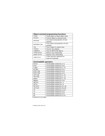| <b>Object-oriented programming functions</b> |                                                  |
|----------------------------------------------|--------------------------------------------------|
| class                                        | Create object or return object class             |
| struct                                       | Convert object to structure array                |
| methods                                      | List names and properties of class<br>methods    |
| methodsview                                  | View names and properties of class<br>methods    |
| isa                                          | True if object is a given class                  |
| isjava                                       | True for Java objects                            |
| isobject                                     | True for MATLAB objects                          |
| inferiorto                                   | Inferior class relationship                      |
| superiorto                                   | Superior class relationship                      |
| substruct                                    | Create structure argument for<br>subsref/subasgn |

| <b>Overloadable operators</b> |                                      |
|-------------------------------|--------------------------------------|
| minus                         | Overloadable method for a-b          |
| plus                          | Overloadable method for $a+b$        |
| times                         | Overloadable method for a. *b        |
| mtimes                        | Overloadable method for a*b          |
| mldivide                      | Overloadable method for $a \$        |
| mrdivide                      | Overloadable method for $a/b$        |
| rdivide                       | Overloadable method for a./b         |
| ldivide                       | Overloadable method for $a \cdot b$  |
| power                         | Overloadable method for a . ^b       |
| mpower                        | Overloadable method for $a \wedge b$ |
| uminus                        | Overloadable method for -a           |
| uplus                         | Overloadable method for $+a$         |
| horzcat                       | Overloadable method for [a b]        |
| vertcat                       | Overloadable method for [a:b]        |
| 1e                            | Overloadable method for $a \leq b$   |
| 1t                            | Overloadable method for a<br>        |
| qt                            | Overloadable method for $a$ >b       |
| qe                            | Overloadable method for a>=b         |

(continued on next page)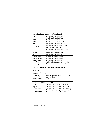| <b>Overloadable operators (continued)</b> |                                           |
|-------------------------------------------|-------------------------------------------|
| eq                                        | Overloadable method for $a = b$           |
| ne                                        | Overloadable method for $a \sim b$        |
| not                                       | Overloadable method for $\sim$ a          |
| and                                       | Overloadable method for a&b               |
| or                                        | Overloadable method for a   b             |
| subsasgn                                  | Overloadable method for $a(i)=b$ ,        |
|                                           | $a\{i\}$ =b, and a. field=b               |
| subsref                                   | Overloadable method for $a(i)$ , $a(i)$ , |
|                                           | and a field                               |
| colon                                     | Overloadable method for a: b              |
| end                                       | Overloadable method for a (end)           |
| transpose                                 | Overloadable method for a.                |
| ctranspose                                | Overloadable method for a'                |
| subsindex                                 | Overloadable method for $x(a)$            |
| loadobi                                   | Called to load object from . mat file     |
| saveobi                                   | Called to save object to mat file         |

# **15.22 Version control commands**

help verctrl

| <b>Checkin/checkout</b> |                                         |
|-------------------------|-----------------------------------------|
| checkin                 | checkin files to version control system |
| checkout                | checkout files                          |
| undocheckout            | undo checkout files                     |

| <b>Specific version control</b> |                                         |
|---------------------------------|-----------------------------------------|
| rcs                             | Version control actions using RCS       |
| pvcs                            | Version control actions using PVCS      |
| clearcase                       | Version control actions using ClearCase |
| sourcesafe                      | Version control using Visual SourceSafe |
| customverctrl                   | Custom version control template         |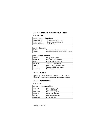# **15.23 Microsoft Windows functions**

help winfun

| <b>ActiveX client functions</b> |                           |
|---------------------------------|---------------------------|
| actxcontrol                     | Create an ActiveX control |
| actxserver                      | Create an ActiveX server  |
| winfun\activex                  | ActiveX class             |

| <b>ActiveX demos</b> |                                         |
|----------------------|-----------------------------------------|
| mwsamp               | Sample ActiveX control creation         |
| sampev               | Sample event handler for ActiveX server |

| <b>DDE client functions</b> |                               |
|-----------------------------|-------------------------------|
| ddeadv                      | Set up advisory link          |
| ddeexec                     | Send string for execution     |
| ddeinit                     | Initiate DDE conversation     |
| ddepoke                     | Send data to application      |
| ddereg                      | Request data from application |
| ddeterm                     | Terminate DDE conversation    |
| ddeunadv                    | Release advisory link         |

# **15.24 Demos**

Type help demos to see the list of MATLAB demos. Section 15.26 lists the Symbolic Math Toolbox demos.

# **15.25 Preferences**

help local

| <b>Saved preferences files</b> |                       |
|--------------------------------|-----------------------|
| startup                        | User startup M-file   |
| finish                         | User finish M-file    |
| matlabrc                       | Master startup M-file |
| pathdef                        | Search path defaults  |
| docopt                         | Web browser defaults  |
| printopt                       | Printer defaults      |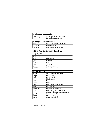| <b>Preference commands</b> |                              |
|----------------------------|------------------------------|
| cedit                      | Set command line editor keys |
| terminal                   | Set graphics terminal type   |

| <b>Configuration information</b> |                              |
|----------------------------------|------------------------------|
| hostid                           | MATLAB server host ID number |
| license                          | License number               |
| version                          | <b>MATLAB</b> version number |

# **15.26 Symbolic Math Toolbox**

help symbolic

| <b>Calculus</b> |                     |
|-----------------|---------------------|
| diff            | Differentiate       |
| int             | Integrate           |
| limit           | Limit               |
| taylor          | Taylor series       |
| jacobian        | Jacobian matrix     |
| symsum          | Summation of series |

| Linear algebra |                                      |
|----------------|--------------------------------------|
| diag           | Create or extract diagonals          |
| triu           | Upper triangle                       |
| tril           | Lower triangle                       |
| inv            | Matrix inverse                       |
| det            | Determinant                          |
| rank           | Rank                                 |
| rref           | Reduced row echelon form             |
| nu11           | Basis for null space                 |
| colspace       | Basis for column space               |
| eig            | Eigenvalues and eigenvectors         |
| svd            | Singular values and singular vectors |
| jordan         | Jordan canonical (normal) form       |
| poly           | Characteristic polynomial            |
| expm           | Matrix exponential                   |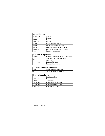| <b>Simplification</b> |                                    |
|-----------------------|------------------------------------|
| simplify              | Simplify                           |
| expand                | Expand                             |
| factor                | Factor                             |
| collect               | Collect                            |
| simple                | Search for shortest form           |
| numden                | Numerator and denominator          |
| horner                | Nested polynomial representation   |
| subexpr               | Rewrite in terms of subexpressions |
| subs                  | Symbolic substitution              |

| <b>Solution of equations</b> |                                                |
|------------------------------|------------------------------------------------|
| solve                        | Symbolic solution of algebraic equations       |
| dsolve                       | Symbolic solution of differential<br>equations |
| finverse                     | <b>Functional inverse</b>                      |
| compose                      | Functional composition                         |

| Variable precision arithmetic |                                 |
|-------------------------------|---------------------------------|
| vpa                           | Variable precision arithmetic   |
| diqits                        | Set variable precision accuracy |

| <b>Integral transforms</b> |                           |
|----------------------------|---------------------------|
| fourier                    | Fourier transform         |
| laplace                    | Laplace transform         |
| ztrans                     | Z transform               |
| ifourier                   | Inverse Fourier transform |
| ilaplace                   | Inverse Laplace transform |
| iztrans                    | Inverse Z transform       |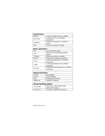| <b>Conversions</b> |                                              |
|--------------------|----------------------------------------------|
| double             | Convert symbolic matrix to double            |
| poly2sym           | Coefficient vector to symbolic<br>polynomial |
| sym2poly           | Symbolic polynomial to coefficient<br>vector |
| char               | Convert sym object to string                 |

| <b>Basic operations</b> |                                                    |
|-------------------------|----------------------------------------------------|
| sym                     | Create symbolic object                             |
| syms                    | Shortcut for constructing symbolic<br>objects      |
| findsym                 | Determine symbolic variables                       |
| pretty                  | Pretty print a symbolic expression                 |
| latex                   | LaTeX representation of a symbolic<br>expression   |
| ccode                   | C code representation of a symbolic<br>expression  |
| fortran                 | FORTRAN representation of a symbolic<br>expression |

| <b>Special functions</b> |                       |
|--------------------------|-----------------------|
| sinint                   | Sine integral         |
| cosint                   | Cosine integral       |
| zeta                     | Riemann zeta function |
| lambertw                 | Lambert W function    |

| <b>String handling utilities</b> |                                 |
|----------------------------------|---------------------------------|
| isvarname                        | Check for a valid variable name |
|                                  | (MATLAB toolbox)                |
| vectorize                        | Vectorize a symbolic expression |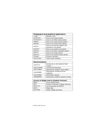| <b>Pedagogical and graphical applications</b> |                                       |
|-----------------------------------------------|---------------------------------------|
| rsums                                         | Riemann sums                          |
| ezcontour                                     | Easy-to-use contour plotter           |
| ezcontourf                                    | Easy-to-use filled contour plotter    |
| ezmesh                                        | Easy-to-use mesh (surface) plotter    |
| ezmeshc                                       | Easy-to-use mesh/contour plotter      |
| ezplot                                        | Easy-to-use function implicit and     |
|                                               | parametric curve plotter              |
| ezplot3                                       | Easy-to-use spatial curve plotter     |
| ezpolar                                       | Easy-to-use polar coordinates plotter |
| ezsurf                                        | Easy-to-use surface plotter           |
| ezsurfc                                       | Easy-to-use surface/contour plotter   |
| funtool                                       | <b>Function calculator</b>            |
| tavlortool                                    | Taylor series calculator              |

| <b>Demonstrations</b> |                                       |
|-----------------------|---------------------------------------|
| symintro              | Introduction to the Symbolic Math     |
|                       | <b>Toolbox</b>                        |
| symcalcdemo           | Calculus demonstration                |
| symlindemo            | Demonstrate symbolic linear algebra   |
| symvpademo            | Demonstrate variable precision        |
|                       | arithmetic                            |
| symrotdemo            | Study plane rotations                 |
| symeqndemo            | Demonstrate symbolic equation solving |

| <b>Access to Maple (not in Student Version)</b> |                                       |
|-------------------------------------------------|---------------------------------------|
| maple                                           | Access Maple kernel                   |
| mfun                                            | Numeric evaluation of Maple functions |
| mfunlist                                        | List of functions for MFUN            |
| mhelp                                           | Maple help                            |
| procread                                        | Install a Maple procedure             |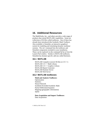# **16. Additional Resources**

The MathWorks, Inc., and others provide a wide range of products that extend MATLAB's capabilities. Some are collections of M-files called toolboxes. One of these has already been introduced (the Symbolic Math Toolbox). Also available is Simulink, an interactive graphical system for modeling and simulating dynamic nonlinear systems. The yer command lists the toolboxes and Simulink components included in your installation. These can be explored via the command help or from the Launch Pad window. Similar to MATLAB toolboxes, Simulink has domain-specific add-ons called blocksets.

### **16.1 MATLAB**

MATLAB Compiler (convert M-files to C/C++) MATLAB C/C++ Math Library MATLAB C/C++ Graphics Library MATLAB Report Generator MATLAB Runtime Server MATLAB Web Server

### **16.2 MATLAB toolboxes**

#### **Math and Analysis Toolboxes:**

Optimization **Statistics** Neural Network Symbolic/Extended Symbolic Math Partial Differential Equation Mapping (geographic information) Spline

# **Data Acquisition and Import Toolboxes:**

Data Acquisition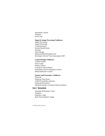Instrument Control Database Excel Link

#### **Signal & Image Processing Toolboxes:**

Signal Processing Image Processing Communications System Identification Wavelet Filter Design Motorola DSP Developer's Kit Developer's Kit for Texas Instruments DSP

#### **Control Design Toolboxes:**

Control System Fuzzy Logic Robust Control µ-Analysis and Synthesis LMI (linear matrix inequality) Control Model Predictive Control

#### **Finance and Economics Toolboxes:**

Financial Financial Time Series GARCH (volatility analysis) Financial Derivatives Datafeed (connect to financial data providers)

#### **16.3 Simulink**

Simulink Performance Tools Stateflow Stateflow Coder Real-Time Windows Target